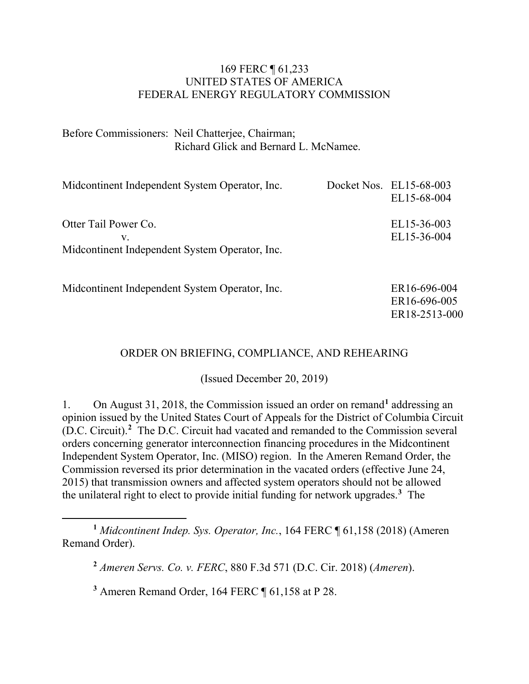#### 169 FERC ¶ 61,233 UNITED STATES OF AMERICA FEDERAL ENERGY REGULATORY COMMISSION

Before Commissioners: Neil Chatterjee, Chairman; Richard Glick and Bernard L. McNamee.

| Midcontinent Independent System Operator, Inc.                               | Docket Nos. EL15-68-003<br>EL15-68-004        |
|------------------------------------------------------------------------------|-----------------------------------------------|
| Otter Tail Power Co.<br>V.<br>Midcontinent Independent System Operator, Inc. | EL15-36-003<br>EL15-36-004                    |
| Midcontinent Independent System Operator, Inc.                               | ER16-696-004<br>ER16-696-005<br>ER18-2513-000 |

#### ORDER ON BRIEFING, COMPLIANCE, AND REHEARING

(Issued December 20, 2019)

1. On August 31, 2018, the Commission issued an order on remand**[1](#page-0-0)** addressing an opinion issued by the United States Court of Appeals for the District of Columbia Circuit (D.C. Circuit). **[2](#page-0-1)** The D.C. Circuit had vacated and remanded to the Commission several orders concerning generator interconnection financing procedures in the Midcontinent Independent System Operator, Inc. (MISO) region. In the Ameren Remand Order, the Commission reversed its prior determination in the vacated orders (effective June 24, 2015) that transmission owners and affected system operators should not be allowed the unilateral right to elect to provide initial funding for network upgrades.**[3](#page-0-2)** The

<span id="page-0-2"></span>**<sup>3</sup>** Ameren Remand Order, 164 FERC ¶ 61,158 at P 28.

<span id="page-0-1"></span><span id="page-0-0"></span> $\overline{a}$ **<sup>1</sup>** *Midcontinent Indep. Sys. Operator, Inc.*, 164 FERC ¶ 61,158 (2018) (Ameren Remand Order).

**<sup>2</sup>** *Ameren Servs. Co. v. FERC*, 880 F.3d 571 (D.C. Cir. 2018) (*Ameren*).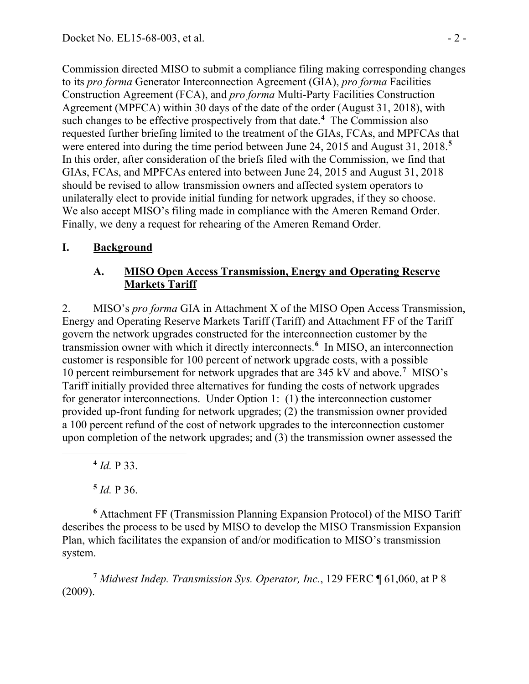Commission directed MISO to submit a compliance filing making corresponding changes to its *pro forma* Generator Interconnection Agreement (GIA), *pro forma* Facilities Construction Agreement (FCA), and *pro forma* Multi-Party Facilities Construction Agreement (MPFCA) within 30 days of the date of the order (August 31, 2018), with such changes to be effective prospectively from that date.**[4](#page-1-0)** The Commission also requested further briefing limited to the treatment of the GIAs, FCAs, and MPFCAs that were entered into during the time period between June 24, 2015 and August 31, 2018. **[5](#page-1-1)** In this order, after consideration of the briefs filed with the Commission, we find that GIAs, FCAs, and MPFCAs entered into between June 24, 2015 and August 31, 2018 should be revised to allow transmission owners and affected system operators to unilaterally elect to provide initial funding for network upgrades, if they so choose. We also accept MISO's filing made in compliance with the Ameren Remand Order. Finally, we deny a request for rehearing of the Ameren Remand Order.

### **I. Background**

### **A. MISO Open Access Transmission, Energy and Operating Reserve Markets Tariff**

2. MISO's *pro forma* GIA in Attachment X of the MISO Open Access Transmission, Energy and Operating Reserve Markets Tariff (Tariff) and Attachment FF of the Tariff govern the network upgrades constructed for the interconnection customer by the transmission owner with which it directly interconnects.**[6](#page-1-2)** In MISO, an interconnection customer is responsible for 100 percent of network upgrade costs, with a possible 10 percent reimbursement for network upgrades that are 345 kV and above.**[7](#page-1-3)** MISO's Tariff initially provided three alternatives for funding the costs of network upgrades for generator interconnections. Under Option 1: (1) the interconnection customer provided up-front funding for network upgrades; (2) the transmission owner provided a 100 percent refund of the cost of network upgrades to the interconnection customer upon completion of the network upgrades; and (3) the transmission owner assessed the

**<sup>4</sup>** *Id.* P 33.

<span id="page-1-0"></span>

**<sup>5</sup>** *Id.* P 36.

<span id="page-1-2"></span><span id="page-1-1"></span>**<sup>6</sup>** Attachment FF (Transmission Planning Expansion Protocol) of the MISO Tariff describes the process to be used by MISO to develop the MISO Transmission Expansion Plan, which facilitates the expansion of and/or modification to MISO's transmission system.

<span id="page-1-3"></span>**<sup>7</sup>** *Midwest Indep. Transmission Sys. Operator, Inc.*, 129 FERC ¶ 61,060, at P 8 (2009).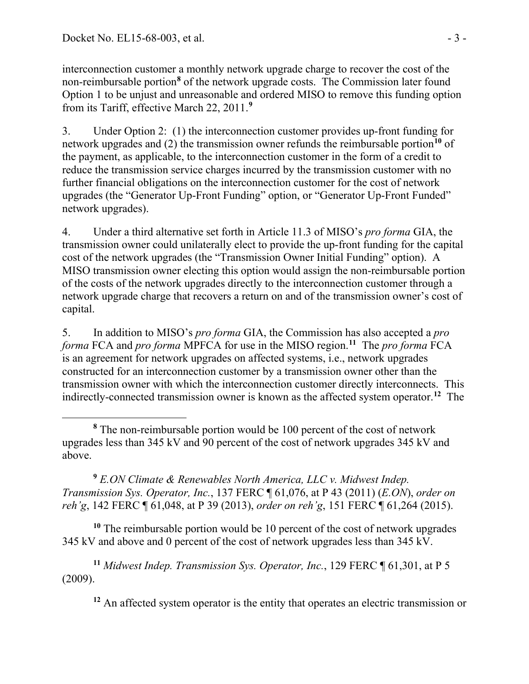interconnection customer a monthly network upgrade charge to recover the cost of the non-reimbursable portion**[8](#page-2-0)** of the network upgrade costs. The Commission later found Option 1 to be unjust and unreasonable and ordered MISO to remove this funding option from its Tariff, effective March 22, 2011.**[9](#page-2-1)**

3. Under Option 2: (1) the interconnection customer provides up-front funding for network upgrades and (2) the transmission owner refunds the reimbursable portion**[10](#page-2-2)** of the payment, as applicable, to the interconnection customer in the form of a credit to reduce the transmission service charges incurred by the transmission customer with no further financial obligations on the interconnection customer for the cost of network upgrades (the "Generator Up-Front Funding" option, or "Generator Up-Front Funded" network upgrades).

4. Under a third alternative set forth in Article 11.3 of MISO's *pro forma* GIA, the transmission owner could unilaterally elect to provide the up-front funding for the capital cost of the network upgrades (the "Transmission Owner Initial Funding" option). A MISO transmission owner electing this option would assign the non-reimbursable portion of the costs of the network upgrades directly to the interconnection customer through a network upgrade charge that recovers a return on and of the transmission owner's cost of capital.

5. In addition to MISO's *pro forma* GIA, the Commission has also accepted a *pro forma* FCA and *pro forma* MPFCA for use in the MISO region. **[11](#page-2-3)** The *pro forma* FCA is an agreement for network upgrades on affected systems, i.e., network upgrades constructed for an interconnection customer by a transmission owner other than the transmission owner with which the interconnection customer directly interconnects. This indirectly-connected transmission owner is known as the affected system operator.**[12](#page-2-4)** The

<span id="page-2-1"></span>**<sup>9</sup>** *E.ON Climate & Renewables North America, LLC v. Midwest Indep. Transmission Sys. Operator, Inc.*, 137 FERC ¶ 61,076, at P 43 (2011) (*E.ON*), *order on reh'g*, 142 FERC ¶ 61,048, at P 39 (2013), *order on reh'g*, 151 FERC ¶ 61,264 (2015).

<span id="page-2-2"></span>**<sup>10</sup>** The reimbursable portion would be 10 percent of the cost of network upgrades 345 kV and above and 0 percent of the cost of network upgrades less than 345 kV.

<span id="page-2-4"></span><span id="page-2-3"></span>**<sup>11</sup>** *Midwest Indep. Transmission Sys. Operator, Inc.*, 129 FERC ¶ 61,301, at P 5 (2009).

<sup>12</sup> An affected system operator is the entity that operates an electric transmission or

<span id="page-2-0"></span> $\overline{a}$ **<sup>8</sup>** The non-reimbursable portion would be 100 percent of the cost of network upgrades less than 345 kV and 90 percent of the cost of network upgrades 345 kV and above.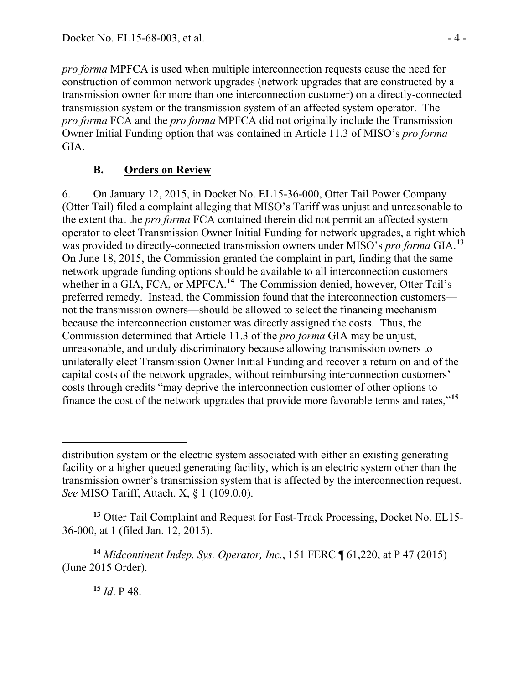*pro forma* MPFCA is used when multiple interconnection requests cause the need for construction of common network upgrades (network upgrades that are constructed by a transmission owner for more than one interconnection customer) on a directly-connected transmission system or the transmission system of an affected system operator. The *pro forma* FCA and the *pro forma* MPFCA did not originally include the Transmission Owner Initial Funding option that was contained in Article 11.3 of MISO's *pro forma* GIA.

## **B. Orders on Review**

6. On January 12, 2015, in Docket No. EL15-36-000, Otter Tail Power Company (Otter Tail) filed a complaint alleging that MISO's Tariff was unjust and unreasonable to the extent that the *pro forma* FCA contained therein did not permit an affected system operator to elect Transmission Owner Initial Funding for network upgrades, a right which was provided to directly-connected transmission owners under MISO's *pro forma* GIA.**[13](#page-3-0)** On June 18, 2015, the Commission granted the complaint in part, finding that the same network upgrade funding options should be available to all interconnection customers whether in a GIA, FCA, or MPFCA.<sup>[14](#page-3-1)</sup> The Commission denied, however, Otter Tail's preferred remedy. Instead, the Commission found that the interconnection customers not the transmission owners—should be allowed to select the financing mechanism because the interconnection customer was directly assigned the costs. Thus, the Commission determined that Article 11.3 of the *pro forma* GIA may be unjust, unreasonable, and unduly discriminatory because allowing transmission owners to unilaterally elect Transmission Owner Initial Funding and recover a return on and of the capital costs of the network upgrades, without reimbursing interconnection customers' costs through credits "may deprive the interconnection customer of other options to finance the cost of the network upgrades that provide more favorable terms and rates,"**[15](#page-3-2)**

<span id="page-3-0"></span>**<sup>13</sup>** Otter Tail Complaint and Request for Fast-Track Processing, Docket No. EL15- 36-000, at 1 (filed Jan. 12, 2015).

<span id="page-3-2"></span><span id="page-3-1"></span>**<sup>14</sup>** *Midcontinent Indep. Sys. Operator, Inc.*, 151 FERC ¶ 61,220, at P 47 (2015) (June 2015 Order).

**<sup>15</sup>** *Id*. P 48.

 $\overline{a}$ distribution system or the electric system associated with either an existing generating facility or a higher queued generating facility, which is an electric system other than the transmission owner's transmission system that is affected by the interconnection request. *See* MISO Tariff, Attach. X, § 1 (109.0.0).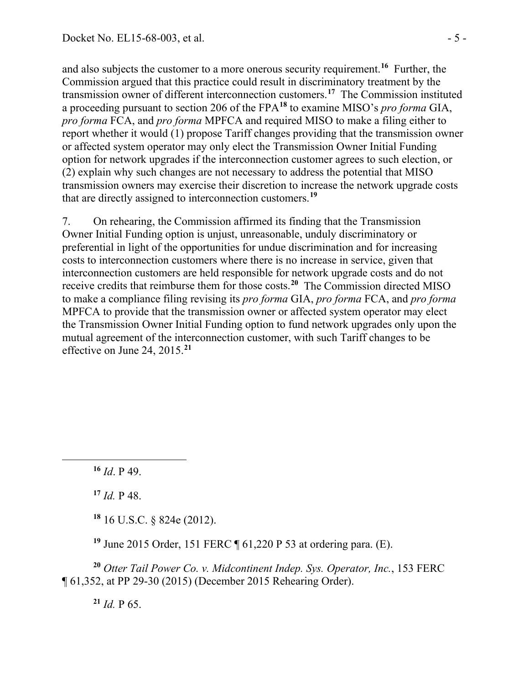and also subjects the customer to a more onerous security requirement.**[16](#page-4-0)** Further, the Commission argued that this practice could result in discriminatory treatment by the transmission owner of different interconnection customers.**[17](#page-4-1)** The Commission instituted a proceeding pursuant to section 206 of the FPA**[18](#page-4-2)** to examine MISO's *pro forma* GIA, *pro forma* FCA, and *pro forma* MPFCA and required MISO to make a filing either to report whether it would (1) propose Tariff changes providing that the transmission owner or affected system operator may only elect the Transmission Owner Initial Funding option for network upgrades if the interconnection customer agrees to such election, or (2) explain why such changes are not necessary to address the potential that MISO transmission owners may exercise their discretion to increase the network upgrade costs that are directly assigned to interconnection customers.**[19](#page-4-3)**

7. On rehearing, the Commission affirmed its finding that the Transmission Owner Initial Funding option is unjust, unreasonable, unduly discriminatory or preferential in light of the opportunities for undue discrimination and for increasing costs to interconnection customers where there is no increase in service, given that interconnection customers are held responsible for network upgrade costs and do not receive credits that reimburse them for those costs.**[20](#page-4-4)** The Commission directed MISO to make a compliance filing revising its *pro forma* GIA, *pro forma* FCA, and *pro forma*  MPFCA to provide that the transmission owner or affected system operator may elect the Transmission Owner Initial Funding option to fund network upgrades only upon the mutual agreement of the interconnection customer, with such Tariff changes to be effective on June 24, 2015.**[21](#page-4-5)**

**<sup>16</sup>** *Id*. P 49.

<span id="page-4-1"></span><span id="page-4-0"></span> $\overline{a}$ 

**<sup>17</sup>** *Id.* P 48.

**<sup>18</sup>** 16 U.S.C. § 824e (2012).

**<sup>19</sup>** June 2015 Order, 151 FERC ¶ 61,220 P 53 at ordering para. (E).

<span id="page-4-5"></span><span id="page-4-4"></span><span id="page-4-3"></span><span id="page-4-2"></span>**<sup>20</sup>** *Otter Tail Power Co. v. Midcontinent Indep. Sys. Operator, Inc.*, 153 FERC ¶ 61,352, at PP 29-30 (2015) (December 2015 Rehearing Order).

 $^{21}$  *Id.* P 65.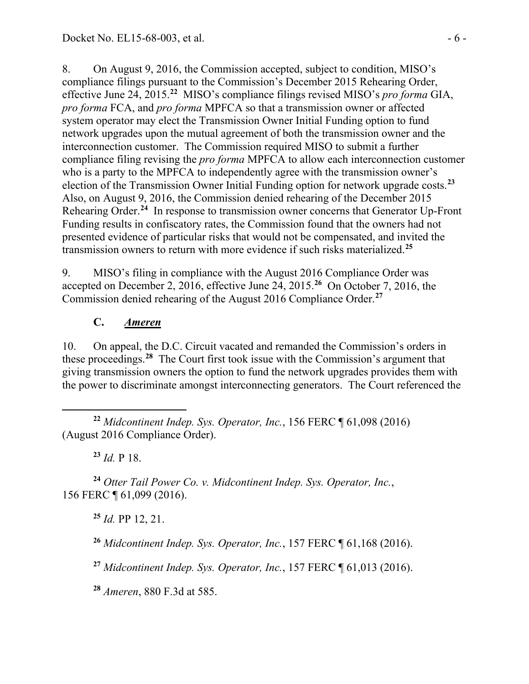8. On August 9, 2016, the Commission accepted, subject to condition, MISO's compliance filings pursuant to the Commission's December 2015 Rehearing Order, effective June 24, 2015.**[22](#page-5-0)** MISO's compliance filings revised MISO's *pro forma* GIA, *pro forma* FCA, and *pro forma* MPFCA so that a transmission owner or affected system operator may elect the Transmission Owner Initial Funding option to fund network upgrades upon the mutual agreement of both the transmission owner and the interconnection customer. The Commission required MISO to submit a further compliance filing revising the *pro forma* MPFCA to allow each interconnection customer who is a party to the MPFCA to independently agree with the transmission owner's election of the Transmission Owner Initial Funding option for network upgrade costs.**[23](#page-5-1)** Also, on August 9, 2016, the Commission denied rehearing of the December 2015 Rehearing Order.<sup>[24](#page-5-2)</sup> In response to transmission owner concerns that Generator Up-Front Funding results in confiscatory rates, the Commission found that the owners had not presented evidence of particular risks that would not be compensated, and invited the transmission owners to return with more evidence if such risks materialized.**[25](#page-5-3)**

9. MISO's filing in compliance with the August 2016 Compliance Order was accepted on December 2, 2016, effective June 24, 2015.**[26](#page-5-4)** On October 7, 2016, the Commission denied rehearing of the August 2016 Compliance Order.**[27](#page-5-5)**

## **C.** *Ameren*

10. On appeal, the D.C. Circuit vacated and remanded the Commission's orders in these proceedings.**[28](#page-5-6)** The Court first took issue with the Commission's argument that giving transmission owners the option to fund the network upgrades provides them with the power to discriminate amongst interconnecting generators. The Court referenced the

**<sup>23</sup>** *Id.* P 18.

<span id="page-5-4"></span><span id="page-5-3"></span><span id="page-5-2"></span><span id="page-5-1"></span>**<sup>24</sup>** *Otter Tail Power Co. v. Midcontinent Indep. Sys. Operator, Inc.*, 156 FERC ¶ 61,099 (2016).

**<sup>25</sup>** *Id.* PP 12, 21.

**<sup>26</sup>** *Midcontinent Indep. Sys. Operator, Inc.*, 157 FERC ¶ 61,168 (2016).

<span id="page-5-5"></span>**<sup>27</sup>** *Midcontinent Indep. Sys. Operator, Inc.*, 157 FERC ¶ 61,013 (2016).

<span id="page-5-6"></span>**<sup>28</sup>** *Ameren*, 880 F.3d at 585.

<span id="page-5-0"></span>**<sup>22</sup>** *Midcontinent Indep. Sys. Operator, Inc.*, 156 FERC ¶ 61,098 (2016) (August 2016 Compliance Order).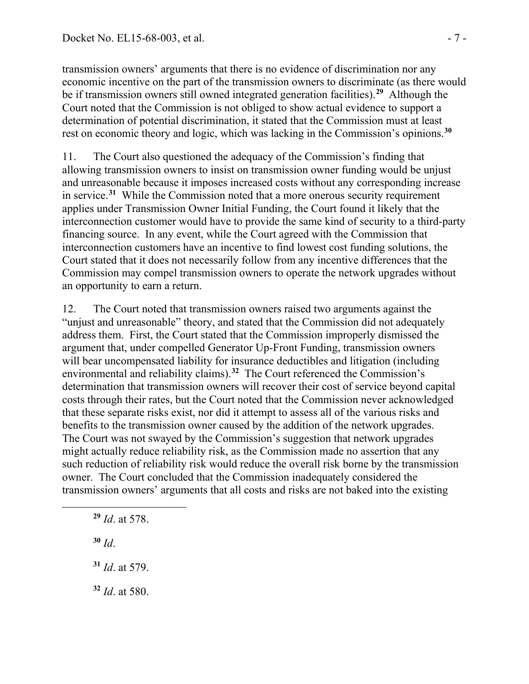transmission owners' arguments that there is no evidence of discrimination nor any economic incentive on the part of the transmission owners to discriminate (as there would be if transmission owners still owned integrated generation facilities).**[29](#page-6-0)** Although the Court noted that the Commission is not obliged to show actual evidence to support a determination of potential discrimination, it stated that the Commission must at least rest on economic theory and logic, which was lacking in the Commission's opinions.**[30](#page-6-1)**

11. The Court also questioned the adequacy of the Commission's finding that allowing transmission owners to insist on transmission owner funding would be unjust and unreasonable because it imposes increased costs without any corresponding increase in service.**[31](#page-6-2)** While the Commission noted that a more onerous security requirement applies under Transmission Owner Initial Funding, the Court found it likely that the interconnection customer would have to provide the same kind of security to a third-party financing source. In any event, while the Court agreed with the Commission that interconnection customers have an incentive to find lowest cost funding solutions, the Court stated that it does not necessarily follow from any incentive differences that the Commission may compel transmission owners to operate the network upgrades without an opportunity to earn a return.

12. The Court noted that transmission owners raised two arguments against the "unjust and unreasonable" theory, and stated that the Commission did not adequately address them. First, the Court stated that the Commission improperly dismissed the argument that, under compelled Generator Up-Front Funding, transmission owners will bear uncompensated liability for insurance deductibles and litigation (including environmental and reliability claims).**[32](#page-6-3)** The Court referenced the Commission's determination that transmission owners will recover their cost of service beyond capital costs through their rates, but the Court noted that the Commission never acknowledged that these separate risks exist, nor did it attempt to assess all of the various risks and benefits to the transmission owner caused by the addition of the network upgrades. The Court was not swayed by the Commission's suggestion that network upgrades might actually reduce reliability risk, as the Commission made no assertion that any such reduction of reliability risk would reduce the overall risk borne by the transmission owner. The Court concluded that the Commission inadequately considered the transmission owners' arguments that all costs and risks are not baked into the existing

**<sup>29</sup>** *Id*. at 578.

**<sup>30</sup>** *Id*.

<span id="page-6-2"></span><span id="page-6-1"></span><span id="page-6-0"></span> $\overline{a}$ 

**<sup>31</sup>** *Id*. at 579.

<span id="page-6-3"></span>**<sup>32</sup>** *Id*. at 580.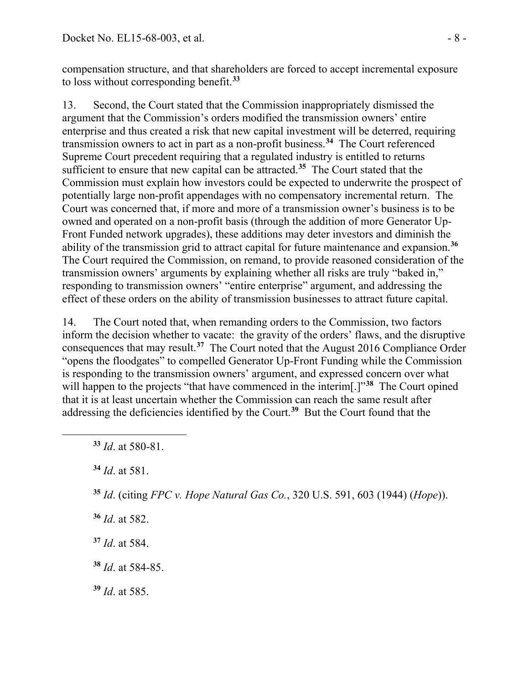compensation structure, and that shareholders are forced to accept incremental exposure to loss without corresponding benefit.**[33](#page-7-0)**

13. Second, the Court stated that the Commission inappropriately dismissed the argument that the Commission's orders modified the transmission owners' entire enterprise and thus created a risk that new capital investment will be deterred, requiring transmission owners to act in part as a non-profit business.**[34](#page-7-1)** The Court referenced Supreme Court precedent requiring that a regulated industry is entitled to returns sufficient to ensure that new capital can be attracted.**[35](#page-7-2)** The Court stated that the Commission must explain how investors could be expected to underwrite the prospect of potentially large non-profit appendages with no compensatory incremental return. The Court was concerned that, if more and more of a transmission owner's business is to be owned and operated on a non-profit basis (through the addition of more Generator Up-Front Funded network upgrades), these additions may deter investors and diminish the ability of the transmission grid to attract capital for future maintenance and expansion.**[36](#page-7-3)** The Court required the Commission, on remand, to provide reasoned consideration of the transmission owners' arguments by explaining whether all risks are truly "baked in," responding to transmission owners' "entire enterprise" argument, and addressing the effect of these orders on the ability of transmission businesses to attract future capital.

14. The Court noted that, when remanding orders to the Commission, two factors inform the decision whether to vacate: the gravity of the orders' flaws, and the disruptive consequences that may result.**[37](#page-7-4)** The Court noted that the August 2016 Compliance Order "opens the floodgates" to compelled Generator Up-Front Funding while the Commission is responding to the transmission owners' argument, and expressed concern over what will happen to the projects "that have commenced in the interim<sup>[1]"[38](#page-7-5)</sup> The Court opined that it is at least uncertain whether the Commission can reach the same result after addressing the deficiencies identified by the Court.**[39](#page-7-6)** But the Court found that the

<span id="page-7-2"></span><span id="page-7-1"></span><span id="page-7-0"></span> $\overline{a}$ 

- <span id="page-7-3"></span>**<sup>36</sup>** *Id*. at 582.
- <span id="page-7-4"></span>**<sup>37</sup>** *Id*. at 584.
- <span id="page-7-5"></span>**<sup>38</sup>** *Id*. at 584-85.
- <span id="page-7-6"></span>**<sup>39</sup>** *Id*. at 585.

**<sup>33</sup>** *Id*. at 580-81.

**<sup>34</sup>** *Id*. at 581.

**<sup>35</sup>** *Id*. (citing *FPC v. Hope Natural Gas Co.*, 320 U.S. 591, 603 (1944) (*Hope*)).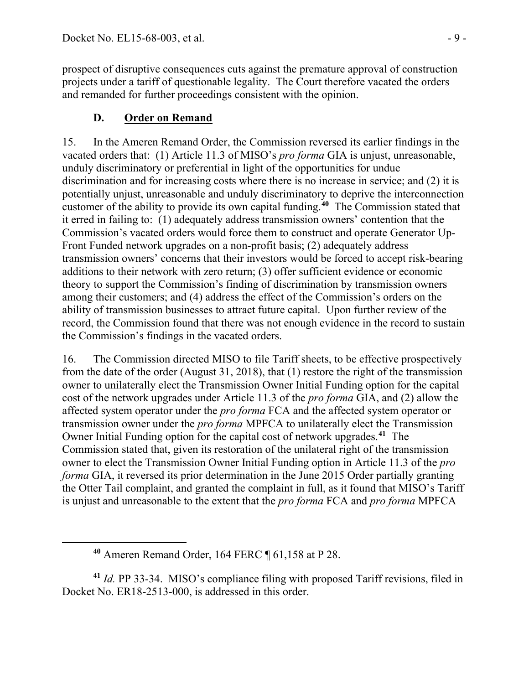prospect of disruptive consequences cuts against the premature approval of construction projects under a tariff of questionable legality. The Court therefore vacated the orders and remanded for further proceedings consistent with the opinion.

# **D. Order on Remand**

15. In the Ameren Remand Order, the Commission reversed its earlier findings in the vacated orders that: (1) Article 11.3 of MISO's *pro forma* GIA is unjust, unreasonable, unduly discriminatory or preferential in light of the opportunities for undue discrimination and for increasing costs where there is no increase in service; and (2) it is potentially unjust, unreasonable and unduly discriminatory to deprive the interconnection customer of the ability to provide its own capital funding.**[40](#page-8-0)** The Commission stated that it erred in failing to: (1) adequately address transmission owners' contention that the Commission's vacated orders would force them to construct and operate Generator Up-Front Funded network upgrades on a non-profit basis; (2) adequately address transmission owners' concerns that their investors would be forced to accept risk-bearing additions to their network with zero return; (3) offer sufficient evidence or economic theory to support the Commission's finding of discrimination by transmission owners among their customers; and (4) address the effect of the Commission's orders on the ability of transmission businesses to attract future capital. Upon further review of the record, the Commission found that there was not enough evidence in the record to sustain the Commission's findings in the vacated orders.

16. The Commission directed MISO to file Tariff sheets, to be effective prospectively from the date of the order (August 31, 2018), that (1) restore the right of the transmission owner to unilaterally elect the Transmission Owner Initial Funding option for the capital cost of the network upgrades under Article 11.3 of the *pro forma* GIA, and (2) allow the affected system operator under the *pro forma* FCA and the affected system operator or transmission owner under the *pro forma* MPFCA to unilaterally elect the Transmission Owner Initial Funding option for the capital cost of network upgrades. **[41](#page-8-1)** The Commission stated that, given its restoration of the unilateral right of the transmission owner to elect the Transmission Owner Initial Funding option in Article 11.3 of the *pro forma* GIA, it reversed its prior determination in the June 2015 Order partially granting the Otter Tail complaint, and granted the complaint in full, as it found that MISO's Tariff is unjust and unreasonable to the extent that the *pro forma* FCA and *pro forma* MPFCA

<span id="page-8-0"></span>

<span id="page-8-1"></span>**<sup>41</sup>** *Id.* PP 33-34. MISO's compliance filing with proposed Tariff revisions, filed in Docket No. ER18-2513-000, is addressed in this order.

**<sup>40</sup>** Ameren Remand Order, 164 FERC ¶ 61,158 at P 28.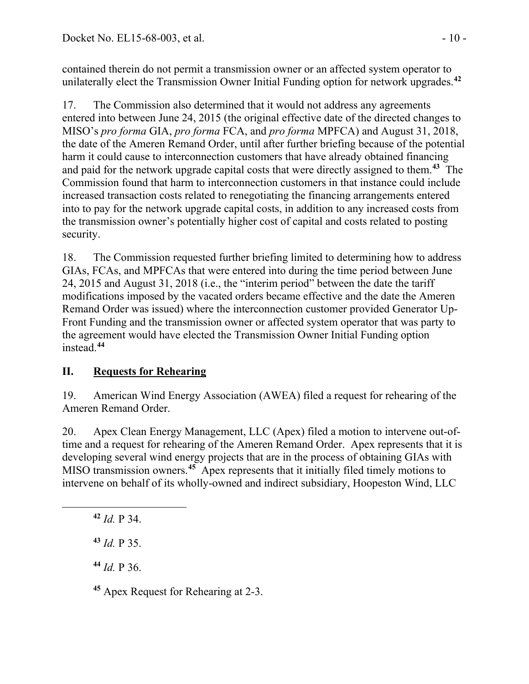contained therein do not permit a transmission owner or an affected system operator to unilaterally elect the Transmission Owner Initial Funding option for network upgrades. **[42](#page-9-0)**

17. The Commission also determined that it would not address any agreements entered into between June 24, 2015 (the original effective date of the directed changes to MISO's *pro forma* GIA, *pro forma* FCA, and *pro forma* MPFCA) and August 31, 2018, the date of the Ameren Remand Order, until after further briefing because of the potential harm it could cause to interconnection customers that have already obtained financing and paid for the network upgrade capital costs that were directly assigned to them.**[43](#page-9-1)** The Commission found that harm to interconnection customers in that instance could include increased transaction costs related to renegotiating the financing arrangements entered into to pay for the network upgrade capital costs, in addition to any increased costs from the transmission owner's potentially higher cost of capital and costs related to posting security.

18. The Commission requested further briefing limited to determining how to address GIAs, FCAs, and MPFCAs that were entered into during the time period between June 24, 2015 and August 31, 2018 (i.e., the "interim period" between the date the tariff modifications imposed by the vacated orders became effective and the date the Ameren Remand Order was issued) where the interconnection customer provided Generator Up-Front Funding and the transmission owner or affected system operator that was party to the agreement would have elected the Transmission Owner Initial Funding option instead.**[44](#page-9-2)**

# **II. Requests for Rehearing**

19. American Wind Energy Association (AWEA) filed a request for rehearing of the Ameren Remand Order.

20. Apex Clean Energy Management, LLC (Apex) filed a motion to intervene out-oftime and a request for rehearing of the Ameren Remand Order. Apex represents that it is developing several wind energy projects that are in the process of obtaining GIAs with MISO transmission owners.<sup>[45](#page-9-3)</sup> Apex represents that it initially filed timely motions to intervene on behalf of its wholly-owned and indirect subsidiary, Hoopeston Wind, LLC

<span id="page-9-2"></span><span id="page-9-1"></span><span id="page-9-0"></span> $\overline{a}$ 

**<sup>43</sup>** *Id.* P 35.

**<sup>44</sup>** *Id.* P 36.

<span id="page-9-3"></span>**<sup>45</sup>** Apex Request for Rehearing at 2-3.

**<sup>42</sup>** *Id.* P 34.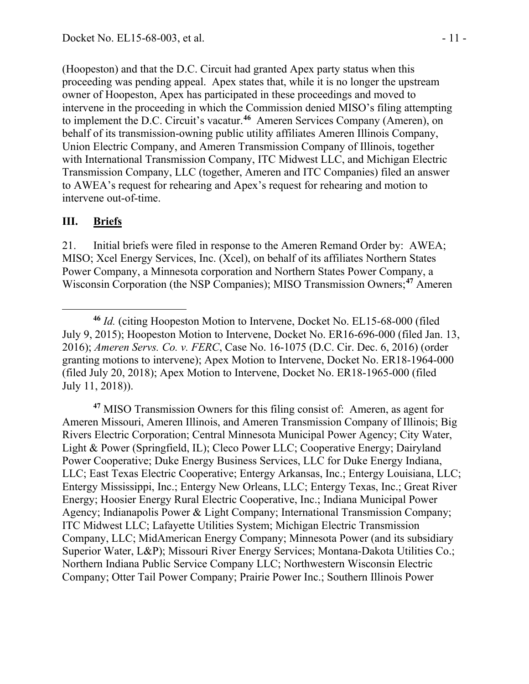(Hoopeston) and that the D.C. Circuit had granted Apex party status when this proceeding was pending appeal. Apex states that, while it is no longer the upstream owner of Hoopeston, Apex has participated in these proceedings and moved to intervene in the proceeding in which the Commission denied MISO's filing attempting to implement the D.C. Circuit's vacatur.**[46](#page-10-0)** Ameren Services Company (Ameren), on behalf of its transmission-owning public utility affiliates Ameren Illinois Company, Union Electric Company, and Ameren Transmission Company of Illinois, together with International Transmission Company, ITC Midwest LLC, and Michigan Electric Transmission Company, LLC (together, Ameren and ITC Companies) filed an answer to AWEA's request for rehearing and Apex's request for rehearing and motion to intervene out-of-time.

#### **III. Briefs**

21. Initial briefs were filed in response to the Ameren Remand Order by: AWEA; MISO; Xcel Energy Services, Inc. (Xcel), on behalf of its affiliates Northern States Power Company, a Minnesota corporation and Northern States Power Company, a Wisconsin Corporation (the NSP Companies); MISO Transmission Owners;**[47](#page-10-1)** Ameren

<span id="page-10-1"></span>**<sup>47</sup>** MISO Transmission Owners for this filing consist of: Ameren, as agent for Ameren Missouri, Ameren Illinois, and Ameren Transmission Company of Illinois; Big Rivers Electric Corporation; Central Minnesota Municipal Power Agency; City Water, Light & Power (Springfield, IL); Cleco Power LLC; Cooperative Energy; Dairyland Power Cooperative; Duke Energy Business Services, LLC for Duke Energy Indiana, LLC; East Texas Electric Cooperative; Entergy Arkansas, Inc.; Entergy Louisiana, LLC; Entergy Mississippi, Inc.; Entergy New Orleans, LLC; Entergy Texas, Inc.; Great River Energy; Hoosier Energy Rural Electric Cooperative, Inc.; Indiana Municipal Power Agency; Indianapolis Power & Light Company; International Transmission Company; ITC Midwest LLC; Lafayette Utilities System; Michigan Electric Transmission Company, LLC; MidAmerican Energy Company; Minnesota Power (and its subsidiary Superior Water, L&P); Missouri River Energy Services; Montana-Dakota Utilities Co.; Northern Indiana Public Service Company LLC; Northwestern Wisconsin Electric Company; Otter Tail Power Company; Prairie Power Inc.; Southern Illinois Power

<span id="page-10-0"></span>**<sup>46</sup>** *Id.* (citing Hoopeston Motion to Intervene, Docket No. EL15-68-000 (filed July 9, 2015); Hoopeston Motion to Intervene, Docket No. ER16-696-000 (filed Jan. 13, 2016); *Ameren Servs. Co. v. FERC*, Case No. 16-1075 (D.C. Cir. Dec. 6, 2016) (order granting motions to intervene); Apex Motion to Intervene, Docket No. ER18-1964-000 (filed July 20, 2018); Apex Motion to Intervene, Docket No. ER18-1965-000 (filed July 11, 2018)).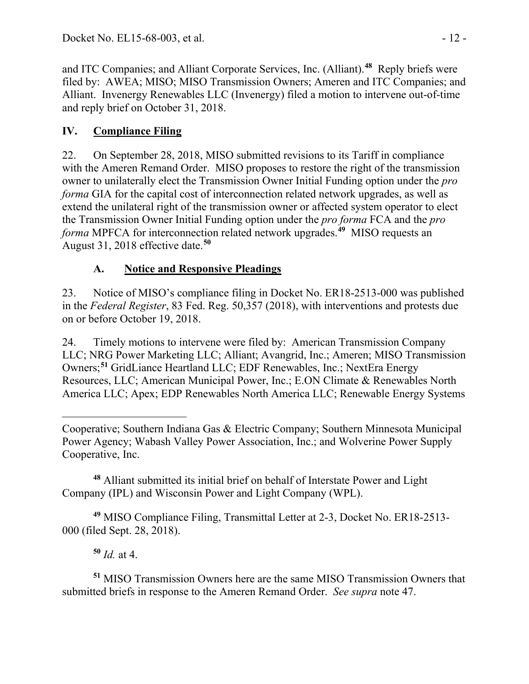and ITC Companies; and Alliant Corporate Services, Inc. (Alliant). **[48](#page-11-0)** Reply briefs were filed by: AWEA; MISO; MISO Transmission Owners; Ameren and ITC Companies; and Alliant. Invenergy Renewables LLC (Invenergy) filed a motion to intervene out-of-time and reply brief on October 31, 2018.

# **IV. Compliance Filing**

22. On September 28, 2018, MISO submitted revisions to its Tariff in compliance with the Ameren Remand Order. MISO proposes to restore the right of the transmission owner to unilaterally elect the Transmission Owner Initial Funding option under the *pro forma* GIA for the capital cost of interconnection related network upgrades, as well as extend the unilateral right of the transmission owner or affected system operator to elect the Transmission Owner Initial Funding option under the *pro forma* FCA and the *pro forma* MPFCA for interconnection related network upgrades.**[49](#page-11-1)** MISO requests an August 31, 2018 effective date.**[50](#page-11-2)**

# **A. Notice and Responsive Pleadings**

23. Notice of MISO's compliance filing in Docket No. ER18-2513-000 was published in the *Federal Register*, 83 Fed. Reg. 50,357 (2018), with interventions and protests due on or before October 19, 2018.

24. Timely motions to intervene were filed by: American Transmission Company LLC; NRG Power Marketing LLC; Alliant; Avangrid, Inc.; Ameren; MISO Transmission Owners;**[51](#page-11-3)** GridLiance Heartland LLC; EDF Renewables, Inc.; NextEra Energy Resources, LLC; American Municipal Power, Inc.; E.ON Climate & Renewables North America LLC; Apex; EDP Renewables North America LLC; Renewable Energy Systems

<span id="page-11-0"></span>**<sup>48</sup>** Alliant submitted its initial brief on behalf of Interstate Power and Light Company (IPL) and Wisconsin Power and Light Company (WPL).

<span id="page-11-1"></span>**<sup>49</sup>** MISO Compliance Filing, Transmittal Letter at 2-3, Docket No. ER18-2513- 000 (filed Sept. 28, 2018).

**<sup>50</sup>** *Id.* at 4.

<span id="page-11-3"></span><span id="page-11-2"></span>**<sup>51</sup>** MISO Transmission Owners here are the same MISO Transmission Owners that submitted briefs in response to the Ameren Remand Order. *See supra* note 47.

 $\overline{a}$ Cooperative; Southern Indiana Gas & Electric Company; Southern Minnesota Municipal Power Agency; Wabash Valley Power Association, Inc.; and Wolverine Power Supply Cooperative, Inc.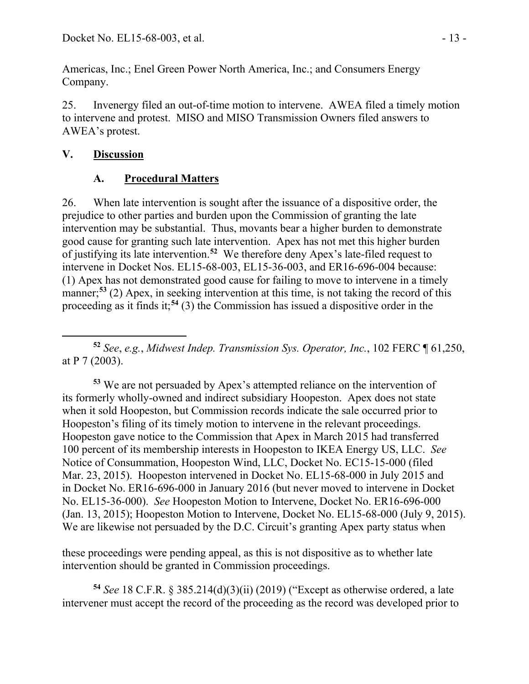Americas, Inc.; Enel Green Power North America, Inc.; and Consumers Energy Company.

25. Invenergy filed an out-of-time motion to intervene. AWEA filed a timely motion to intervene and protest. MISO and MISO Transmission Owners filed answers to AWEA's protest.

### **V. Discussion**

# **A. Procedural Matters**

26. When late intervention is sought after the issuance of a dispositive order, the prejudice to other parties and burden upon the Commission of granting the late intervention may be substantial. Thus, movants bear a higher burden to demonstrate good cause for granting such late intervention. Apex has not met this higher burden of justifying its late intervention.**[52](#page-12-0)** We therefore deny Apex's late-filed request to intervene in Docket Nos. EL15-68-003, EL15-36-003, and ER16-696-004 because: (1) Apex has not demonstrated good cause for failing to move to intervene in a timely manner; **[53](#page-12-1)** (2) Apex, in seeking intervention at this time, is not taking the record of this proceeding as it finds it; **[54](#page-12-2)** (3) the Commission has issued a dispositive order in the

<span id="page-12-0"></span> $\overline{a}$ **<sup>52</sup>** *See*, *e.g.*, *Midwest Indep. Transmission Sys. Operator, Inc.*, 102 FERC ¶ 61,250, at P 7 (2003).

<span id="page-12-1"></span>**<sup>53</sup>** We are not persuaded by Apex's attempted reliance on the intervention of its formerly wholly-owned and indirect subsidiary Hoopeston. Apex does not state when it sold Hoopeston, but Commission records indicate the sale occurred prior to Hoopeston's filing of its timely motion to intervene in the relevant proceedings. Hoopeston gave notice to the Commission that Apex in March 2015 had transferred 100 percent of its membership interests in Hoopeston to IKEA Energy US, LLC. *See* Notice of Consummation, Hoopeston Wind, LLC, Docket No. EC15-15-000 (filed Mar. 23, 2015). Hoopeston intervened in Docket No. EL15-68-000 in July 2015 and in Docket No. ER16-696-000 in January 2016 (but never moved to intervene in Docket No. EL15-36-000). *See* Hoopeston Motion to Intervene, Docket No. ER16-696-000 (Jan. 13, 2015); Hoopeston Motion to Intervene, Docket No. EL15-68-000 (July 9, 2015). We are likewise not persuaded by the D.C. Circuit's granting Apex party status when

these proceedings were pending appeal, as this is not dispositive as to whether late intervention should be granted in Commission proceedings.

<span id="page-12-2"></span>**<sup>54</sup>** *See* 18 C.F.R. § 385.214(d)(3)(ii) (2019) ("Except as otherwise ordered, a late intervener must accept the record of the proceeding as the record was developed prior to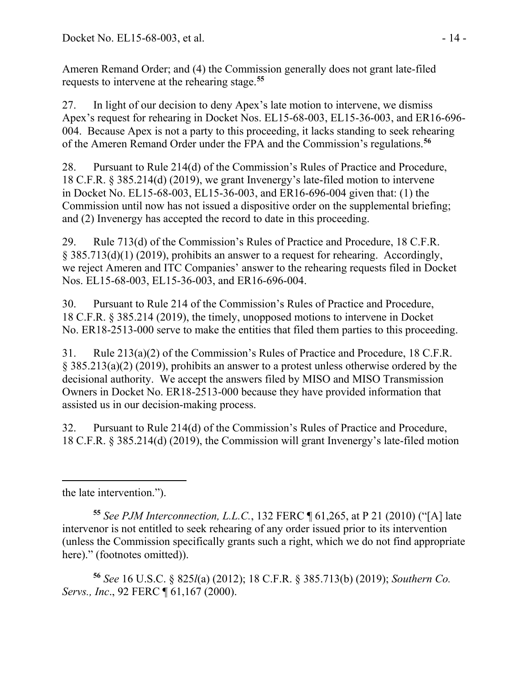Ameren Remand Order; and (4) the Commission generally does not grant late-filed requests to intervene at the rehearing stage.**[55](#page-13-0)**

27. In light of our decision to deny Apex's late motion to intervene, we dismiss Apex's request for rehearing in Docket Nos. EL15-68-003, EL15-36-003, and ER16-696- 004. Because Apex is not a party to this proceeding, it lacks standing to seek rehearing of the Ameren Remand Order under the FPA and the Commission's regulations.**[56](#page-13-1)**

28. Pursuant to Rule 214(d) of the Commission's Rules of Practice and Procedure, 18 C.F.R. § 385.214(d) (2019), we grant Invenergy's late-filed motion to intervene in Docket No. EL15-68-003, EL15-36-003, and ER16-696-004 given that: (1) the Commission until now has not issued a dispositive order on the supplemental briefing; and (2) Invenergy has accepted the record to date in this proceeding.

29. Rule 713(d) of the Commission's Rules of Practice and Procedure, 18 C.F.R. § 385.713(d)(1) (2019), prohibits an answer to a request for rehearing. Accordingly, we reject Ameren and ITC Companies' answer to the rehearing requests filed in Docket Nos. EL15-68-003, EL15-36-003, and ER16-696-004.

30. Pursuant to Rule 214 of the Commission's Rules of Practice and Procedure, 18 C.F.R. § 385.214 (2019), the timely, unopposed motions to intervene in Docket No. ER18-2513-000 serve to make the entities that filed them parties to this proceeding.

31. Rule 213(a)(2) of the Commission's Rules of Practice and Procedure, 18 C.F.R. § 385.213(a)(2) (2019), prohibits an answer to a protest unless otherwise ordered by the decisional authority. We accept the answers filed by MISO and MISO Transmission Owners in Docket No. ER18-2513-000 because they have provided information that assisted us in our decision-making process.

32. Pursuant to Rule 214(d) of the Commission's Rules of Practice and Procedure, 18 C.F.R. § 385.214(d) (2019), the Commission will grant Invenergy's late-filed motion

<span id="page-13-1"></span>**<sup>56</sup>** *See* 16 U.S.C. § 825*l*(a) (2012); 18 C.F.R. § 385.713(b) (2019); *Southern Co. Servs., Inc*., 92 FERC ¶ 61,167 (2000).

 $\overline{a}$ the late intervention.").

<span id="page-13-0"></span>**<sup>55</sup>** *See PJM Interconnection, L.L.C.*, 132 FERC ¶ 61,265, at P 21 (2010) ("[A] late intervenor is not entitled to seek rehearing of any order issued prior to its intervention (unless the Commission specifically grants such a right, which we do not find appropriate here)." (footnotes omitted)).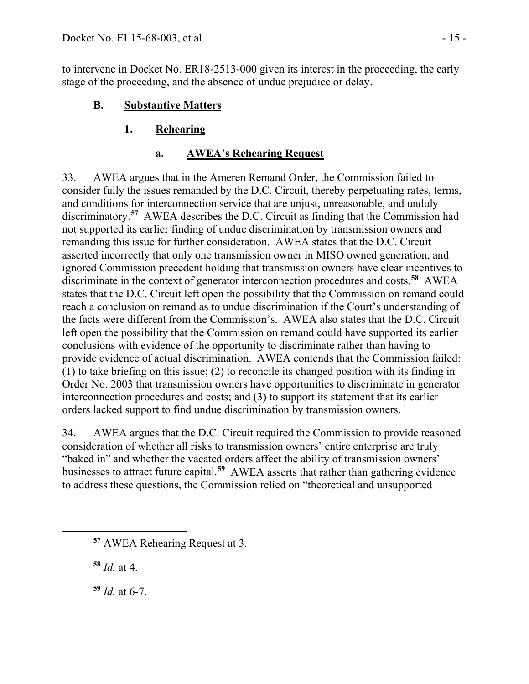to intervene in Docket No. ER18-2513-000 given its interest in the proceeding, the early stage of the proceeding, and the absence of undue prejudice or delay.

# **B. Substantive Matters**

# **1. Rehearing**

# **a. AWEA's Rehearing Request**

33. AWEA argues that in the Ameren Remand Order, the Commission failed to consider fully the issues remanded by the D.C. Circuit, thereby perpetuating rates, terms, and conditions for interconnection service that are unjust, unreasonable, and unduly discriminatory.<sup>[57](#page-14-0)</sup> AWEA describes the D.C. Circuit as finding that the Commission had not supported its earlier finding of undue discrimination by transmission owners and remanding this issue for further consideration. AWEA states that the D.C. Circuit asserted incorrectly that only one transmission owner in MISO owned generation, and ignored Commission precedent holding that transmission owners have clear incentives to discriminate in the context of generator interconnection procedures and costs.**[58](#page-14-1)** AWEA states that the D.C. Circuit left open the possibility that the Commission on remand could reach a conclusion on remand as to undue discrimination if the Court's understanding of the facts were different from the Commission's. AWEA also states that the D.C. Circuit left open the possibility that the Commission on remand could have supported its earlier conclusions with evidence of the opportunity to discriminate rather than having to provide evidence of actual discrimination. AWEA contends that the Commission failed: (1) to take briefing on this issue; (2) to reconcile its changed position with its finding in Order No. 2003 that transmission owners have opportunities to discriminate in generator interconnection procedures and costs; and (3) to support its statement that its earlier orders lacked support to find undue discrimination by transmission owners.

34. AWEA argues that the D.C. Circuit required the Commission to provide reasoned consideration of whether all risks to transmission owners' entire enterprise are truly "baked in" and whether the vacated orders affect the ability of transmission owners' businesses to attract future capital.**[59](#page-14-2)** AWEA asserts that rather than gathering evidence to address these questions, the Commission relied on "theoretical and unsupported

**<sup>58</sup>** *Id.* at 4.

<span id="page-14-2"></span><span id="page-14-1"></span><span id="page-14-0"></span> $\overline{a}$ 

**<sup>59</sup>** *Id.* at 6-7.

**<sup>57</sup>** AWEA Rehearing Request at 3.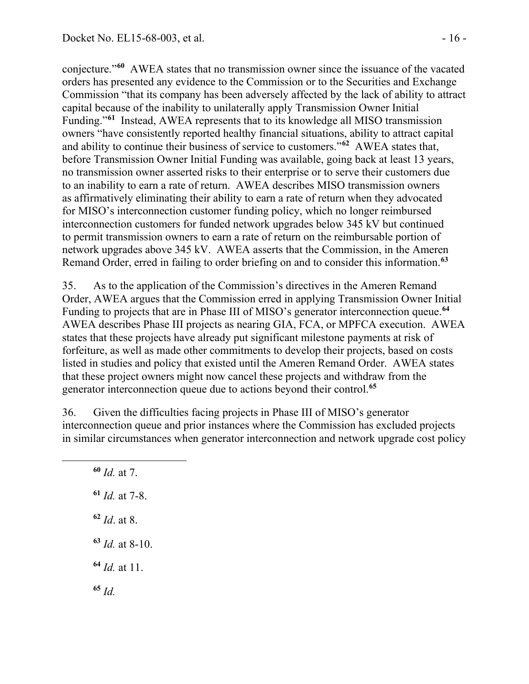conjecture."**[60](#page-15-0)** AWEA states that no transmission owner since the issuance of the vacated orders has presented any evidence to the Commission or to the Securities and Exchange Commission "that its company has been adversely affected by the lack of ability to attract capital because of the inability to unilaterally apply Transmission Owner Initial Funding."**[61](#page-15-1)** Instead, AWEA represents that to its knowledge all MISO transmission owners "have consistently reported healthy financial situations, ability to attract capital and ability to continue their business of service to customers."**[62](#page-15-2)** AWEA states that, before Transmission Owner Initial Funding was available, going back at least 13 years, no transmission owner asserted risks to their enterprise or to serve their customers due to an inability to earn a rate of return. AWEA describes MISO transmission owners as affirmatively eliminating their ability to earn a rate of return when they advocated for MISO's interconnection customer funding policy, which no longer reimbursed interconnection customers for funded network upgrades below 345 kV but continued to permit transmission owners to earn a rate of return on the reimbursable portion of network upgrades above 345 kV. AWEA asserts that the Commission, in the Ameren Remand Order, erred in failing to order briefing on and to consider this information.**[63](#page-15-3)**

35. As to the application of the Commission's directives in the Ameren Remand Order, AWEA argues that the Commission erred in applying Transmission Owner Initial Funding to projects that are in Phase III of MISO's generator interconnection queue.**[64](#page-15-4)** AWEA describes Phase III projects as nearing GIA, FCA, or MPFCA execution. AWEA states that these projects have already put significant milestone payments at risk of forfeiture, as well as made other commitments to develop their projects, based on costs listed in studies and policy that existed until the Ameren Remand Order. AWEA states that these project owners might now cancel these projects and withdraw from the generator interconnection queue due to actions beyond their control.**[65](#page-15-5)**

36. Given the difficulties facing projects in Phase III of MISO's generator interconnection queue and prior instances where the Commission has excluded projects in similar circumstances when generator interconnection and network upgrade cost policy

 *Id.* at 7. *Id.* at 7-8. *Id*. at 8. *Id.* at 8-10. *Id.* at 11. **<sup>65</sup>** *Id.*

<span id="page-15-5"></span><span id="page-15-4"></span><span id="page-15-3"></span><span id="page-15-2"></span><span id="page-15-1"></span><span id="page-15-0"></span>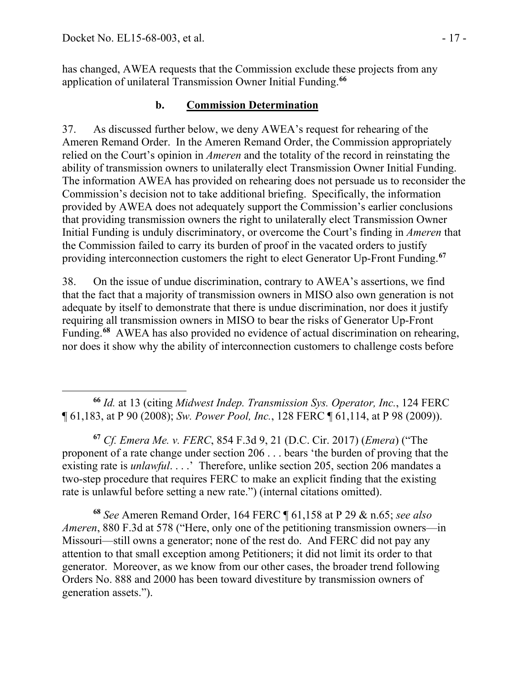has changed, AWEA requests that the Commission exclude these projects from any application of unilateral Transmission Owner Initial Funding.**[66](#page-16-0)**

## **b. Commission Determination**

37. As discussed further below, we deny AWEA's request for rehearing of the Ameren Remand Order. In the Ameren Remand Order, the Commission appropriately relied on the Court's opinion in *Ameren* and the totality of the record in reinstating the ability of transmission owners to unilaterally elect Transmission Owner Initial Funding. The information AWEA has provided on rehearing does not persuade us to reconsider the Commission's decision not to take additional briefing. Specifically, the information provided by AWEA does not adequately support the Commission's earlier conclusions that providing transmission owners the right to unilaterally elect Transmission Owner Initial Funding is unduly discriminatory, or overcome the Court's finding in *Ameren* that the Commission failed to carry its burden of proof in the vacated orders to justify providing interconnection customers the right to elect Generator Up-Front Funding.**[67](#page-16-1)**

38. On the issue of undue discrimination, contrary to AWEA's assertions, we find that the fact that a majority of transmission owners in MISO also own generation is not adequate by itself to demonstrate that there is undue discrimination, nor does it justify requiring all transmission owners in MISO to bear the risks of Generator Up-Front Funding.**[68](#page-16-2)** AWEA has also provided no evidence of actual discrimination on rehearing, nor does it show why the ability of interconnection customers to challenge costs before

<span id="page-16-0"></span> $\overline{a}$ **<sup>66</sup>** *Id.* at 13 (citing *Midwest Indep. Transmission Sys. Operator, Inc.*, 124 FERC ¶ 61,183, at P 90 (2008); *Sw. Power Pool, Inc.*, 128 FERC ¶ 61,114, at P 98 (2009)).

<span id="page-16-1"></span>**<sup>67</sup>** *Cf. Emera Me. v. FERC*, 854 F.3d 9, 21 (D.C. Cir. 2017) (*Emera*) ("The proponent of a rate change under section 206 . . . bears 'the burden of proving that the existing rate is *unlawful...*.' Therefore, unlike section 205, section 206 mandates a two-step procedure that requires FERC to make an explicit finding that the existing rate is unlawful before setting a new rate.") (internal citations omitted).

<span id="page-16-2"></span>**<sup>68</sup>** *See* Ameren Remand Order, 164 FERC ¶ 61,158 at P 29 & n.65; *see also Ameren*, 880 F.3d at 578 ("Here, only one of the petitioning transmission owners—in Missouri—still owns a generator; none of the rest do. And FERC did not pay any attention to that small exception among Petitioners; it did not limit its order to that generator. Moreover, as we know from our other cases, the broader trend following Orders No. 888 and 2000 has been toward divestiture by transmission owners of generation assets.").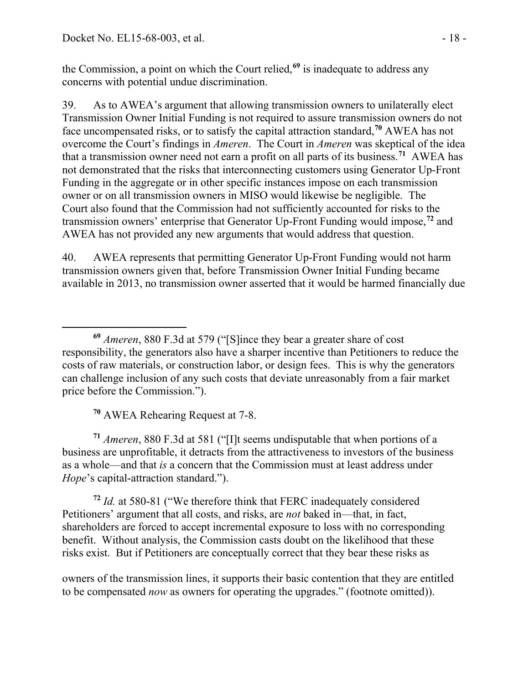the Commission, a point on which the Court relied,**[69](#page-17-0)** is inadequate to address any concerns with potential undue discrimination.

39. As to AWEA's argument that allowing transmission owners to unilaterally elect Transmission Owner Initial Funding is not required to assure transmission owners do not face uncompensated risks, or to satisfy the capital attraction standard,**[70](#page-17-1)** AWEA has not overcome the Court's findings in *Ameren*. The Court in *Ameren* was skeptical of the idea that a transmission owner need not earn a profit on all parts of its business.**[71](#page-17-2)** AWEA has not demonstrated that the risks that interconnecting customers using Generator Up-Front Funding in the aggregate or in other specific instances impose on each transmission owner or on all transmission owners in MISO would likewise be negligible. The Court also found that the Commission had not sufficiently accounted for risks to the transmission owners' enterprise that Generator Up-Front Funding would impose,**[72](#page-17-3)** and AWEA has not provided any new arguments that would address that question.

40. AWEA represents that permitting Generator Up-Front Funding would not harm transmission owners given that, before Transmission Owner Initial Funding became available in 2013, no transmission owner asserted that it would be harmed financially due

**<sup>70</sup>** AWEA Rehearing Request at 7-8.

<span id="page-17-2"></span><span id="page-17-1"></span>**<sup>71</sup>** *Ameren*, 880 F.3d at 581 ("[I]t seems undisputable that when portions of a business are unprofitable, it detracts from the attractiveness to investors of the business as a whole—and that *is* a concern that the Commission must at least address under *Hope*'s capital-attraction standard.").

<span id="page-17-3"></span>**<sup>72</sup>** *Id.* at 580-81 ("We therefore think that FERC inadequately considered Petitioners' argument that all costs, and risks, are *not* baked in—that, in fact, shareholders are forced to accept incremental exposure to loss with no corresponding benefit. Without analysis, the Commission casts doubt on the likelihood that these risks exist. But if Petitioners are conceptually correct that they bear these risks as

owners of the transmission lines, it supports their basic contention that they are entitled to be compensated *now* as owners for operating the upgrades." (footnote omitted)).

<span id="page-17-0"></span> $\overline{a}$ **<sup>69</sup>** *Ameren*, 880 F.3d at 579 ("[S]ince they bear a greater share of cost responsibility, the generators also have a sharper incentive than Petitioners to reduce the costs of raw materials, or construction labor, or design fees. This is why the generators can challenge inclusion of any such costs that deviate unreasonably from a fair market price before the Commission.").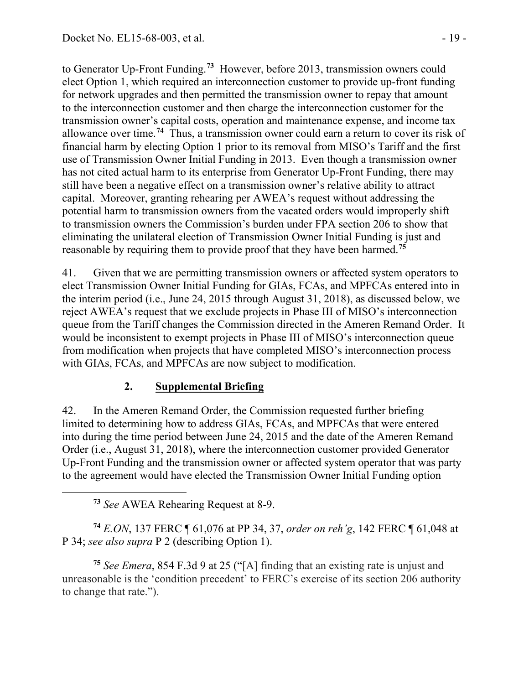to Generator Up-Front Funding.**[73](#page-18-0)** However, before 2013, transmission owners could elect Option 1, which required an interconnection customer to provide up-front funding for network upgrades and then permitted the transmission owner to repay that amount to the interconnection customer and then charge the interconnection customer for the transmission owner's capital costs, operation and maintenance expense, and income tax allowance over time. **[74](#page-18-1)** Thus, a transmission owner could earn a return to cover its risk of financial harm by electing Option 1 prior to its removal from MISO's Tariff and the first use of Transmission Owner Initial Funding in 2013. Even though a transmission owner has not cited actual harm to its enterprise from Generator Up-Front Funding, there may still have been a negative effect on a transmission owner's relative ability to attract capital. Moreover, granting rehearing per AWEA's request without addressing the potential harm to transmission owners from the vacated orders would improperly shift to transmission owners the Commission's burden under FPA section 206 to show that eliminating the unilateral election of Transmission Owner Initial Funding is just and reasonable by requiring them to provide proof that they have been harmed. **[75](#page-18-2)**

41. Given that we are permitting transmission owners or affected system operators to elect Transmission Owner Initial Funding for GIAs, FCAs, and MPFCAs entered into in the interim period (i.e., June 24, 2015 through August 31, 2018), as discussed below, we reject AWEA's request that we exclude projects in Phase III of MISO's interconnection queue from the Tariff changes the Commission directed in the Ameren Remand Order. It would be inconsistent to exempt projects in Phase III of MISO's interconnection queue from modification when projects that have completed MISO's interconnection process with GIAs, FCAs, and MPFCAs are now subject to modification.

## **2. Supplemental Briefing**

42. In the Ameren Remand Order, the Commission requested further briefing limited to determining how to address GIAs, FCAs, and MPFCAs that were entered into during the time period between June 24, 2015 and the date of the Ameren Remand Order (i.e., August 31, 2018), where the interconnection customer provided Generator Up-Front Funding and the transmission owner or affected system operator that was party to the agreement would have elected the Transmission Owner Initial Funding option

**<sup>73</sup>** *See* AWEA Rehearing Request at 8-9.

<span id="page-18-0"></span> $\overline{a}$ 

<span id="page-18-1"></span>**<sup>74</sup>** *E.ON*, 137 FERC ¶ 61,076 at PP 34, 37, *order on reh'g*, 142 FERC ¶ 61,048 at P 34; *see also supra* P 2 (describing Option 1).

<span id="page-18-2"></span>**<sup>75</sup>** *See Emera*, 854 F.3d 9 at 25 ("[A] finding that an existing rate is unjust and unreasonable is the 'condition precedent' to FERC's exercise of its section 206 authority to change that rate.").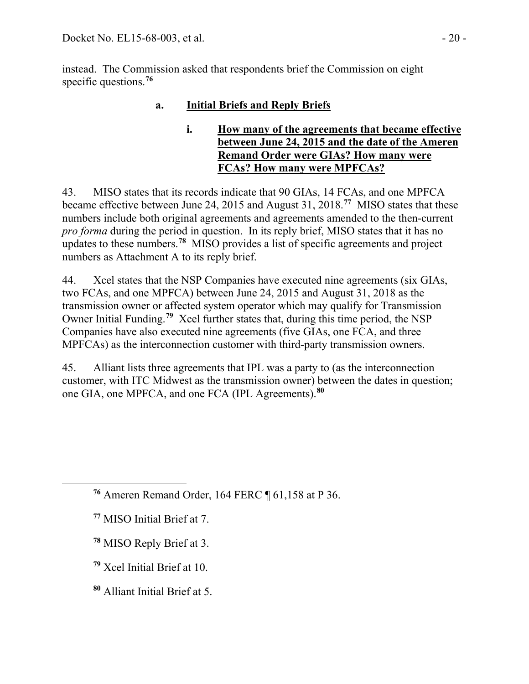instead. The Commission asked that respondents brief the Commission on eight specific questions.**[76](#page-19-0)**

# **a. Initial Briefs and Reply Briefs**

### **i. How many of the agreements that became effective between June 24, 2015 and the date of the Ameren Remand Order were GIAs? How many were FCAs? How many were MPFCAs?**

43. MISO states that its records indicate that 90 GIAs, 14 FCAs, and one MPFCA became effective between June 24, 2015 and August 31, 2018.**[77](#page-19-1)** MISO states that these numbers include both original agreements and agreements amended to the then-current *pro forma* during the period in question. In its reply brief, MISO states that it has no updates to these numbers.**[78](#page-19-2)** MISO provides a list of specific agreements and project numbers as Attachment A to its reply brief.

44. Xcel states that the NSP Companies have executed nine agreements (six GIAs, two FCAs, and one MPFCA) between June 24, 2015 and August 31, 2018 as the transmission owner or affected system operator which may qualify for Transmission Owner Initial Funding.**[79](#page-19-3)** Xcel further states that, during this time period, the NSP Companies have also executed nine agreements (five GIAs, one FCA, and three MPFCAs) as the interconnection customer with third-party transmission owners.

45. Alliant lists three agreements that IPL was a party to (as the interconnection customer, with ITC Midwest as the transmission owner) between the dates in question; one GIA, one MPFCA, and one FCA (IPL Agreements).**[80](#page-19-4)**

<span id="page-19-2"></span><span id="page-19-1"></span><span id="page-19-0"></span> $\overline{a}$ 

- **<sup>78</sup>** MISO Reply Brief at 3.
- <span id="page-19-3"></span>**<sup>79</sup>** Xcel Initial Brief at 10.
- <span id="page-19-4"></span>**<sup>80</sup>** Alliant Initial Brief at 5.

**<sup>76</sup>** Ameren Remand Order, 164 FERC ¶ 61,158 at P 36.

**<sup>77</sup>** MISO Initial Brief at 7.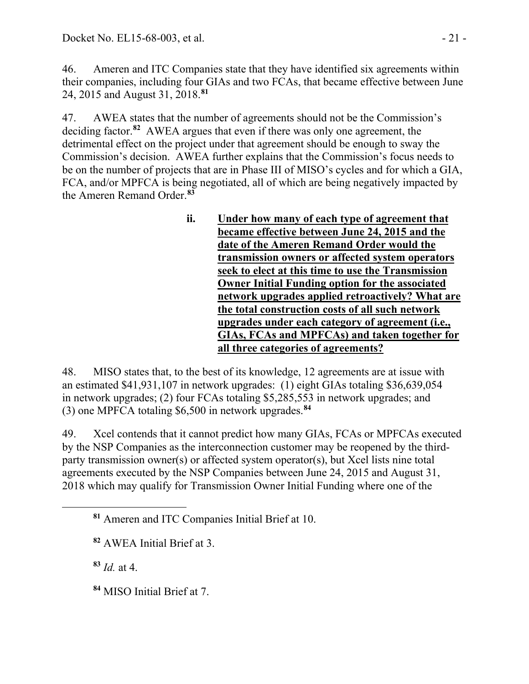46. Ameren and ITC Companies state that they have identified six agreements within their companies, including four GIAs and two FCAs, that became effective between June 24, 2015 and August 31, 2018.**[81](#page-20-0)**

47. AWEA states that the number of agreements should not be the Commission's deciding factor.**[82](#page-20-1)** AWEA argues that even if there was only one agreement, the detrimental effect on the project under that agreement should be enough to sway the Commission's decision. AWEA further explains that the Commission's focus needs to be on the number of projects that are in Phase III of MISO's cycles and for which a GIA, FCA, and/or MPFCA is being negotiated, all of which are being negatively impacted by the Ameren Remand Order.**[83](#page-20-2)**

> **ii. Under how many of each type of agreement that became effective between June 24, 2015 and the date of the Ameren Remand Order would the transmission owners or affected system operators seek to elect at this time to use the Transmission Owner Initial Funding option for the associated network upgrades applied retroactively? What are the total construction costs of all such network upgrades under each category of agreement (i.e., GIAs, FCAs and MPFCAs) and taken together for all three categories of agreements?**

48. MISO states that, to the best of its knowledge, 12 agreements are at issue with an estimated \$41,931,107 in network upgrades: (1) eight GIAs totaling \$36,639,054 in network upgrades; (2) four FCAs totaling \$5,285,553 in network upgrades; and (3) one MPFCA totaling \$6,500 in network upgrades.**[84](#page-20-3)**

49. Xcel contends that it cannot predict how many GIAs, FCAs or MPFCAs executed by the NSP Companies as the interconnection customer may be reopened by the thirdparty transmission owner(s) or affected system operator(s), but Xcel lists nine total agreements executed by the NSP Companies between June 24, 2015 and August 31, 2018 which may qualify for Transmission Owner Initial Funding where one of the

**<sup>83</sup>** *Id.* at 4.

<span id="page-20-2"></span><span id="page-20-1"></span><span id="page-20-0"></span> $\overline{a}$ 

<span id="page-20-3"></span>**<sup>84</sup>** MISO Initial Brief at 7.

**<sup>81</sup>** Ameren and ITC Companies Initial Brief at 10.

**<sup>82</sup>** AWEA Initial Brief at 3.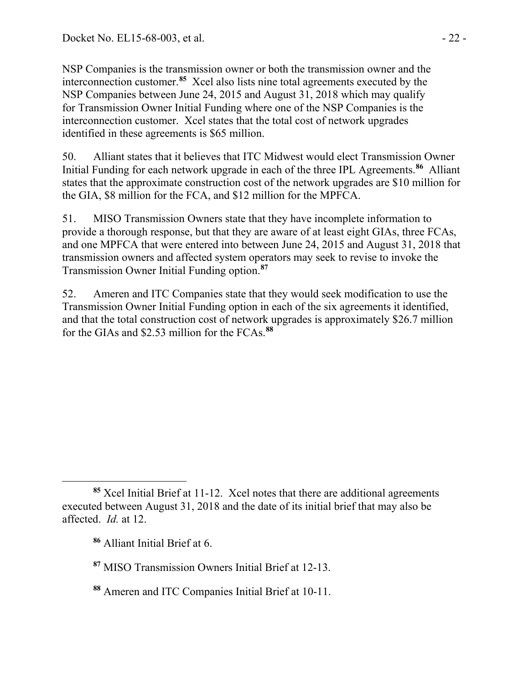NSP Companies is the transmission owner or both the transmission owner and the interconnection customer.**[85](#page-21-0)** Xcel also lists nine total agreements executed by the NSP Companies between June 24, 2015 and August 31, 2018 which may qualify for Transmission Owner Initial Funding where one of the NSP Companies is the interconnection customer. Xcel states that the total cost of network upgrades identified in these agreements is \$65 million.

50. Alliant states that it believes that ITC Midwest would elect Transmission Owner Initial Funding for each network upgrade in each of the three IPL Agreements.**[86](#page-21-1)** Alliant states that the approximate construction cost of the network upgrades are \$10 million for the GIA, \$8 million for the FCA, and \$12 million for the MPFCA.

51. MISO Transmission Owners state that they have incomplete information to provide a thorough response, but that they are aware of at least eight GIAs, three FCAs, and one MPFCA that were entered into between June 24, 2015 and August 31, 2018 that transmission owners and affected system operators may seek to revise to invoke the Transmission Owner Initial Funding option.**[87](#page-21-2)**

52. Ameren and ITC Companies state that they would seek modification to use the Transmission Owner Initial Funding option in each of the six agreements it identified, and that the total construction cost of network upgrades is approximately \$26.7 million for the GIAs and \$2.53 million for the FCAs.**[88](#page-21-3)**

<span id="page-21-2"></span>**<sup>87</sup>** MISO Transmission Owners Initial Brief at 12-13.

<span id="page-21-1"></span><span id="page-21-0"></span>**<sup>85</sup>** Xcel Initial Brief at 11-12. Xcel notes that there are additional agreements executed between August 31, 2018 and the date of its initial brief that may also be affected. *Id.* at 12.

**<sup>86</sup>** Alliant Initial Brief at 6.

<span id="page-21-3"></span>**<sup>88</sup>** Ameren and ITC Companies Initial Brief at 10-11.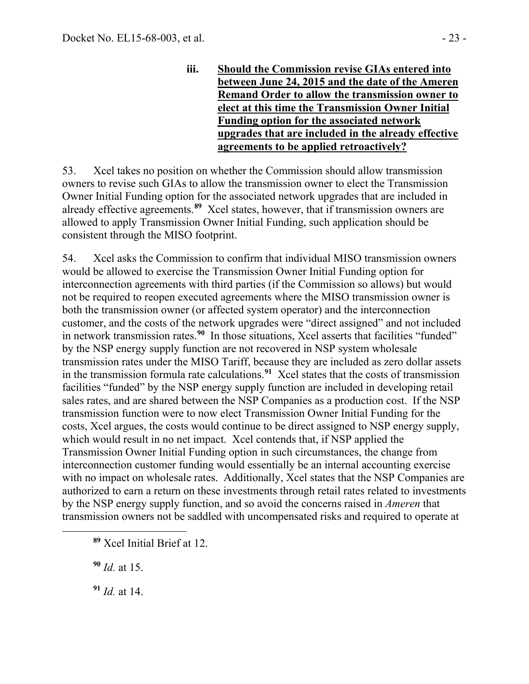**iii. Should the Commission revise GIAs entered into between June 24, 2015 and the date of the Ameren Remand Order to allow the transmission owner to elect at this time the Transmission Owner Initial Funding option for the associated network upgrades that are included in the already effective agreements to be applied retroactively?**

53. Xcel takes no position on whether the Commission should allow transmission owners to revise such GIAs to allow the transmission owner to elect the Transmission Owner Initial Funding option for the associated network upgrades that are included in already effective agreements.**[89](#page-22-0)** Xcel states, however, that if transmission owners are allowed to apply Transmission Owner Initial Funding, such application should be consistent through the MISO footprint.

54. Xcel asks the Commission to confirm that individual MISO transmission owners would be allowed to exercise the Transmission Owner Initial Funding option for interconnection agreements with third parties (if the Commission so allows) but would not be required to reopen executed agreements where the MISO transmission owner is both the transmission owner (or affected system operator) and the interconnection customer, and the costs of the network upgrades were "direct assigned" and not included in network transmission rates.**[90](#page-22-1)** In those situations, Xcel asserts that facilities "funded" by the NSP energy supply function are not recovered in NSP system wholesale transmission rates under the MISO Tariff, because they are included as zero dollar assets in the transmission formula rate calculations.**[91](#page-22-2)** Xcel states that the costs of transmission facilities "funded" by the NSP energy supply function are included in developing retail sales rates, and are shared between the NSP Companies as a production cost. If the NSP transmission function were to now elect Transmission Owner Initial Funding for the costs, Xcel argues, the costs would continue to be direct assigned to NSP energy supply, which would result in no net impact. Xcel contends that, if NSP applied the Transmission Owner Initial Funding option in such circumstances, the change from interconnection customer funding would essentially be an internal accounting exercise with no impact on wholesale rates. Additionally, Xcel states that the NSP Companies are authorized to earn a return on these investments through retail rates related to investments by the NSP energy supply function, and so avoid the concerns raised in *Ameren* that transmission owners not be saddled with uncompensated risks and required to operate at

**<sup>90</sup>** *Id.* at 15.

<span id="page-22-2"></span><span id="page-22-1"></span><span id="page-22-0"></span> $\overline{a}$ 

**<sup>91</sup>** *Id.* at 14.

**<sup>89</sup>** Xcel Initial Brief at 12.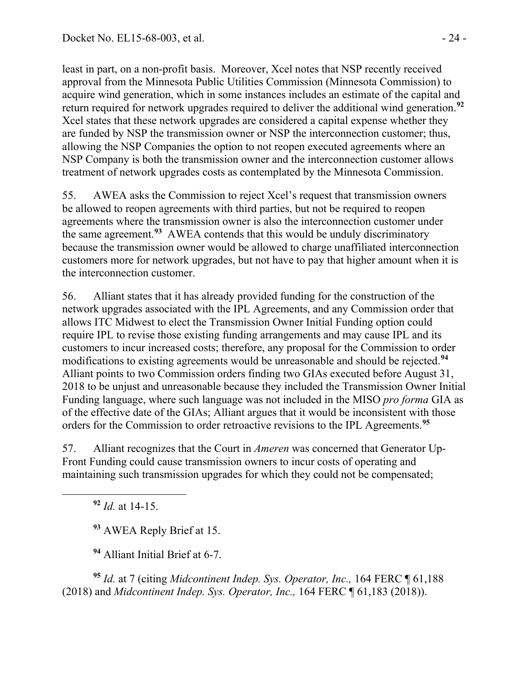least in part, on a non-profit basis. Moreover, Xcel notes that NSP recently received approval from the Minnesota Public Utilities Commission (Minnesota Commission) to acquire wind generation, which in some instances includes an estimate of the capital and return required for network upgrades required to deliver the additional wind generation.**[92](#page-23-0)** Xcel states that these network upgrades are considered a capital expense whether they are funded by NSP the transmission owner or NSP the interconnection customer; thus, allowing the NSP Companies the option to not reopen executed agreements where an NSP Company is both the transmission owner and the interconnection customer allows treatment of network upgrades costs as contemplated by the Minnesota Commission.

55. AWEA asks the Commission to reject Xcel's request that transmission owners be allowed to reopen agreements with third parties, but not be required to reopen agreements where the transmission owner is also the interconnection customer under the same agreement.**[93](#page-23-1)** AWEA contends that this would be unduly discriminatory because the transmission owner would be allowed to charge unaffiliated interconnection customers more for network upgrades, but not have to pay that higher amount when it is the interconnection customer.

56. Alliant states that it has already provided funding for the construction of the network upgrades associated with the IPL Agreements, and any Commission order that allows ITC Midwest to elect the Transmission Owner Initial Funding option could require IPL to revise those existing funding arrangements and may cause IPL and its customers to incur increased costs; therefore, any proposal for the Commission to order modifications to existing agreements would be unreasonable and should be rejected.**[94](#page-23-2)** Alliant points to two Commission orders finding two GIAs executed before August 31, 2018 to be unjust and unreasonable because they included the Transmission Owner Initial Funding language, where such language was not included in the MISO *pro forma* GIA as of the effective date of the GIAs; Alliant argues that it would be inconsistent with those orders for the Commission to order retroactive revisions to the IPL Agreements.**[95](#page-23-3)**

57. Alliant recognizes that the Court in *Ameren* was concerned that Generator Up-Front Funding could cause transmission owners to incur costs of operating and maintaining such transmission upgrades for which they could not be compensated;

**<sup>92</sup>** *Id.* at 14-15.

<span id="page-23-1"></span><span id="page-23-0"></span> $\overline{a}$ 

**<sup>93</sup>** AWEA Reply Brief at 15.

**<sup>94</sup>** Alliant Initial Brief at 6-7.

<span id="page-23-3"></span><span id="page-23-2"></span>**<sup>95</sup>** *Id.* at 7 (citing *Midcontinent Indep. Sys. Operator, Inc.,* 164 FERC ¶ 61,188 (2018) and *Midcontinent Indep. Sys. Operator, Inc.,* 164 FERC ¶ 61,183 (2018)).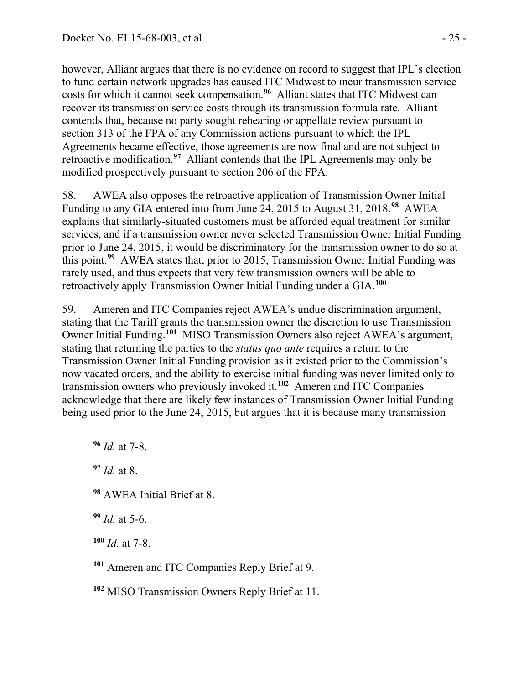however, Alliant argues that there is no evidence on record to suggest that IPL's election to fund certain network upgrades has caused ITC Midwest to incur transmission service costs for which it cannot seek compensation.**[96](#page-24-0)** Alliant states that ITC Midwest can recover its transmission service costs through its transmission formula rate. Alliant contends that, because no party sought rehearing or appellate review pursuant to section 313 of the FPA of any Commission actions pursuant to which the IPL Agreements became effective, those agreements are now final and are not subject to retroactive modification.**[97](#page-24-1)** Alliant contends that the IPL Agreements may only be modified prospectively pursuant to section 206 of the FPA.

58. AWEA also opposes the retroactive application of Transmission Owner Initial Funding to any GIA entered into from June 24, 2015 to August 31, 2018.**[98](#page-24-2)** AWEA explains that similarly-situated customers must be afforded equal treatment for similar services, and if a transmission owner never selected Transmission Owner Initial Funding prior to June 24, 2015, it would be discriminatory for the transmission owner to do so at this point.**[99](#page-24-3)** AWEA states that, prior to 2015, Transmission Owner Initial Funding was rarely used, and thus expects that very few transmission owners will be able to retroactively apply Transmission Owner Initial Funding under a GIA.**[100](#page-24-4)**

59. Ameren and ITC Companies reject AWEA's undue discrimination argument, stating that the Tariff grants the transmission owner the discretion to use Transmission Owner Initial Funding.**[101](#page-24-5)** MISO Transmission Owners also reject AWEA's argument, stating that returning the parties to the *status quo ante* requires a return to the Transmission Owner Initial Funding provision as it existed prior to the Commission's now vacated orders, and the ability to exercise initial funding was never limited only to transmission owners who previously invoked it.**[102](#page-24-6)** Ameren and ITC Companies acknowledge that there are likely few instances of Transmission Owner Initial Funding being used prior to the June 24, 2015, but argues that it is because many transmission

**<sup>96</sup>** *Id.* at 7-8.

<span id="page-24-2"></span><span id="page-24-1"></span><span id="page-24-0"></span> $\overline{a}$ 

**<sup>97</sup>** *Id.* at 8.

**<sup>98</sup>** AWEA Initial Brief at 8.

<span id="page-24-3"></span>**<sup>99</sup>** *Id.* at 5-6.

<span id="page-24-4"></span>**<sup>100</sup>** *Id.* at 7-8.

<span id="page-24-5"></span>**<sup>101</sup>** Ameren and ITC Companies Reply Brief at 9.

<span id="page-24-6"></span>**<sup>102</sup>** MISO Transmission Owners Reply Brief at 11.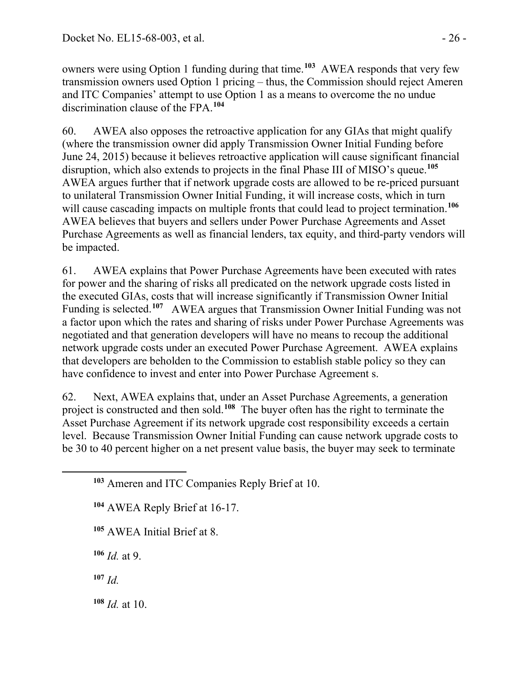owners were using Option 1 funding during that time.**[103](#page-25-0)** AWEA responds that very few transmission owners used Option 1 pricing – thus, the Commission should reject Ameren and ITC Companies' attempt to use Option 1 as a means to overcome the no undue discrimination clause of the FPA.**[104](#page-25-1)**

60. AWEA also opposes the retroactive application for any GIAs that might qualify (where the transmission owner did apply Transmission Owner Initial Funding before June 24, 2015) because it believes retroactive application will cause significant financial disruption, which also extends to projects in the final Phase III of MISO's queue.**[105](#page-25-2)** AWEA argues further that if network upgrade costs are allowed to be re-priced pursuant to unilateral Transmission Owner Initial Funding, it will increase costs, which in turn will cause cascading impacts on multiple fronts that could lead to project termination.<sup>[106](#page-25-3)</sup> AWEA believes that buyers and sellers under Power Purchase Agreements and Asset Purchase Agreements as well as financial lenders, tax equity, and third-party vendors will be impacted.

61. AWEA explains that Power Purchase Agreements have been executed with rates for power and the sharing of risks all predicated on the network upgrade costs listed in the executed GIAs, costs that will increase significantly if Transmission Owner Initial Funding is selected.**[107](#page-25-4)** AWEA argues that Transmission Owner Initial Funding was not a factor upon which the rates and sharing of risks under Power Purchase Agreements was negotiated and that generation developers will have no means to recoup the additional network upgrade costs under an executed Power Purchase Agreement. AWEA explains that developers are beholden to the Commission to establish stable policy so they can have confidence to invest and enter into Power Purchase Agreement s.

62. Next, AWEA explains that, under an Asset Purchase Agreements, a generation project is constructed and then sold.**[108](#page-25-5)** The buyer often has the right to terminate the Asset Purchase Agreement if its network upgrade cost responsibility exceeds a certain level. Because Transmission Owner Initial Funding can cause network upgrade costs to be 30 to 40 percent higher on a net present value basis, the buyer may seek to terminate

**<sup>105</sup>** AWEA Initial Brief at 8.

<span id="page-25-3"></span>**<sup>106</sup>** *Id.* at 9.

<span id="page-25-4"></span>**<sup>107</sup>** *Id.*

<span id="page-25-2"></span><span id="page-25-1"></span><span id="page-25-0"></span> $\overline{a}$ 

<span id="page-25-5"></span>**<sup>108</sup>** *Id.* at 10.

**<sup>103</sup>** Ameren and ITC Companies Reply Brief at 10.

**<sup>104</sup>** AWEA Reply Brief at 16-17.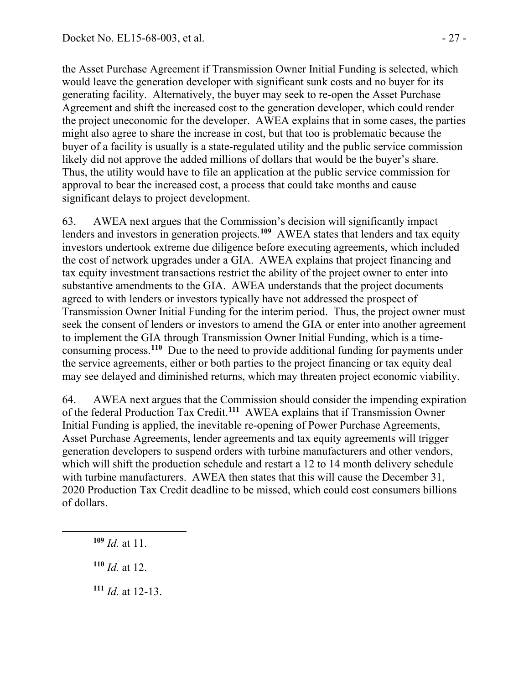the Asset Purchase Agreement if Transmission Owner Initial Funding is selected, which would leave the generation developer with significant sunk costs and no buyer for its generating facility. Alternatively, the buyer may seek to re-open the Asset Purchase Agreement and shift the increased cost to the generation developer, which could render the project uneconomic for the developer. AWEA explains that in some cases, the parties might also agree to share the increase in cost, but that too is problematic because the buyer of a facility is usually is a state-regulated utility and the public service commission likely did not approve the added millions of dollars that would be the buyer's share. Thus, the utility would have to file an application at the public service commission for approval to bear the increased cost, a process that could take months and cause significant delays to project development.

63. AWEA next argues that the Commission's decision will significantly impact lenders and investors in generation projects.**[109](#page-26-0)** AWEA states that lenders and tax equity investors undertook extreme due diligence before executing agreements, which included the cost of network upgrades under a GIA. AWEA explains that project financing and tax equity investment transactions restrict the ability of the project owner to enter into substantive amendments to the GIA. AWEA understands that the project documents agreed to with lenders or investors typically have not addressed the prospect of Transmission Owner Initial Funding for the interim period. Thus, the project owner must seek the consent of lenders or investors to amend the GIA or enter into another agreement to implement the GIA through Transmission Owner Initial Funding, which is a time-consuming process.<sup>[110](#page-26-1)</sup> Due to the need to provide additional funding for payments under the service agreements, either or both parties to the project financing or tax equity deal may see delayed and diminished returns, which may threaten project economic viability.

64. AWEA next argues that the Commission should consider the impending expiration of the federal Production Tax Credit.**[111](#page-26-2)** AWEA explains that if Transmission Owner Initial Funding is applied, the inevitable re-opening of Power Purchase Agreements, Asset Purchase Agreements, lender agreements and tax equity agreements will trigger generation developers to suspend orders with turbine manufacturers and other vendors, which will shift the production schedule and restart a 12 to 14 month delivery schedule with turbine manufacturers. AWEA then states that this will cause the December 31, 2020 Production Tax Credit deadline to be missed, which could cost consumers billions of dollars.

**<sup>109</sup>** *Id.* at 11.

<span id="page-26-2"></span><span id="page-26-1"></span><span id="page-26-0"></span> $\overline{a}$ 

- **<sup>110</sup>** *Id.* at 12.
- **<sup>111</sup>** *Id.* at 12-13.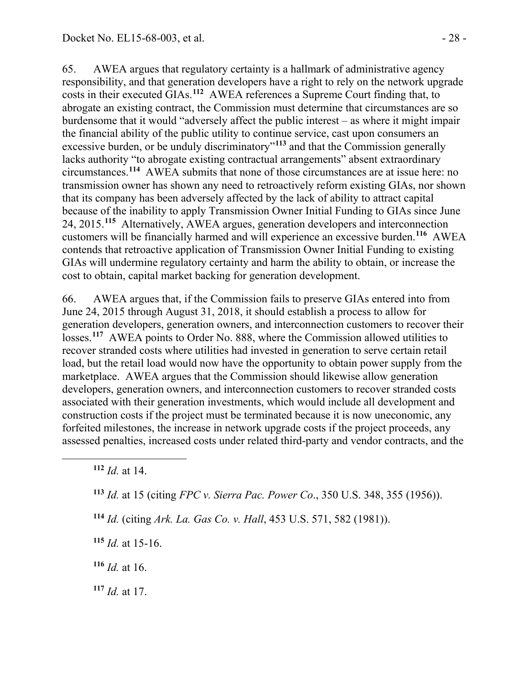65. AWEA argues that regulatory certainty is a hallmark of administrative agency responsibility, and that generation developers have a right to rely on the network upgrade costs in their executed GIAs.**[112](#page-27-0)** AWEA references a Supreme Court finding that, to abrogate an existing contract, the Commission must determine that circumstances are so burdensome that it would "adversely affect the public interest – as where it might impair the financial ability of the public utility to continue service, cast upon consumers an excessive burden, or be unduly discriminatory<sup>"[113](#page-27-1)</sup> and that the Commission generally lacks authority "to abrogate existing contractual arrangements" absent extraordinary circumstances.**[114](#page-27-2)** AWEA submits that none of those circumstances are at issue here: no transmission owner has shown any need to retroactively reform existing GIAs, nor shown that its company has been adversely affected by the lack of ability to attract capital because of the inability to apply Transmission Owner Initial Funding to GIAs since June 24, 2015.**[115](#page-27-3)** Alternatively, AWEA argues, generation developers and interconnection customers will be financially harmed and will experience an excessive burden.**[116](#page-27-4)** AWEA contends that retroactive application of Transmission Owner Initial Funding to existing GIAs will undermine regulatory certainty and harm the ability to obtain, or increase the cost to obtain, capital market backing for generation development.

66. AWEA argues that, if the Commission fails to preserve GIAs entered into from June 24, 2015 through August 31, 2018, it should establish a process to allow for generation developers, generation owners, and interconnection customers to recover their losses.<sup>[117](#page-27-5)</sup> AWEA points to Order No. 888, where the Commission allowed utilities to recover stranded costs where utilities had invested in generation to serve certain retail load, but the retail load would now have the opportunity to obtain power supply from the marketplace. AWEA argues that the Commission should likewise allow generation developers, generation owners, and interconnection customers to recover stranded costs associated with their generation investments, which would include all development and construction costs if the project must be terminated because it is now uneconomic, any forfeited milestones, the increase in network upgrade costs if the project proceeds, any assessed penalties, increased costs under related third-party and vendor contracts, and the

<span id="page-27-2"></span><span id="page-27-1"></span><span id="page-27-0"></span> $\overline{a}$ 

- <span id="page-27-3"></span>**<sup>115</sup>** *Id.* at 15-16.
- <span id="page-27-4"></span>**<sup>116</sup>** *Id.* at 16.
- <span id="page-27-5"></span>**<sup>117</sup>** *Id.* at 17.

**<sup>112</sup>** *Id.* at 14.

**<sup>113</sup>** *Id.* at 15 (citing *FPC v. Sierra Pac. Power Co*., 350 U.S. 348, 355 (1956)).

**<sup>114</sup>** *Id.* (citing *Ark. La. Gas Co. v. Hall*, 453 U.S. 571, 582 (1981)).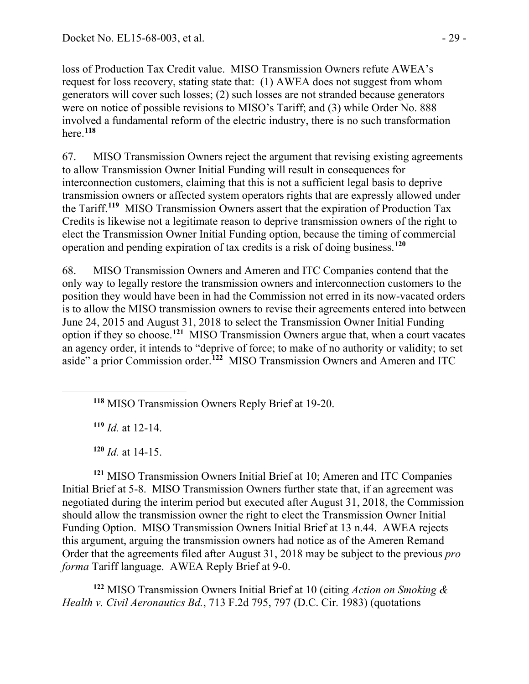loss of Production Tax Credit value. MISO Transmission Owners refute AWEA's request for loss recovery, stating state that: (1) AWEA does not suggest from whom generators will cover such losses; (2) such losses are not stranded because generators were on notice of possible revisions to MISO's Tariff; and (3) while Order No. 888 involved a fundamental reform of the electric industry, there is no such transformation here.**[118](#page-28-0)**

67. MISO Transmission Owners reject the argument that revising existing agreements to allow Transmission Owner Initial Funding will result in consequences for interconnection customers, claiming that this is not a sufficient legal basis to deprive transmission owners or affected system operators rights that are expressly allowed under the Tariff.**[119](#page-28-1)** MISO Transmission Owners assert that the expiration of Production Tax Credits is likewise not a legitimate reason to deprive transmission owners of the right to elect the Transmission Owner Initial Funding option, because the timing of commercial operation and pending expiration of tax credits is a risk of doing business.**[120](#page-28-2)**

68. MISO Transmission Owners and Ameren and ITC Companies contend that the only way to legally restore the transmission owners and interconnection customers to the position they would have been in had the Commission not erred in its now-vacated orders is to allow the MISO transmission owners to revise their agreements entered into between June 24, 2015 and August 31, 2018 to select the Transmission Owner Initial Funding option if they so choose.**[121](#page-28-3)** MISO Transmission Owners argue that, when a court vacates an agency order, it intends to "deprive of force; to make of no authority or validity; to set aside" a prior Commission order.**[122](#page-28-4)** MISO Transmission Owners and Ameren and ITC

**<sup>119</sup>** *Id.* at 12-14.

<span id="page-28-1"></span><span id="page-28-0"></span> $\overline{a}$ 

**<sup>120</sup>** *Id.* at 14-15.

<span id="page-28-3"></span><span id="page-28-2"></span>**<sup>121</sup>** MISO Transmission Owners Initial Brief at 10; Ameren and ITC Companies Initial Brief at 5-8. MISO Transmission Owners further state that, if an agreement was negotiated during the interim period but executed after August 31, 2018, the Commission should allow the transmission owner the right to elect the Transmission Owner Initial Funding Option. MISO Transmission Owners Initial Brief at 13 n.44. AWEA rejects this argument, arguing the transmission owners had notice as of the Ameren Remand Order that the agreements filed after August 31, 2018 may be subject to the previous *pro forma* Tariff language. AWEA Reply Brief at 9-0.

<span id="page-28-4"></span>**<sup>122</sup>** MISO Transmission Owners Initial Brief at 10 (citing *Action on Smoking & Health v. Civil Aeronautics Bd.*, 713 F.2d 795, 797 (D.C. Cir. 1983) (quotations

**<sup>118</sup>** MISO Transmission Owners Reply Brief at 19-20.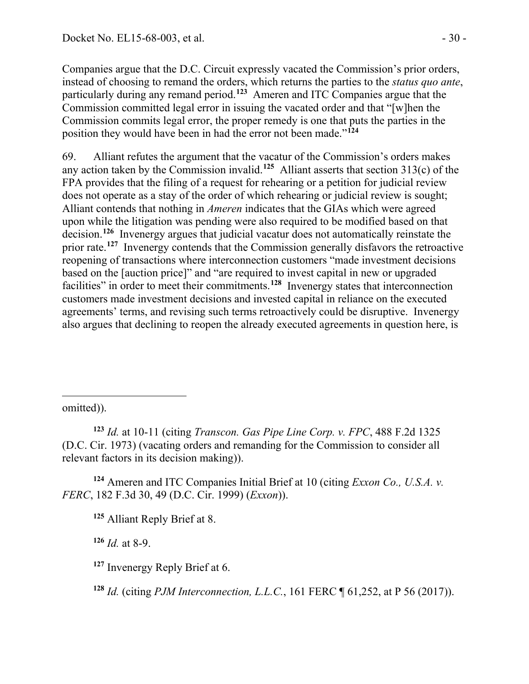Companies argue that the D.C. Circuit expressly vacated the Commission's prior orders, instead of choosing to remand the orders, which returns the parties to the *status quo ante*, particularly during any remand period.<sup>[123](#page-29-0)</sup> Ameren and ITC Companies argue that the Commission committed legal error in issuing the vacated order and that "[w]hen the Commission commits legal error, the proper remedy is one that puts the parties in the position they would have been in had the error not been made."**[124](#page-29-1)**

69. Alliant refutes the argument that the vacatur of the Commission's orders makes any action taken by the Commission invalid.**[125](#page-29-2)** Alliant asserts that section 313(c) of the FPA provides that the filing of a request for rehearing or a petition for judicial review does not operate as a stay of the order of which rehearing or judicial review is sought; Alliant contends that nothing in *Ameren* indicates that the GIAs which were agreed upon while the litigation was pending were also required to be modified based on that decision.**[126](#page-29-3)** Invenergy argues that judicial vacatur does not automatically reinstate the prior rate.**[127](#page-29-4)** Invenergy contends that the Commission generally disfavors the retroactive reopening of transactions where interconnection customers "made investment decisions based on the [auction price]" and "are required to invest capital in new or upgraded facilities" in order to meet their commitments.<sup>[128](#page-29-5)</sup> Invenergy states that interconnection customers made investment decisions and invested capital in reliance on the executed agreements' terms, and revising such terms retroactively could be disruptive. Invenergy also argues that declining to reopen the already executed agreements in question here, is

omitted)).

 $\overline{a}$ 

<span id="page-29-0"></span>**<sup>123</sup>** *Id.* at 10-11 (citing *Transcon. Gas Pipe Line Corp. v. FPC*, 488 F.2d 1325 (D.C. Cir. 1973) (vacating orders and remanding for the Commission to consider all relevant factors in its decision making)).

<span id="page-29-3"></span><span id="page-29-2"></span><span id="page-29-1"></span>**<sup>124</sup>** Ameren and ITC Companies Initial Brief at 10 (citing *Exxon Co., U.S.A. v. FERC*, 182 F.3d 30, 49 (D.C. Cir. 1999) (*Exxon*)).

**<sup>125</sup>** Alliant Reply Brief at 8.

**<sup>126</sup>** *Id.* at 8-9.

<span id="page-29-4"></span>**<sup>127</sup>** Invenergy Reply Brief at 6.

<span id="page-29-5"></span>**<sup>128</sup>** *Id.* (citing *PJM Interconnection, L.L.C.*, 161 FERC ¶ 61,252, at P 56 (2017)).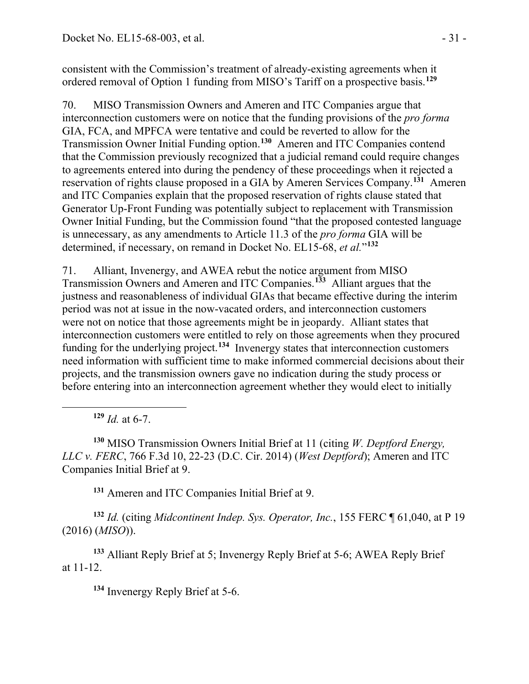consistent with the Commission's treatment of already-existing agreements when it ordered removal of Option 1 funding from MISO's Tariff on a prospective basis.**[129](#page-30-0)**

70. MISO Transmission Owners and Ameren and ITC Companies argue that interconnection customers were on notice that the funding provisions of the *pro forma* GIA, FCA, and MPFCA were tentative and could be reverted to allow for the Transmission Owner Initial Funding option.**[130](#page-30-1)** Ameren and ITC Companies contend that the Commission previously recognized that a judicial remand could require changes to agreements entered into during the pendency of these proceedings when it rejected a reservation of rights clause proposed in a GIA by Ameren Services Company.**[131](#page-30-2)** Ameren and ITC Companies explain that the proposed reservation of rights clause stated that Generator Up-Front Funding was potentially subject to replacement with Transmission Owner Initial Funding, but the Commission found "that the proposed contested language is unnecessary, as any amendments to Article 11.3 of the *pro forma* GIA will be determined, if necessary, on remand in Docket No. EL15-68, *et al.*"**[132](#page-30-3)**

71. Alliant, Invenergy, and AWEA rebut the notice argument from MISO Transmission Owners and Ameren and ITC Companies.**[133](#page-30-4)** Alliant argues that the justness and reasonableness of individual GIAs that became effective during the interim period was not at issue in the now-vacated orders, and interconnection customers were not on notice that those agreements might be in jeopardy. Alliant states that interconnection customers were entitled to rely on those agreements when they procured funding for the underlying project.**[134](#page-30-5)** Invenergy states that interconnection customers need information with sufficient time to make informed commercial decisions about their projects, and the transmission owners gave no indication during the study process or before entering into an interconnection agreement whether they would elect to initially

 $129$  *Id.* at 6-7.

<span id="page-30-0"></span> $\overline{a}$ 

<span id="page-30-1"></span>**<sup>130</sup>** MISO Transmission Owners Initial Brief at 11 (citing *W. Deptford Energy, LLC v. FERC*, 766 F.3d 10, 22-23 (D.C. Cir. 2014) (*West Deptford*); Ameren and ITC Companies Initial Brief at 9.

**<sup>131</sup>** Ameren and ITC Companies Initial Brief at 9.

<span id="page-30-3"></span><span id="page-30-2"></span>**<sup>132</sup>** *Id.* (citing *Midcontinent Indep. Sys. Operator, Inc.*, 155 FERC ¶ 61,040, at P 19 (2016) (*MISO*)).

<span id="page-30-5"></span><span id="page-30-4"></span>**<sup>133</sup>** Alliant Reply Brief at 5; Invenergy Reply Brief at 5-6; AWEA Reply Brief at 11-12.

**<sup>134</sup>** Invenergy Reply Brief at 5-6.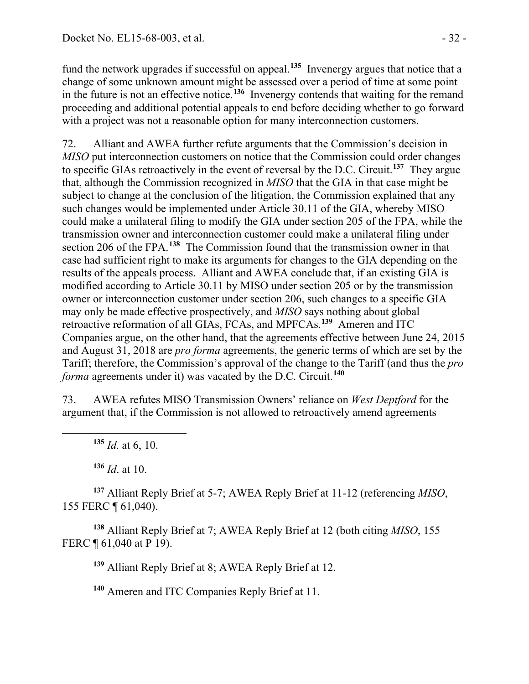fund the network upgrades if successful on appeal.**[135](#page-31-0)** Invenergy argues that notice that a change of some unknown amount might be assessed over a period of time at some point in the future is not an effective notice.**[136](#page-31-1)** Invenergy contends that waiting for the remand proceeding and additional potential appeals to end before deciding whether to go forward with a project was not a reasonable option for many interconnection customers.

72. Alliant and AWEA further refute arguments that the Commission's decision in *MISO* put interconnection customers on notice that the Commission could order changes to specific GIAs retroactively in the event of reversal by the D.C. Circuit.**[137](#page-31-2)** They argue that, although the Commission recognized in *MISO* that the GIA in that case might be subject to change at the conclusion of the litigation, the Commission explained that any such changes would be implemented under Article 30.11 of the GIA, whereby MISO could make a unilateral filing to modify the GIA under section 205 of the FPA, while the transmission owner and interconnection customer could make a unilateral filing under section 206 of the FPA.**[138](#page-31-3)** The Commission found that the transmission owner in that case had sufficient right to make its arguments for changes to the GIA depending on the results of the appeals process. Alliant and AWEA conclude that, if an existing GIA is modified according to Article 30.11 by MISO under section 205 or by the transmission owner or interconnection customer under section 206, such changes to a specific GIA may only be made effective prospectively, and *MISO* says nothing about global retroactive reformation of all GIAs, FCAs, and MPFCAs.**[139](#page-31-4)** Ameren and ITC Companies argue, on the other hand, that the agreements effective between June 24, 2015 and August 31, 2018 are *pro forma* agreements, the generic terms of which are set by the Tariff; therefore, the Commission's approval of the change to the Tariff (and thus the *pro forma* agreements under it) was vacated by the D.C. Circuit.**[140](#page-31-5)**

73. AWEA refutes MISO Transmission Owners' reliance on *West Deptford* for the argument that, if the Commission is not allowed to retroactively amend agreements

**<sup>135</sup>** *Id.* at 6, 10.

<span id="page-31-0"></span>

**<sup>136</sup>** *Id*. at 10.

<span id="page-31-2"></span><span id="page-31-1"></span>**<sup>137</sup>** Alliant Reply Brief at 5-7; AWEA Reply Brief at 11-12 (referencing *MISO*, 155 FERC ¶ 61,040).

<span id="page-31-5"></span><span id="page-31-4"></span><span id="page-31-3"></span>**<sup>138</sup>** Alliant Reply Brief at 7; AWEA Reply Brief at 12 (both citing *MISO*, 155 FERC ¶ 61,040 at P 19).

**<sup>139</sup>** Alliant Reply Brief at 8; AWEA Reply Brief at 12.

**<sup>140</sup>** Ameren and ITC Companies Reply Brief at 11.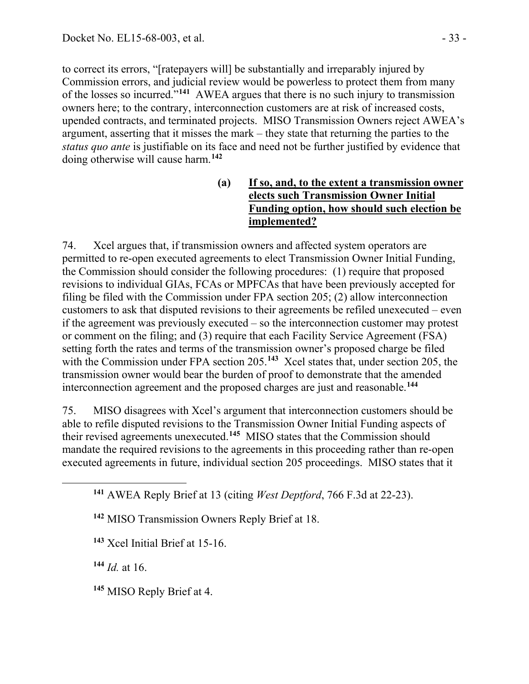to correct its errors, "[ratepayers will] be substantially and irreparably injured by Commission errors, and judicial review would be powerless to protect them from many of the losses so incurred."**[141](#page-32-0)** AWEA argues that there is no such injury to transmission owners here; to the contrary, interconnection customers are at risk of increased costs, upended contracts, and terminated projects. MISO Transmission Owners reject AWEA's argument, asserting that it misses the mark – they state that returning the parties to the *status quo ante* is justifiable on its face and need not be further justified by evidence that doing otherwise will cause harm.**[142](#page-32-1)**

### **(a) If so, and, to the extent a transmission owner elects such Transmission Owner Initial Funding option, how should such election be implemented?**

74. Xcel argues that, if transmission owners and affected system operators are permitted to re-open executed agreements to elect Transmission Owner Initial Funding, the Commission should consider the following procedures: (1) require that proposed revisions to individual GIAs, FCAs or MPFCAs that have been previously accepted for filing be filed with the Commission under FPA section 205; (2) allow interconnection customers to ask that disputed revisions to their agreements be refiled unexecuted – even if the agreement was previously executed – so the interconnection customer may protest or comment on the filing; and (3) require that each Facility Service Agreement (FSA) setting forth the rates and terms of the transmission owner's proposed charge be filed with the Commission under FPA section 205.<sup>[143](#page-32-2)</sup> Xcel states that, under section 205, the transmission owner would bear the burden of proof to demonstrate that the amended interconnection agreement and the proposed charges are just and reasonable.**[144](#page-32-3)**

75. MISO disagrees with Xcel's argument that interconnection customers should be able to refile disputed revisions to the Transmission Owner Initial Funding aspects of their revised agreements unexecuted.**[145](#page-32-4)** MISO states that the Commission should mandate the required revisions to the agreements in this proceeding rather than re-open executed agreements in future, individual section 205 proceedings. MISO states that it

**<sup>142</sup>** MISO Transmission Owners Reply Brief at 18.

**<sup>143</sup>** Xcel Initial Brief at 15-16.

<span id="page-32-3"></span>**<sup>144</sup>** *Id.* at 16.

<span id="page-32-2"></span><span id="page-32-1"></span><span id="page-32-0"></span> $\overline{a}$ 

<span id="page-32-4"></span>**<sup>145</sup>** MISO Reply Brief at 4.

**<sup>141</sup>** AWEA Reply Brief at 13 (citing *West Deptford*, 766 F.3d at 22-23).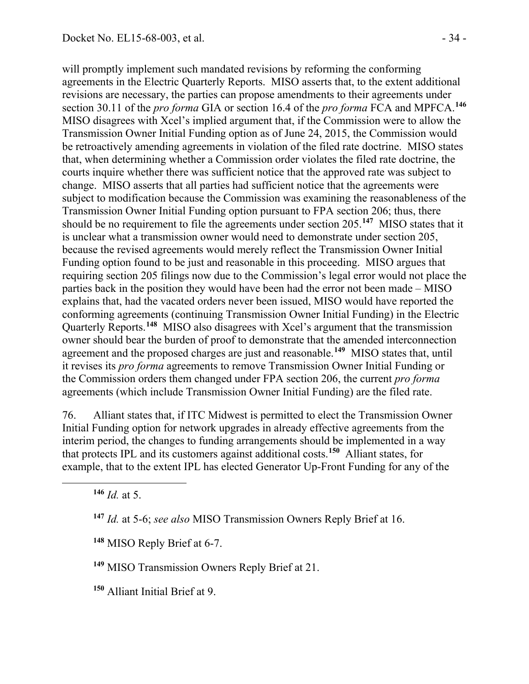will promptly implement such mandated revisions by reforming the conforming agreements in the Electric Quarterly Reports. MISO asserts that, to the extent additional revisions are necessary, the parties can propose amendments to their agreements under section 30.11 of the *pro forma* GIA or section 16.4 of the *pro forma* FCA and MPFCA.**[146](#page-33-0)** MISO disagrees with Xcel's implied argument that, if the Commission were to allow the Transmission Owner Initial Funding option as of June 24, 2015, the Commission would be retroactively amending agreements in violation of the filed rate doctrine. MISO states that, when determining whether a Commission order violates the filed rate doctrine, the courts inquire whether there was sufficient notice that the approved rate was subject to change. MISO asserts that all parties had sufficient notice that the agreements were subject to modification because the Commission was examining the reasonableness of the Transmission Owner Initial Funding option pursuant to FPA section 206; thus, there should be no requirement to file the agreements under section 205.**[147](#page-33-1)** MISO states that it is unclear what a transmission owner would need to demonstrate under section 205, because the revised agreements would merely reflect the Transmission Owner Initial Funding option found to be just and reasonable in this proceeding. MISO argues that requiring section 205 filings now due to the Commission's legal error would not place the parties back in the position they would have been had the error not been made – MISO explains that, had the vacated orders never been issued, MISO would have reported the conforming agreements (continuing Transmission Owner Initial Funding) in the Electric Quarterly Reports.**[148](#page-33-2)** MISO also disagrees with Xcel's argument that the transmission owner should bear the burden of proof to demonstrate that the amended interconnection agreement and the proposed charges are just and reasonable.**[149](#page-33-3)** MISO states that, until it revises its *pro forma* agreements to remove Transmission Owner Initial Funding or the Commission orders them changed under FPA section 206, the current *pro forma* agreements (which include Transmission Owner Initial Funding) are the filed rate.

76. Alliant states that, if ITC Midwest is permitted to elect the Transmission Owner Initial Funding option for network upgrades in already effective agreements from the interim period, the changes to funding arrangements should be implemented in a way that protects IPL and its customers against additional costs.**[150](#page-33-4)** Alliant states, for example, that to the extent IPL has elected Generator Up-Front Funding for any of the

**<sup>146</sup>** *Id.* at 5.

<span id="page-33-2"></span><span id="page-33-1"></span><span id="page-33-0"></span> $\overline{a}$ 

**<sup>147</sup>** *Id.* at 5-6; *see also* MISO Transmission Owners Reply Brief at 16.

**<sup>148</sup>** MISO Reply Brief at 6-7.

<span id="page-33-3"></span>**<sup>149</sup>** MISO Transmission Owners Reply Brief at 21.

<span id="page-33-4"></span>**<sup>150</sup>** Alliant Initial Brief at 9.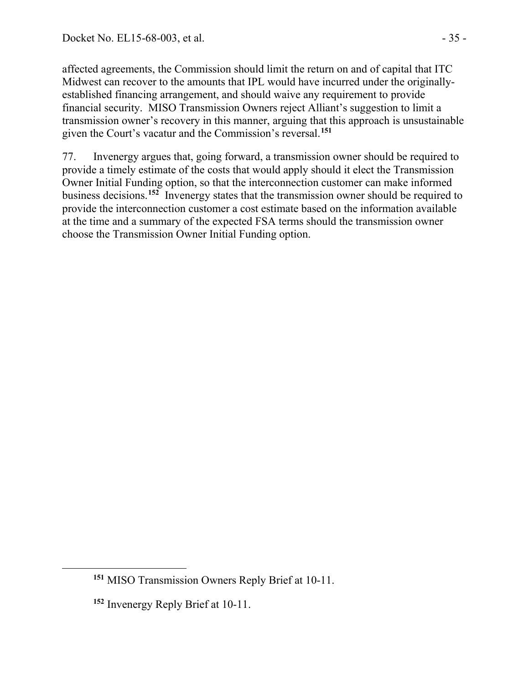affected agreements, the Commission should limit the return on and of capital that ITC Midwest can recover to the amounts that IPL would have incurred under the originallyestablished financing arrangement, and should waive any requirement to provide financial security. MISO Transmission Owners reject Alliant's suggestion to limit a transmission owner's recovery in this manner, arguing that this approach is unsustainable given the Court's vacatur and the Commission's reversal.**[151](#page-34-0)**

77. Invenergy argues that, going forward, a transmission owner should be required to provide a timely estimate of the costs that would apply should it elect the Transmission Owner Initial Funding option, so that the interconnection customer can make informed business decisions.**[152](#page-34-1)** Invenergy states that the transmission owner should be required to provide the interconnection customer a cost estimate based on the information available at the time and a summary of the expected FSA terms should the transmission owner choose the Transmission Owner Initial Funding option.

<span id="page-34-1"></span><span id="page-34-0"></span> $\overline{a}$ 

**<sup>151</sup>** MISO Transmission Owners Reply Brief at 10-11.

**<sup>152</sup>** Invenergy Reply Brief at 10-11.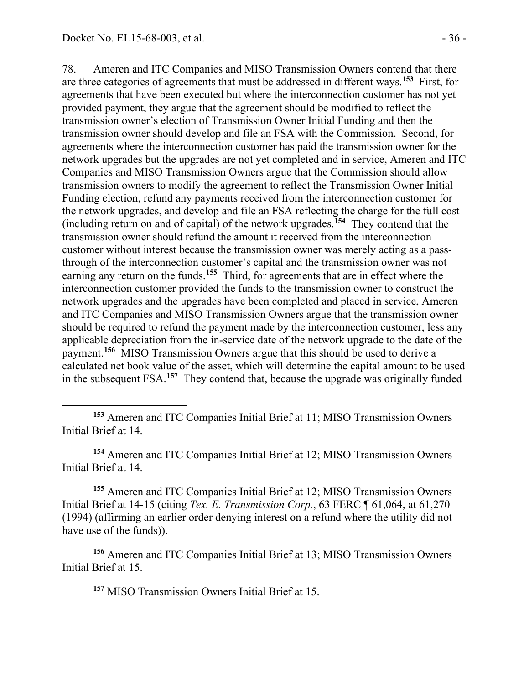78. Ameren and ITC Companies and MISO Transmission Owners contend that there are three categories of agreements that must be addressed in different ways.**[153](#page-35-0)** First, for agreements that have been executed but where the interconnection customer has not yet provided payment, they argue that the agreement should be modified to reflect the transmission owner's election of Transmission Owner Initial Funding and then the transmission owner should develop and file an FSA with the Commission. Second, for agreements where the interconnection customer has paid the transmission owner for the network upgrades but the upgrades are not yet completed and in service, Ameren and ITC Companies and MISO Transmission Owners argue that the Commission should allow transmission owners to modify the agreement to reflect the Transmission Owner Initial Funding election, refund any payments received from the interconnection customer for the network upgrades, and develop and file an FSA reflecting the charge for the full cost (including return on and of capital) of the network upgrades.**[154](#page-35-1)** They contend that the transmission owner should refund the amount it received from the interconnection customer without interest because the transmission owner was merely acting as a passthrough of the interconnection customer's capital and the transmission owner was not earning any return on the funds.**[155](#page-35-2)** Third, for agreements that are in effect where the interconnection customer provided the funds to the transmission owner to construct the network upgrades and the upgrades have been completed and placed in service, Ameren and ITC Companies and MISO Transmission Owners argue that the transmission owner should be required to refund the payment made by the interconnection customer, less any applicable depreciation from the in-service date of the network upgrade to the date of the payment.**[156](#page-35-3)** MISO Transmission Owners argue that this should be used to derive a calculated net book value of the asset, which will determine the capital amount to be used in the subsequent FSA.**[157](#page-35-4)** They contend that, because the upgrade was originally funded

<span id="page-35-0"></span> **<sup>153</sup>** Ameren and ITC Companies Initial Brief at 11; MISO Transmission Owners Initial Brief at 14.

<span id="page-35-1"></span>**<sup>154</sup>** Ameren and ITC Companies Initial Brief at 12; MISO Transmission Owners Initial Brief at 14.

<span id="page-35-2"></span>**<sup>155</sup>** Ameren and ITC Companies Initial Brief at 12; MISO Transmission Owners Initial Brief at 14-15 (citing *Tex. E. Transmission Corp.*, 63 FERC ¶ 61,064, at 61,270 (1994) (affirming an earlier order denying interest on a refund where the utility did not have use of the funds)).

<span id="page-35-4"></span><span id="page-35-3"></span>**<sup>156</sup>** Ameren and ITC Companies Initial Brief at 13; MISO Transmission Owners Initial Brief at 15.

**<sup>157</sup>** MISO Transmission Owners Initial Brief at 15.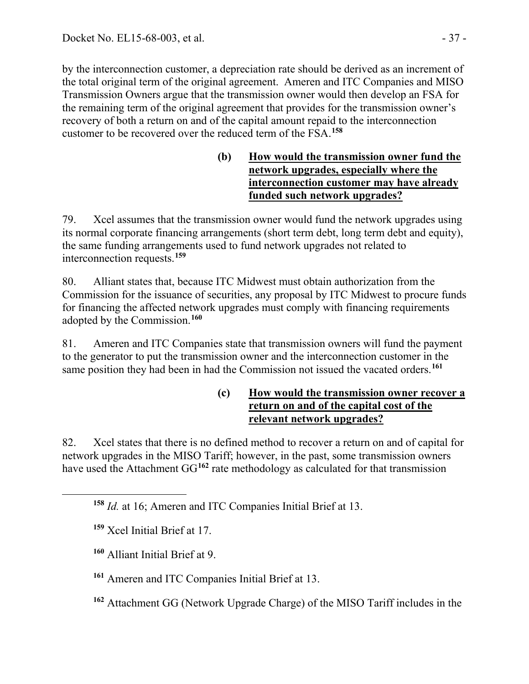by the interconnection customer, a depreciation rate should be derived as an increment of the total original term of the original agreement. Ameren and ITC Companies and MISO Transmission Owners argue that the transmission owner would then develop an FSA for the remaining term of the original agreement that provides for the transmission owner's recovery of both a return on and of the capital amount repaid to the interconnection customer to be recovered over the reduced term of the FSA.**[158](#page-36-0)**

> **(b) How would the transmission owner fund the network upgrades, especially where the interconnection customer may have already funded such network upgrades?**

79. Xcel assumes that the transmission owner would fund the network upgrades using its normal corporate financing arrangements (short term debt, long term debt and equity), the same funding arrangements used to fund network upgrades not related to interconnection requests.**[159](#page-36-1)**

80. Alliant states that, because ITC Midwest must obtain authorization from the Commission for the issuance of securities, any proposal by ITC Midwest to procure funds for financing the affected network upgrades must comply with financing requirements adopted by the Commission.**[160](#page-36-2)**

81. Ameren and ITC Companies state that transmission owners will fund the payment to the generator to put the transmission owner and the interconnection customer in the same position they had been in had the Commission not issued the vacated orders.**[161](#page-36-3)**

## **(c) How would the transmission owner recover a return on and of the capital cost of the relevant network upgrades?**

82. Xcel states that there is no defined method to recover a return on and of capital for network upgrades in the MISO Tariff; however, in the past, some transmission owners have used the Attachment GG<sup>[162](#page-36-4)</sup> rate methodology as calculated for that transmission

<span id="page-36-2"></span><span id="page-36-1"></span><span id="page-36-0"></span> $\overline{a}$ 

- **<sup>160</sup>** Alliant Initial Brief at 9.
- <span id="page-36-3"></span>**<sup>161</sup>** Ameren and ITC Companies Initial Brief at 13.
- <span id="page-36-4"></span>**<sup>162</sup>** Attachment GG (Network Upgrade Charge) of the MISO Tariff includes in the

**<sup>158</sup>** *Id.* at 16; Ameren and ITC Companies Initial Brief at 13.

**<sup>159</sup>** Xcel Initial Brief at 17.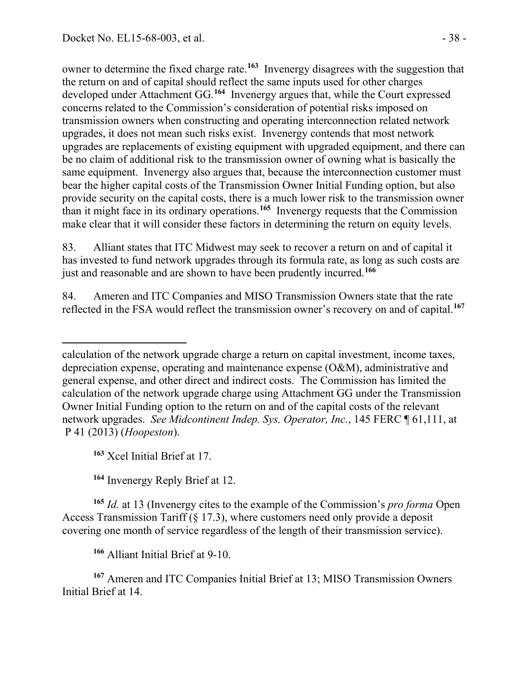owner to determine the fixed charge rate.**[163](#page-37-0)** Invenergy disagrees with the suggestion that the return on and of capital should reflect the same inputs used for other charges developed under Attachment GG.**[164](#page-37-1)** Invenergy argues that, while the Court expressed concerns related to the Commission's consideration of potential risks imposed on transmission owners when constructing and operating interconnection related network upgrades, it does not mean such risks exist. Invenergy contends that most network upgrades are replacements of existing equipment with upgraded equipment, and there can be no claim of additional risk to the transmission owner of owning what is basically the same equipment. Invenergy also argues that, because the interconnection customer must bear the higher capital costs of the Transmission Owner Initial Funding option, but also provide security on the capital costs, there is a much lower risk to the transmission owner than it might face in its ordinary operations.**[165](#page-37-2)** Invenergy requests that the Commission make clear that it will consider these factors in determining the return on equity levels.

83. Alliant states that ITC Midwest may seek to recover a return on and of capital it has invested to fund network upgrades through its formula rate, as long as such costs are just and reasonable and are shown to have been prudently incurred.**[166](#page-37-3)**

84. Ameren and ITC Companies and MISO Transmission Owners state that the rate reflected in the FSA would reflect the transmission owner's recovery on and of capital.**[167](#page-37-4)**

**<sup>163</sup>** Xcel Initial Brief at 17.

**<sup>164</sup>** Invenergy Reply Brief at 12.

<span id="page-37-2"></span><span id="page-37-1"></span><span id="page-37-0"></span>**<sup>165</sup>** *Id.* at 13 (Invenergy cites to the example of the Commission's *pro forma* Open Access Transmission Tariff (§ 17.3), where customers need only provide a deposit covering one month of service regardless of the length of their transmission service).

**<sup>166</sup>** Alliant Initial Brief at 9-10.

<span id="page-37-4"></span><span id="page-37-3"></span>**<sup>167</sup>** Ameren and ITC Companies Initial Brief at 13; MISO Transmission Owners Initial Brief at 14.

 calculation of the network upgrade charge a return on capital investment, income taxes, depreciation expense, operating and maintenance expense (O&M), administrative and general expense, and other direct and indirect costs. The Commission has limited the calculation of the network upgrade charge using Attachment GG under the Transmission Owner Initial Funding option to the return on and of the capital costs of the relevant network upgrades. *See Midcontinent Indep. Sys. Operator, Inc.*, 145 FERC ¶ 61,111, at P 41 (2013) (*Hoopeston*).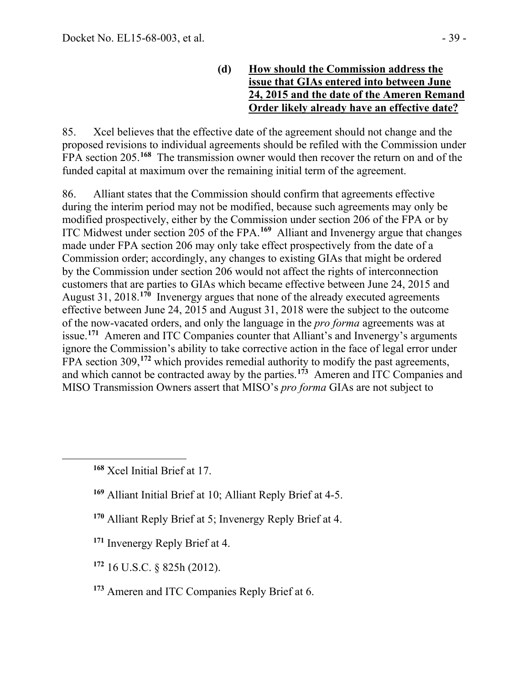**(d) How should the Commission address the issue that GIAs entered into between June 24, 2015 and the date of the Ameren Remand Order likely already have an effective date?**

85. Xcel believes that the effective date of the agreement should not change and the proposed revisions to individual agreements should be refiled with the Commission under FPA section 205.**[168](#page-38-0)** The transmission owner would then recover the return on and of the funded capital at maximum over the remaining initial term of the agreement.

86. Alliant states that the Commission should confirm that agreements effective during the interim period may not be modified, because such agreements may only be modified prospectively, either by the Commission under section 206 of the FPA or by ITC Midwest under section 205 of the FPA.**[169](#page-38-1)** Alliant and Invenergy argue that changes made under FPA section 206 may only take effect prospectively from the date of a Commission order; accordingly, any changes to existing GIAs that might be ordered by the Commission under section 206 would not affect the rights of interconnection customers that are parties to GIAs which became effective between June 24, 2015 and August 31, 2018.**[170](#page-38-2)** Invenergy argues that none of the already executed agreements effective between June 24, 2015 and August 31, 2018 were the subject to the outcome of the now-vacated orders, and only the language in the *pro forma* agreements was at issue.**[171](#page-38-3)** Ameren and ITC Companies counter that Alliant's and Invenergy's arguments ignore the Commission's ability to take corrective action in the face of legal error under FPA section 309,<sup>[172](#page-38-4)</sup> which provides remedial authority to modify the past agreements, and which cannot be contracted away by the parties.**[173](#page-38-5)** Ameren and ITC Companies and MISO Transmission Owners assert that MISO's *pro forma* GIAs are not subject to

<span id="page-38-2"></span><span id="page-38-1"></span><span id="page-38-0"></span> $\overline{a}$ 

- **<sup>169</sup>** Alliant Initial Brief at 10; Alliant Reply Brief at 4-5.
- **<sup>170</sup>** Alliant Reply Brief at 5; Invenergy Reply Brief at 4.
- <span id="page-38-3"></span>**<sup>171</sup>** Invenergy Reply Brief at 4.
- <span id="page-38-4"></span>**<sup>172</sup>** 16 U.S.C. § 825h (2012).
- <span id="page-38-5"></span>**<sup>173</sup>** Ameren and ITC Companies Reply Brief at 6.

**<sup>168</sup>** Xcel Initial Brief at 17.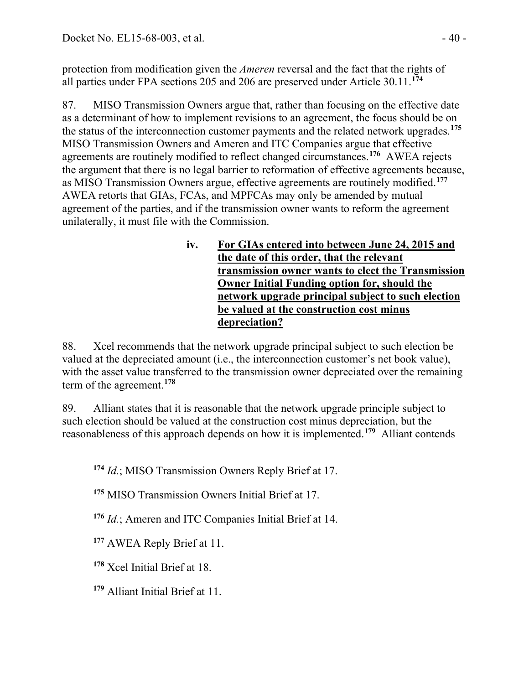protection from modification given the *Ameren* reversal and the fact that the rights of all parties under FPA sections 205 and 206 are preserved under Article 30.11.**[174](#page-39-0)**

87. MISO Transmission Owners argue that, rather than focusing on the effective date as a determinant of how to implement revisions to an agreement, the focus should be on the status of the interconnection customer payments and the related network upgrades.**[175](#page-39-1)** MISO Transmission Owners and Ameren and ITC Companies argue that effective agreements are routinely modified to reflect changed circumstances.**[176](#page-39-2)** AWEA rejects the argument that there is no legal barrier to reformation of effective agreements because, as MISO Transmission Owners argue, effective agreements are routinely modified.**[177](#page-39-3)** AWEA retorts that GIAs, FCAs, and MPFCAs may only be amended by mutual agreement of the parties, and if the transmission owner wants to reform the agreement unilaterally, it must file with the Commission.

> **iv. For GIAs entered into between June 24, 2015 and the date of this order, that the relevant transmission owner wants to elect the Transmission Owner Initial Funding option for, should the network upgrade principal subject to such election be valued at the construction cost minus depreciation?**

88. Xcel recommends that the network upgrade principal subject to such election be valued at the depreciated amount (i.e., the interconnection customer's net book value), with the asset value transferred to the transmission owner depreciated over the remaining term of the agreement.**[178](#page-39-4)**

89. Alliant states that it is reasonable that the network upgrade principle subject to such election should be valued at the construction cost minus depreciation, but the reasonableness of this approach depends on how it is implemented.**[179](#page-39-5)** Alliant contends

**<sup>174</sup>** *Id.*; MISO Transmission Owners Reply Brief at 17.

**<sup>175</sup>** MISO Transmission Owners Initial Brief at 17.

**<sup>176</sup>** *Id.*; Ameren and ITC Companies Initial Brief at 14.

<span id="page-39-3"></span>**<sup>177</sup>** AWEA Reply Brief at 11.

<span id="page-39-4"></span>**<sup>178</sup>** Xcel Initial Brief at 18.

<span id="page-39-2"></span><span id="page-39-1"></span><span id="page-39-0"></span> $\overline{a}$ 

<span id="page-39-5"></span>**<sup>179</sup>** Alliant Initial Brief at 11.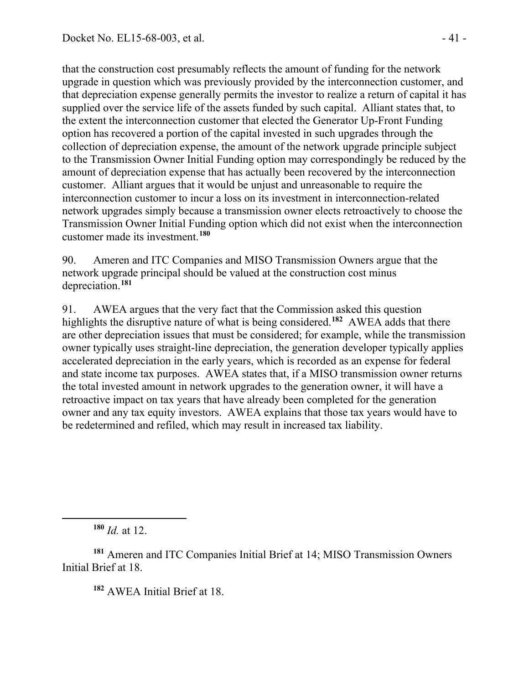that the construction cost presumably reflects the amount of funding for the network upgrade in question which was previously provided by the interconnection customer, and that depreciation expense generally permits the investor to realize a return of capital it has supplied over the service life of the assets funded by such capital. Alliant states that, to the extent the interconnection customer that elected the Generator Up-Front Funding option has recovered a portion of the capital invested in such upgrades through the collection of depreciation expense, the amount of the network upgrade principle subject to the Transmission Owner Initial Funding option may correspondingly be reduced by the amount of depreciation expense that has actually been recovered by the interconnection customer. Alliant argues that it would be unjust and unreasonable to require the interconnection customer to incur a loss on its investment in interconnection-related network upgrades simply because a transmission owner elects retroactively to choose the Transmission Owner Initial Funding option which did not exist when the interconnection customer made its investment.**[180](#page-40-0)**

90. Ameren and ITC Companies and MISO Transmission Owners argue that the network upgrade principal should be valued at the construction cost minus depreciation.**[181](#page-40-1)**

91. AWEA argues that the very fact that the Commission asked this question highlights the disruptive nature of what is being considered.**[182](#page-40-2)** AWEA adds that there are other depreciation issues that must be considered; for example, while the transmission owner typically uses straight-line depreciation, the generation developer typically applies accelerated depreciation in the early years, which is recorded as an expense for federal and state income tax purposes. AWEA states that, if a MISO transmission owner returns the total invested amount in network upgrades to the generation owner, it will have a retroactive impact on tax years that have already been completed for the generation owner and any tax equity investors. AWEA explains that those tax years would have to be redetermined and refiled, which may result in increased tax liability.

**<sup>180</sup>** *Id.* at 12.

<span id="page-40-0"></span> $\overline{a}$ 

<span id="page-40-2"></span><span id="page-40-1"></span>**<sup>181</sup>** Ameren and ITC Companies Initial Brief at 14; MISO Transmission Owners Initial Brief at 18.

**<sup>182</sup>** AWEA Initial Brief at 18.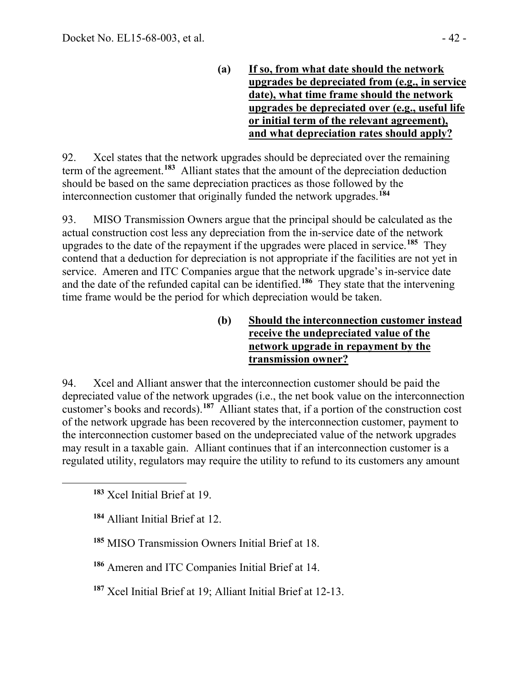**(a) If so, from what date should the network upgrades be depreciated from (e.g., in service date), what time frame should the network upgrades be depreciated over (e.g., useful life or initial term of the relevant agreement), and what depreciation rates should apply?**

92. Xcel states that the network upgrades should be depreciated over the remaining term of the agreement.**[183](#page-41-0)** Alliant states that the amount of the depreciation deduction should be based on the same depreciation practices as those followed by the interconnection customer that originally funded the network upgrades.**[184](#page-41-1)**

93. MISO Transmission Owners argue that the principal should be calculated as the actual construction cost less any depreciation from the in-service date of the network upgrades to the date of the repayment if the upgrades were placed in service.**[185](#page-41-2)** They contend that a deduction for depreciation is not appropriate if the facilities are not yet in service. Ameren and ITC Companies argue that the network upgrade's in-service date and the date of the refunded capital can be identified.**[186](#page-41-3)** They state that the intervening time frame would be the period for which depreciation would be taken.

> **(b) Should the interconnection customer instead receive the undepreciated value of the network upgrade in repayment by the transmission owner?**

94. Xcel and Alliant answer that the interconnection customer should be paid the depreciated value of the network upgrades (i.e., the net book value on the interconnection customer's books and records).**[187](#page-41-4)** Alliant states that, if a portion of the construction cost of the network upgrade has been recovered by the interconnection customer, payment to the interconnection customer based on the undepreciated value of the network upgrades may result in a taxable gain. Alliant continues that if an interconnection customer is a regulated utility, regulators may require the utility to refund to its customers any amount

<span id="page-41-2"></span><span id="page-41-1"></span><span id="page-41-0"></span> $\overline{a}$ 

**<sup>184</sup>** Alliant Initial Brief at 12.

**<sup>185</sup>** MISO Transmission Owners Initial Brief at 18.

<span id="page-41-3"></span>**<sup>186</sup>** Ameren and ITC Companies Initial Brief at 14.

<span id="page-41-4"></span>**<sup>187</sup>** Xcel Initial Brief at 19; Alliant Initial Brief at 12-13.

**<sup>183</sup>** Xcel Initial Brief at 19.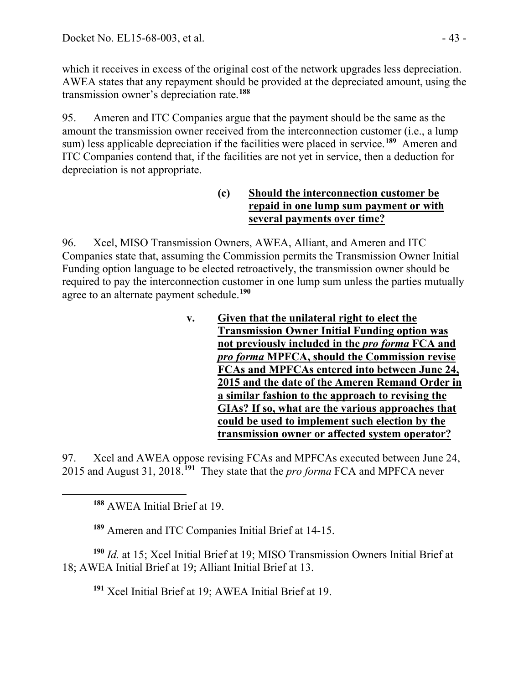which it receives in excess of the original cost of the network upgrades less depreciation. AWEA states that any repayment should be provided at the depreciated amount, using the transmission owner's depreciation rate.**[188](#page-42-0)**

95. Ameren and ITC Companies argue that the payment should be the same as the amount the transmission owner received from the interconnection customer (i.e., a lump sum) less applicable depreciation if the facilities were placed in service.**[189](#page-42-1)** Ameren and ITC Companies contend that, if the facilities are not yet in service, then a deduction for depreciation is not appropriate.

#### **(c) Should the interconnection customer be repaid in one lump sum payment or with several payments over time?**

96. Xcel, MISO Transmission Owners, AWEA, Alliant, and Ameren and ITC Companies state that, assuming the Commission permits the Transmission Owner Initial Funding option language to be elected retroactively, the transmission owner should be required to pay the interconnection customer in one lump sum unless the parties mutually agree to an alternate payment schedule.**[190](#page-42-2)**

> **v. Given that the unilateral right to elect the Transmission Owner Initial Funding option was not previously included in the** *pro forma* **FCA and**  *pro forma* **MPFCA, should the Commission revise FCAs and MPFCAs entered into between June 24, 2015 and the date of the Ameren Remand Order in a similar fashion to the approach to revising the GIAs? If so, what are the various approaches that could be used to implement such election by the transmission owner or affected system operator?**

97. Xcel and AWEA oppose revising FCAs and MPFCAs executed between June 24, 2015 and August 31, 2018.**[191](#page-42-3)** They state that the *pro forma* FCA and MPFCA never

**<sup>188</sup>** AWEA Initial Brief at 19.

<span id="page-42-0"></span> $\overline{a}$ 

**<sup>189</sup>** Ameren and ITC Companies Initial Brief at 14-15.

<span id="page-42-3"></span><span id="page-42-2"></span><span id="page-42-1"></span>**<sup>190</sup>** *Id.* at 15; Xcel Initial Brief at 19; MISO Transmission Owners Initial Brief at 18; AWEA Initial Brief at 19; Alliant Initial Brief at 13.

**<sup>191</sup>** Xcel Initial Brief at 19; AWEA Initial Brief at 19.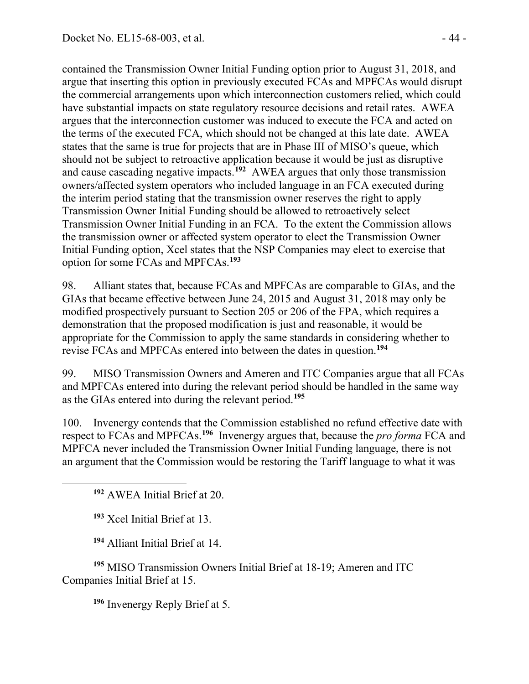contained the Transmission Owner Initial Funding option prior to August 31, 2018, and argue that inserting this option in previously executed FCAs and MPFCAs would disrupt the commercial arrangements upon which interconnection customers relied, which could have substantial impacts on state regulatory resource decisions and retail rates. AWEA argues that the interconnection customer was induced to execute the FCA and acted on the terms of the executed FCA, which should not be changed at this late date. AWEA states that the same is true for projects that are in Phase III of MISO's queue, which should not be subject to retroactive application because it would be just as disruptive and cause cascading negative impacts.**[192](#page-43-0)** AWEA argues that only those transmission owners/affected system operators who included language in an FCA executed during the interim period stating that the transmission owner reserves the right to apply Transmission Owner Initial Funding should be allowed to retroactively select Transmission Owner Initial Funding in an FCA. To the extent the Commission allows the transmission owner or affected system operator to elect the Transmission Owner Initial Funding option, Xcel states that the NSP Companies may elect to exercise that option for some FCAs and MPFCAs.**[193](#page-43-1)**

98. Alliant states that, because FCAs and MPFCAs are comparable to GIAs, and the GIAs that became effective between June 24, 2015 and August 31, 2018 may only be modified prospectively pursuant to Section 205 or 206 of the FPA, which requires a demonstration that the proposed modification is just and reasonable, it would be appropriate for the Commission to apply the same standards in considering whether to revise FCAs and MPFCAs entered into between the dates in question.**[194](#page-43-2)**

99. MISO Transmission Owners and Ameren and ITC Companies argue that all FCAs and MPFCAs entered into during the relevant period should be handled in the same way as the GIAs entered into during the relevant period.**[195](#page-43-3)**

100. Invenergy contends that the Commission established no refund effective date with respect to FCAs and MPFCAs.**[196](#page-43-4)** Invenergy argues that, because the *pro forma* FCA and MPFCA never included the Transmission Owner Initial Funding language, there is not an argument that the Commission would be restoring the Tariff language to what it was

**<sup>192</sup>** AWEA Initial Brief at 20.

**<sup>193</sup>** Xcel Initial Brief at 13.

<span id="page-43-1"></span><span id="page-43-0"></span> $\overline{a}$ 

**<sup>194</sup>** Alliant Initial Brief at 14.

<span id="page-43-4"></span><span id="page-43-3"></span><span id="page-43-2"></span>**<sup>195</sup>** MISO Transmission Owners Initial Brief at 18-19; Ameren and ITC Companies Initial Brief at 15.

**<sup>196</sup>** Invenergy Reply Brief at 5.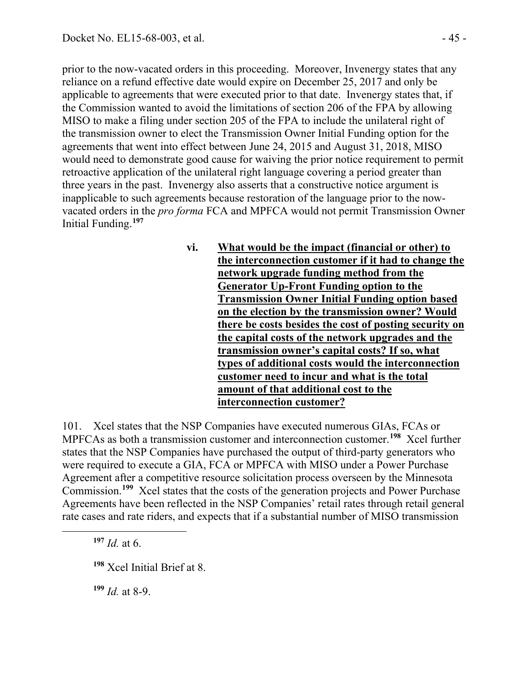prior to the now-vacated orders in this proceeding. Moreover, Invenergy states that any reliance on a refund effective date would expire on December 25, 2017 and only be applicable to agreements that were executed prior to that date. Invenergy states that, if the Commission wanted to avoid the limitations of section 206 of the FPA by allowing MISO to make a filing under section 205 of the FPA to include the unilateral right of the transmission owner to elect the Transmission Owner Initial Funding option for the agreements that went into effect between June 24, 2015 and August 31, 2018, MISO would need to demonstrate good cause for waiving the prior notice requirement to permit retroactive application of the unilateral right language covering a period greater than three years in the past. Invenergy also asserts that a constructive notice argument is inapplicable to such agreements because restoration of the language prior to the nowvacated orders in the *pro forma* FCA and MPFCA would not permit Transmission Owner Initial Funding.**[197](#page-44-0)**

> **vi. What would be the impact (financial or other) to the interconnection customer if it had to change the network upgrade funding method from the Generator Up-Front Funding option to the Transmission Owner Initial Funding option based on the election by the transmission owner? Would there be costs besides the cost of posting security on the capital costs of the network upgrades and the transmission owner's capital costs? If so, what types of additional costs would the interconnection customer need to incur and what is the total amount of that additional cost to the interconnection customer?**

101. Xcel states that the NSP Companies have executed numerous GIAs, FCAs or MPFCAs as both a transmission customer and interconnection customer.**[198](#page-44-1)** Xcel further states that the NSP Companies have purchased the output of third-party generators who were required to execute a GIA, FCA or MPFCA with MISO under a Power Purchase Agreement after a competitive resource solicitation process overseen by the Minnesota Commission.<sup>[199](#page-44-2)</sup> Xcel states that the costs of the generation projects and Power Purchase Agreements have been reflected in the NSP Companies' retail rates through retail general rate cases and rate riders, and expects that if a substantial number of MISO transmission

**<sup>197</sup>** *Id.* at 6.

<span id="page-44-2"></span><span id="page-44-1"></span><span id="page-44-0"></span> $\overline{a}$ 

**<sup>199</sup>** *Id.* at 8-9.

**<sup>198</sup>** Xcel Initial Brief at 8.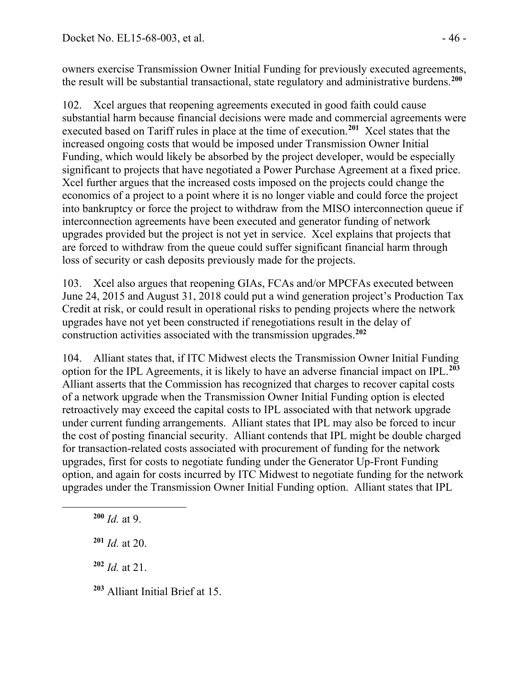owners exercise Transmission Owner Initial Funding for previously executed agreements, the result will be substantial transactional, state regulatory and administrative burdens.**[200](#page-45-0)**

102. Xcel argues that reopening agreements executed in good faith could cause substantial harm because financial decisions were made and commercial agreements were executed based on Tariff rules in place at the time of execution.**[201](#page-45-1)** Xcel states that the increased ongoing costs that would be imposed under Transmission Owner Initial Funding, which would likely be absorbed by the project developer, would be especially significant to projects that have negotiated a Power Purchase Agreement at a fixed price. Xcel further argues that the increased costs imposed on the projects could change the economics of a project to a point where it is no longer viable and could force the project into bankruptcy or force the project to withdraw from the MISO interconnection queue if interconnection agreements have been executed and generator funding of network upgrades provided but the project is not yet in service. Xcel explains that projects that are forced to withdraw from the queue could suffer significant financial harm through loss of security or cash deposits previously made for the projects.

103. Xcel also argues that reopening GIAs, FCAs and/or MPCFAs executed between June 24, 2015 and August 31, 2018 could put a wind generation project's Production Tax Credit at risk, or could result in operational risks to pending projects where the network upgrades have not yet been constructed if renegotiations result in the delay of construction activities associated with the transmission upgrades.**[202](#page-45-2)**

104. Alliant states that, if ITC Midwest elects the Transmission Owner Initial Funding option for the IPL Agreements, it is likely to have an adverse financial impact on IPL.**[203](#page-45-3)** Alliant asserts that the Commission has recognized that charges to recover capital costs of a network upgrade when the Transmission Owner Initial Funding option is elected retroactively may exceed the capital costs to IPL associated with that network upgrade under current funding arrangements. Alliant states that IPL may also be forced to incur the cost of posting financial security. Alliant contends that IPL might be double charged for transaction-related costs associated with procurement of funding for the network upgrades, first for costs to negotiate funding under the Generator Up-Front Funding option, and again for costs incurred by ITC Midwest to negotiate funding for the network upgrades under the Transmission Owner Initial Funding option. Alliant states that IPL

**<sup>200</sup>** *Id.* at 9.

<span id="page-45-2"></span><span id="page-45-1"></span><span id="page-45-0"></span> $\overline{a}$ 

**<sup>201</sup>** *Id.* at 20.

**<sup>202</sup>** *Id.* at 21.

<span id="page-45-3"></span>**<sup>203</sup>** Alliant Initial Brief at 15.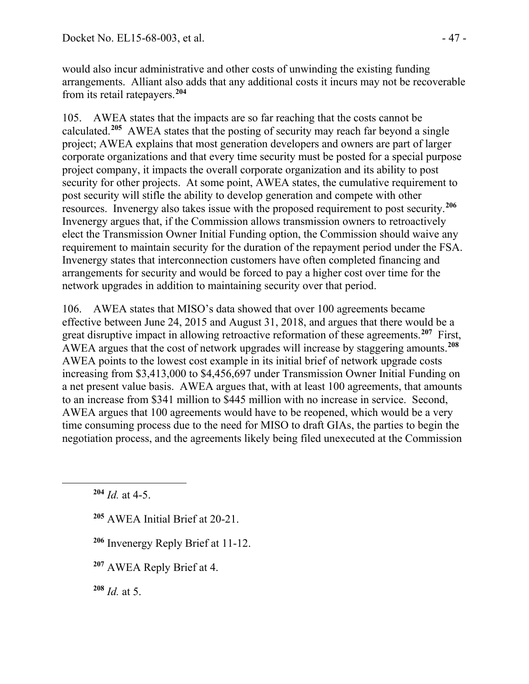would also incur administrative and other costs of unwinding the existing funding arrangements. Alliant also adds that any additional costs it incurs may not be recoverable from its retail ratepayers.**[204](#page-46-0)**

105. AWEA states that the impacts are so far reaching that the costs cannot be calculated.**[205](#page-46-1)** AWEA states that the posting of security may reach far beyond a single project; AWEA explains that most generation developers and owners are part of larger corporate organizations and that every time security must be posted for a special purpose project company, it impacts the overall corporate organization and its ability to post security for other projects. At some point, AWEA states, the cumulative requirement to post security will stifle the ability to develop generation and compete with other resources. Invenergy also takes issue with the proposed requirement to post security.**[206](#page-46-2)** Invenergy argues that, if the Commission allows transmission owners to retroactively elect the Transmission Owner Initial Funding option, the Commission should waive any requirement to maintain security for the duration of the repayment period under the FSA. Invenergy states that interconnection customers have often completed financing and arrangements for security and would be forced to pay a higher cost over time for the network upgrades in addition to maintaining security over that period.

106. AWEA states that MISO's data showed that over 100 agreements became effective between June 24, 2015 and August 31, 2018, and argues that there would be a great disruptive impact in allowing retroactive reformation of these agreements.**[207](#page-46-3)** First, AWEA argues that the cost of network upgrades will increase by staggering amounts.**[208](#page-46-4)** AWEA points to the lowest cost example in its initial brief of network upgrade costs increasing from \$3,413,000 to \$4,456,697 under Transmission Owner Initial Funding on a net present value basis. AWEA argues that, with at least 100 agreements, that amounts to an increase from \$341 million to \$445 million with no increase in service. Second, AWEA argues that 100 agreements would have to be reopened, which would be a very time consuming process due to the need for MISO to draft GIAs, the parties to begin the negotiation process, and the agreements likely being filed unexecuted at the Commission

<span id="page-46-2"></span><span id="page-46-1"></span><span id="page-46-0"></span> $\overline{a}$ 

- **<sup>205</sup>** AWEA Initial Brief at 20-21.
- **<sup>206</sup>** Invenergy Reply Brief at 11-12.
- <span id="page-46-3"></span>**<sup>207</sup>** AWEA Reply Brief at 4.

<span id="page-46-4"></span>**<sup>208</sup>** *Id.* at 5.

**<sup>204</sup>** *Id.* at 4-5.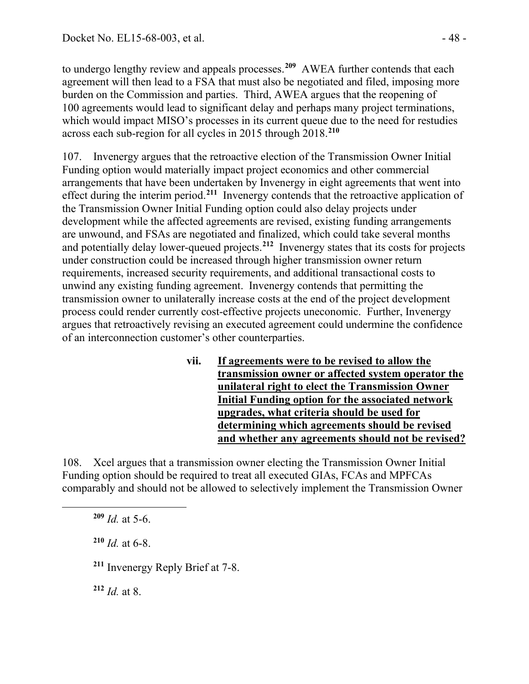to undergo lengthy review and appeals processes.**[209](#page-47-0)** AWEA further contends that each agreement will then lead to a FSA that must also be negotiated and filed, imposing more burden on the Commission and parties. Third, AWEA argues that the reopening of 100 agreements would lead to significant delay and perhaps many project terminations, which would impact MISO's processes in its current queue due to the need for restudies across each sub-region for all cycles in 2015 through 2018.**[210](#page-47-1)**

107. Invenergy argues that the retroactive election of the Transmission Owner Initial Funding option would materially impact project economics and other commercial arrangements that have been undertaken by Invenergy in eight agreements that went into effect during the interim period.**[211](#page-47-2)** Invenergy contends that the retroactive application of the Transmission Owner Initial Funding option could also delay projects under development while the affected agreements are revised, existing funding arrangements are unwound, and FSAs are negotiated and finalized, which could take several months and potentially delay lower-queued projects.**[212](#page-47-3)** Invenergy states that its costs for projects under construction could be increased through higher transmission owner return requirements, increased security requirements, and additional transactional costs to unwind any existing funding agreement. Invenergy contends that permitting the transmission owner to unilaterally increase costs at the end of the project development process could render currently cost-effective projects uneconomic. Further, Invenergy argues that retroactively revising an executed agreement could undermine the confidence of an interconnection customer's other counterparties.

> **vii. If agreements were to be revised to allow the transmission owner or affected system operator the unilateral right to elect the Transmission Owner Initial Funding option for the associated network upgrades, what criteria should be used for determining which agreements should be revised and whether any agreements should not be revised?**

108. Xcel argues that a transmission owner electing the Transmission Owner Initial Funding option should be required to treat all executed GIAs, FCAs and MPFCAs comparably and should not be allowed to selectively implement the Transmission Owner

 $209$  *Id.* at 5-6.

<span id="page-47-2"></span><span id="page-47-1"></span><span id="page-47-0"></span> $\overline{a}$ 

 $210$  *Id.* at 6-8.

**<sup>211</sup>** Invenergy Reply Brief at 7-8.

<span id="page-47-3"></span>**<sup>212</sup>** *Id.* at 8.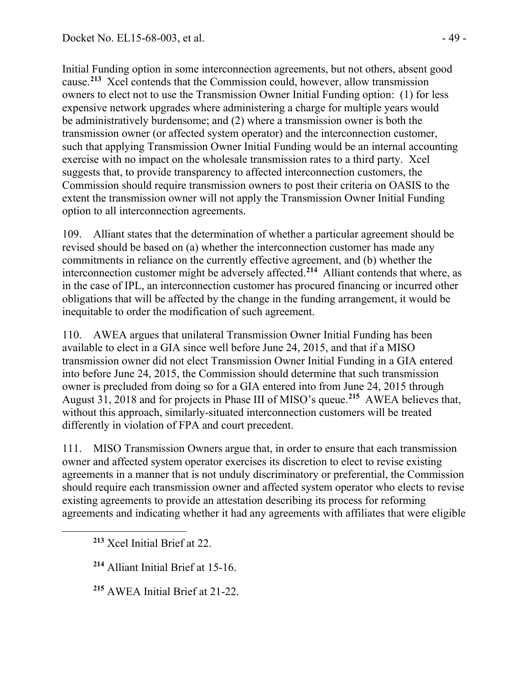Initial Funding option in some interconnection agreements, but not others, absent good cause.**[213](#page-48-0)** Xcel contends that the Commission could, however, allow transmission owners to elect not to use the Transmission Owner Initial Funding option: (1) for less expensive network upgrades where administering a charge for multiple years would be administratively burdensome; and (2) where a transmission owner is both the transmission owner (or affected system operator) and the interconnection customer, such that applying Transmission Owner Initial Funding would be an internal accounting exercise with no impact on the wholesale transmission rates to a third party. Xcel suggests that, to provide transparency to affected interconnection customers, the Commission should require transmission owners to post their criteria on OASIS to the extent the transmission owner will not apply the Transmission Owner Initial Funding option to all interconnection agreements.

109. Alliant states that the determination of whether a particular agreement should be revised should be based on (a) whether the interconnection customer has made any commitments in reliance on the currently effective agreement, and (b) whether the interconnection customer might be adversely affected.**[214](#page-48-1)** Alliant contends that where, as in the case of IPL, an interconnection customer has procured financing or incurred other obligations that will be affected by the change in the funding arrangement, it would be inequitable to order the modification of such agreement.

110. AWEA argues that unilateral Transmission Owner Initial Funding has been available to elect in a GIA since well before June 24, 2015, and that if a MISO transmission owner did not elect Transmission Owner Initial Funding in a GIA entered into before June 24, 2015, the Commission should determine that such transmission owner is precluded from doing so for a GIA entered into from June 24, 2015 through August 31, 2018 and for projects in Phase III of MISO's queue.**[215](#page-48-2)** AWEA believes that, without this approach, similarly-situated interconnection customers will be treated differently in violation of FPA and court precedent.

111. MISO Transmission Owners argue that, in order to ensure that each transmission owner and affected system operator exercises its discretion to elect to revise existing agreements in a manner that is not unduly discriminatory or preferential, the Commission should require each transmission owner and affected system operator who elects to revise existing agreements to provide an attestation describing its process for reforming agreements and indicating whether it had any agreements with affiliates that were eligible

**<sup>213</sup>** Xcel Initial Brief at 22.

<span id="page-48-2"></span><span id="page-48-1"></span><span id="page-48-0"></span> $\overline{a}$ 

**<sup>214</sup>** Alliant Initial Brief at 15-16.

**<sup>215</sup>** AWEA Initial Brief at 21-22.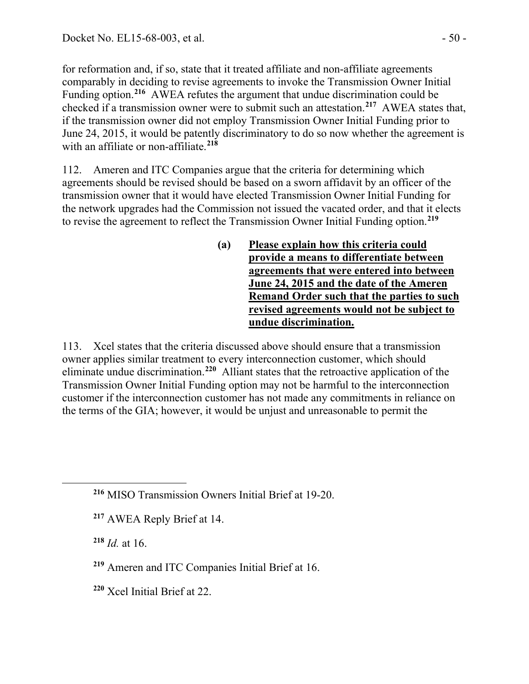for reformation and, if so, state that it treated affiliate and non-affiliate agreements comparably in deciding to revise agreements to invoke the Transmission Owner Initial Funding option.**[216](#page-49-0)** AWEA refutes the argument that undue discrimination could be checked if a transmission owner were to submit such an attestation. **[217](#page-49-1)** AWEA states that, if the transmission owner did not employ Transmission Owner Initial Funding prior to June 24, 2015, it would be patently discriminatory to do so now whether the agreement is with an affiliate or non-affiliate.**[218](#page-49-2)**

112. Ameren and ITC Companies argue that the criteria for determining which agreements should be revised should be based on a sworn affidavit by an officer of the transmission owner that it would have elected Transmission Owner Initial Funding for the network upgrades had the Commission not issued the vacated order, and that it elects to revise the agreement to reflect the Transmission Owner Initial Funding option.**[219](#page-49-3)**

> **(a) Please explain how this criteria could provide a means to differentiate between agreements that were entered into between June 24, 2015 and the date of the Ameren Remand Order such that the parties to such revised agreements would not be subject to undue discrimination.**

113. Xcel states that the criteria discussed above should ensure that a transmission owner applies similar treatment to every interconnection customer, which should eliminate undue discrimination.**[220](#page-49-4)** Alliant states that the retroactive application of the Transmission Owner Initial Funding option may not be harmful to the interconnection customer if the interconnection customer has not made any commitments in reliance on the terms of the GIA; however, it would be unjust and unreasonable to permit the

**<sup>218</sup>** *Id.* at 16.

<span id="page-49-2"></span><span id="page-49-1"></span><span id="page-49-0"></span> $\overline{a}$ 

<span id="page-49-4"></span>**<sup>220</sup>** Xcel Initial Brief at 22.

**<sup>216</sup>** MISO Transmission Owners Initial Brief at 19-20.

**<sup>217</sup>** AWEA Reply Brief at 14.

<span id="page-49-3"></span>**<sup>219</sup>** Ameren and ITC Companies Initial Brief at 16.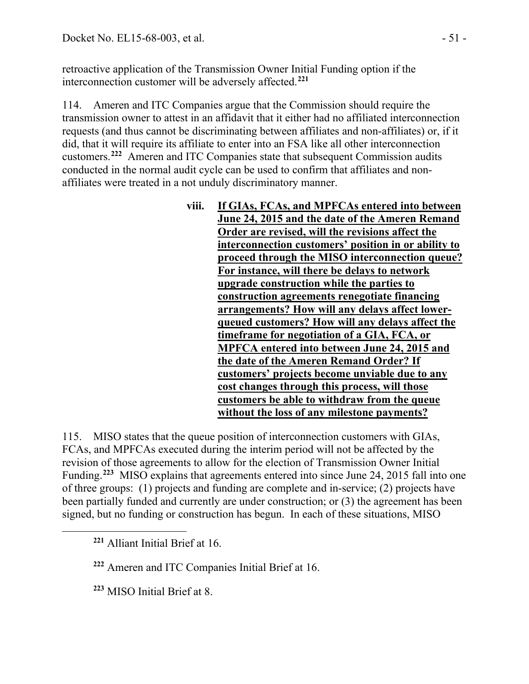retroactive application of the Transmission Owner Initial Funding option if the interconnection customer will be adversely affected.**[221](#page-50-0)**

114. Ameren and ITC Companies argue that the Commission should require the transmission owner to attest in an affidavit that it either had no affiliated interconnection requests (and thus cannot be discriminating between affiliates and non-affiliates) or, if it did, that it will require its affiliate to enter into an FSA like all other interconnection customers.**[222](#page-50-1)** Ameren and ITC Companies state that subsequent Commission audits conducted in the normal audit cycle can be used to confirm that affiliates and nonaffiliates were treated in a not unduly discriminatory manner.

| viii. | If GIAs, FCAs, and MPFCAs entered into between       |
|-------|------------------------------------------------------|
|       | June 24, 2015 and the date of the Ameren Remand      |
|       | Order are revised, will the revisions affect the     |
|       | interconnection customers' position in or ability to |
|       | proceed through the MISO interconnection queue?      |
|       | For instance, will there be delays to network        |
|       | upgrade construction while the parties to            |
|       | construction agreements renegotiate financing        |
|       | arrangements? How will any delays affect lower-      |
|       | queued customers? How will any delays affect the     |
|       | timeframe for negotiation of a GIA, FCA, or          |
|       | <b>MPFCA entered into between June 24, 2015 and</b>  |
|       | the date of the Ameren Remand Order? If              |
|       | customers' projects become unviable due to any       |
|       | cost changes through this process, will those        |
|       | customers be able to withdraw from the queue         |
|       | without the loss of any milestone payments?          |
|       |                                                      |

115. MISO states that the queue position of interconnection customers with GIAs, FCAs, and MPFCAs executed during the interim period will not be affected by the revision of those agreements to allow for the election of Transmission Owner Initial Funding.**[223](#page-50-2)** MISO explains that agreements entered into since June 24, 2015 fall into one of three groups: (1) projects and funding are complete and in-service; (2) projects have been partially funded and currently are under construction; or (3) the agreement has been signed, but no funding or construction has begun. In each of these situations, MISO

<span id="page-50-2"></span><span id="page-50-1"></span><span id="page-50-0"></span> $\overline{a}$ 

**<sup>222</sup>** Ameren and ITC Companies Initial Brief at 16.

**<sup>223</sup>** MISO Initial Brief at 8.

**<sup>221</sup>** Alliant Initial Brief at 16.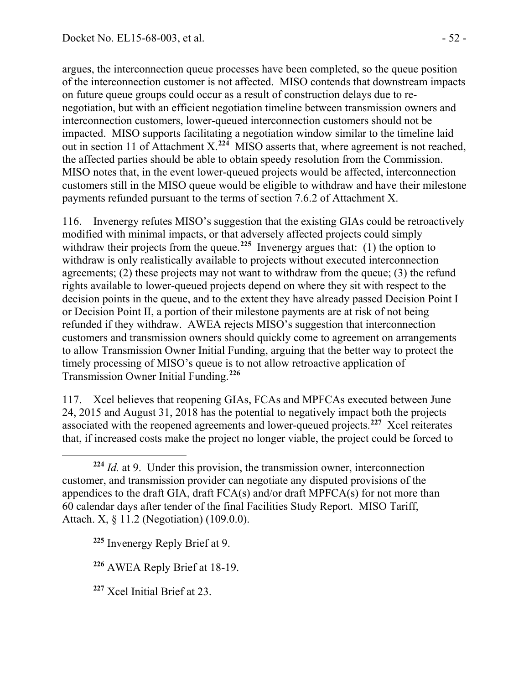argues, the interconnection queue processes have been completed, so the queue position of the interconnection customer is not affected. MISO contends that downstream impacts on future queue groups could occur as a result of construction delays due to renegotiation, but with an efficient negotiation timeline between transmission owners and interconnection customers, lower-queued interconnection customers should not be impacted. MISO supports facilitating a negotiation window similar to the timeline laid out in section 11 of Attachment X.**[224](#page-51-0)** MISO asserts that, where agreement is not reached, the affected parties should be able to obtain speedy resolution from the Commission. MISO notes that, in the event lower-queued projects would be affected, interconnection customers still in the MISO queue would be eligible to withdraw and have their milestone payments refunded pursuant to the terms of section 7.6.2 of Attachment X.

116. Invenergy refutes MISO's suggestion that the existing GIAs could be retroactively modified with minimal impacts, or that adversely affected projects could simply withdraw their projects from the queue.<sup>[225](#page-51-1)</sup> Invenergy argues that: (1) the option to withdraw is only realistically available to projects without executed interconnection agreements; (2) these projects may not want to withdraw from the queue; (3) the refund rights available to lower-queued projects depend on where they sit with respect to the decision points in the queue, and to the extent they have already passed Decision Point I or Decision Point II, a portion of their milestone payments are at risk of not being refunded if they withdraw. AWEA rejects MISO's suggestion that interconnection customers and transmission owners should quickly come to agreement on arrangements to allow Transmission Owner Initial Funding, arguing that the better way to protect the timely processing of MISO's queue is to not allow retroactive application of Transmission Owner Initial Funding.**[226](#page-51-2)**

117. Xcel believes that reopening GIAs, FCAs and MPFCAs executed between June 24, 2015 and August 31, 2018 has the potential to negatively impact both the projects associated with the reopened agreements and lower-queued projects.**[227](#page-51-3)** Xcel reiterates that, if increased costs make the project no longer viable, the project could be forced to

 $\overline{a}$ 

<span id="page-51-0"></span>**<sup>224</sup>** *Id.* at 9. Under this provision, the transmission owner, interconnection customer, and transmission provider can negotiate any disputed provisions of the appendices to the draft GIA, draft FCA(s) and/or draft MPFCA(s) for not more than 60 calendar days after tender of the final Facilities Study Report. MISO Tariff, Attach. X, § 11.2 (Negotiation) (109.0.0).

<span id="page-51-1"></span>**<sup>225</sup>** Invenergy Reply Brief at 9.

<span id="page-51-2"></span>**<sup>226</sup>** AWEA Reply Brief at 18-19.

<span id="page-51-3"></span>**<sup>227</sup>** Xcel Initial Brief at 23.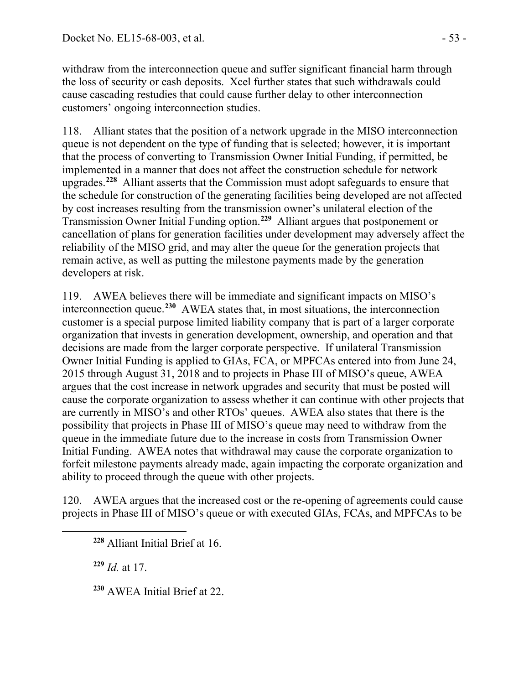withdraw from the interconnection queue and suffer significant financial harm through the loss of security or cash deposits. Xcel further states that such withdrawals could cause cascading restudies that could cause further delay to other interconnection customers' ongoing interconnection studies.

118. Alliant states that the position of a network upgrade in the MISO interconnection queue is not dependent on the type of funding that is selected; however, it is important that the process of converting to Transmission Owner Initial Funding, if permitted, be implemented in a manner that does not affect the construction schedule for network upgrades.**[228](#page-52-0)** Alliant asserts that the Commission must adopt safeguards to ensure that the schedule for construction of the generating facilities being developed are not affected by cost increases resulting from the transmission owner's unilateral election of the Transmission Owner Initial Funding option.**[229](#page-52-1)** Alliant argues that postponement or cancellation of plans for generation facilities under development may adversely affect the reliability of the MISO grid, and may alter the queue for the generation projects that remain active, as well as putting the milestone payments made by the generation developers at risk.

119. AWEA believes there will be immediate and significant impacts on MISO's interconnection queue.**[230](#page-52-2)** AWEA states that, in most situations, the interconnection customer is a special purpose limited liability company that is part of a larger corporate organization that invests in generation development, ownership, and operation and that decisions are made from the larger corporate perspective. If unilateral Transmission Owner Initial Funding is applied to GIAs, FCA, or MPFCAs entered into from June 24, 2015 through August 31, 2018 and to projects in Phase III of MISO's queue, AWEA argues that the cost increase in network upgrades and security that must be posted will cause the corporate organization to assess whether it can continue with other projects that are currently in MISO's and other RTOs' queues. AWEA also states that there is the possibility that projects in Phase III of MISO's queue may need to withdraw from the queue in the immediate future due to the increase in costs from Transmission Owner Initial Funding. AWEA notes that withdrawal may cause the corporate organization to forfeit milestone payments already made, again impacting the corporate organization and ability to proceed through the queue with other projects.

120. AWEA argues that the increased cost or the re-opening of agreements could cause projects in Phase III of MISO's queue or with executed GIAs, FCAs, and MPFCAs to be

**<sup>229</sup>** *Id.* at 17.

<span id="page-52-2"></span><span id="page-52-1"></span><span id="page-52-0"></span> $\overline{a}$ 

**<sup>230</sup>** AWEA Initial Brief at 22.

**<sup>228</sup>** Alliant Initial Brief at 16.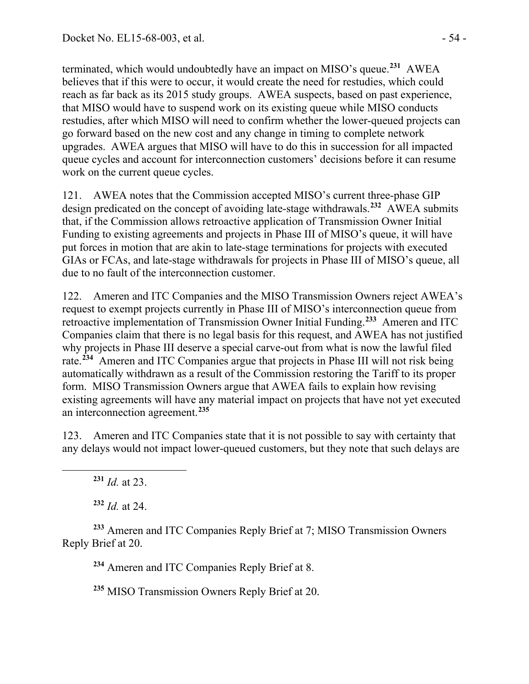terminated, which would undoubtedly have an impact on MISO's queue.**[231](#page-53-0)** AWEA believes that if this were to occur, it would create the need for restudies, which could reach as far back as its 2015 study groups. AWEA suspects, based on past experience, that MISO would have to suspend work on its existing queue while MISO conducts restudies, after which MISO will need to confirm whether the lower-queued projects can go forward based on the new cost and any change in timing to complete network upgrades. AWEA argues that MISO will have to do this in succession for all impacted queue cycles and account for interconnection customers' decisions before it can resume work on the current queue cycles.

121. AWEA notes that the Commission accepted MISO's current three-phase GIP design predicated on the concept of avoiding late-stage withdrawals.**[232](#page-53-1)** AWEA submits that, if the Commission allows retroactive application of Transmission Owner Initial Funding to existing agreements and projects in Phase III of MISO's queue, it will have put forces in motion that are akin to late-stage terminations for projects with executed GIAs or FCAs, and late-stage withdrawals for projects in Phase III of MISO's queue, all due to no fault of the interconnection customer.

122. Ameren and ITC Companies and the MISO Transmission Owners reject AWEA's request to exempt projects currently in Phase III of MISO's interconnection queue from retroactive implementation of Transmission Owner Initial Funding.**[233](#page-53-2)** Ameren and ITC Companies claim that there is no legal basis for this request, and AWEA has not justified why projects in Phase III deserve a special carve-out from what is now the lawful filed rate.**[234](#page-53-3)** Ameren and ITC Companies argue that projects in Phase III will not risk being automatically withdrawn as a result of the Commission restoring the Tariff to its proper form. MISO Transmission Owners argue that AWEA fails to explain how revising existing agreements will have any material impact on projects that have not yet executed an interconnection agreement.**[235](#page-53-4)**

123. Ameren and ITC Companies state that it is not possible to say with certainty that any delays would not impact lower-queued customers, but they note that such delays are

**<sup>231</sup>** *Id.* at 23.

<span id="page-53-0"></span> $\overline{a}$ 

**<sup>232</sup>** *Id.* at 24.

<span id="page-53-4"></span><span id="page-53-3"></span><span id="page-53-2"></span><span id="page-53-1"></span>**<sup>233</sup>** Ameren and ITC Companies Reply Brief at 7; MISO Transmission Owners Reply Brief at 20.

**<sup>234</sup>** Ameren and ITC Companies Reply Brief at 8.

**<sup>235</sup>** MISO Transmission Owners Reply Brief at 20.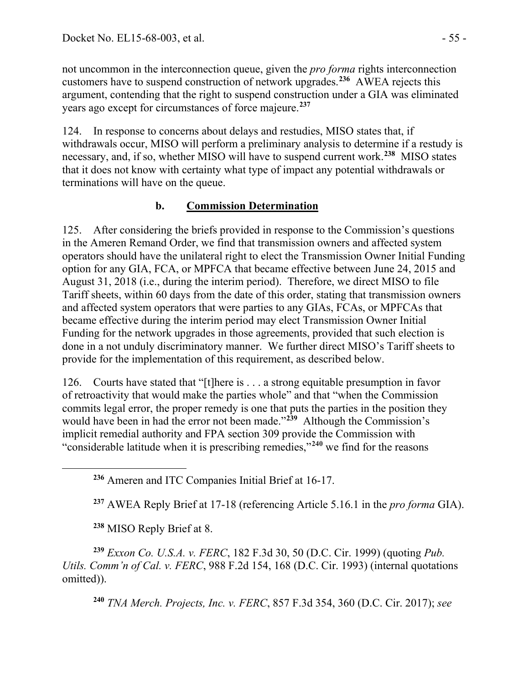not uncommon in the interconnection queue, given the *pro forma* rights interconnection customers have to suspend construction of network upgrades.**[236](#page-54-0)** AWEA rejects this argument, contending that the right to suspend construction under a GIA was eliminated years ago except for circumstances of force majeure.**[237](#page-54-1)**

124. In response to concerns about delays and restudies, MISO states that, if withdrawals occur, MISO will perform a preliminary analysis to determine if a restudy is necessary, and, if so, whether MISO will have to suspend current work.**[238](#page-54-2)** MISO states that it does not know with certainty what type of impact any potential withdrawals or terminations will have on the queue.

## **b. Commission Determination**

125. After considering the briefs provided in response to the Commission's questions in the Ameren Remand Order, we find that transmission owners and affected system operators should have the unilateral right to elect the Transmission Owner Initial Funding option for any GIA, FCA, or MPFCA that became effective between June 24, 2015 and August 31, 2018 (i.e., during the interim period). Therefore, we direct MISO to file Tariff sheets, within 60 days from the date of this order, stating that transmission owners and affected system operators that were parties to any GIAs, FCAs, or MPFCAs that became effective during the interim period may elect Transmission Owner Initial Funding for the network upgrades in those agreements, provided that such election is done in a not unduly discriminatory manner. We further direct MISO's Tariff sheets to provide for the implementation of this requirement, as described below.

126. Courts have stated that "[t]here is . . . a strong equitable presumption in favor of retroactivity that would make the parties whole" and that "when the Commission commits legal error, the proper remedy is one that puts the parties in the position they would have been in had the error not been made."**[239](#page-54-3)** Although the Commission's implicit remedial authority and FPA section 309 provide the Commission with "considerable latitude when it is prescribing remedies,"**[240](#page-54-4)** we find for the reasons

**<sup>237</sup>** AWEA Reply Brief at 17-18 (referencing Article 5.16.1 in the *pro forma* GIA).

**<sup>238</sup>** MISO Reply Brief at 8.

<span id="page-54-1"></span><span id="page-54-0"></span> $\overline{a}$ 

<span id="page-54-4"></span><span id="page-54-3"></span><span id="page-54-2"></span>**<sup>239</sup>** *Exxon Co. U.S.A. v. FERC*, 182 F.3d 30, 50 (D.C. Cir. 1999) (quoting *Pub. Utils. Comm'n of Cal. v. FERC*, 988 F.2d 154, 168 (D.C. Cir. 1993) (internal quotations omitted)).

**<sup>240</sup>** *TNA Merch. Projects, Inc. v. FERC*, 857 F.3d 354, 360 (D.C. Cir. 2017); *see* 

**<sup>236</sup>** Ameren and ITC Companies Initial Brief at 16-17.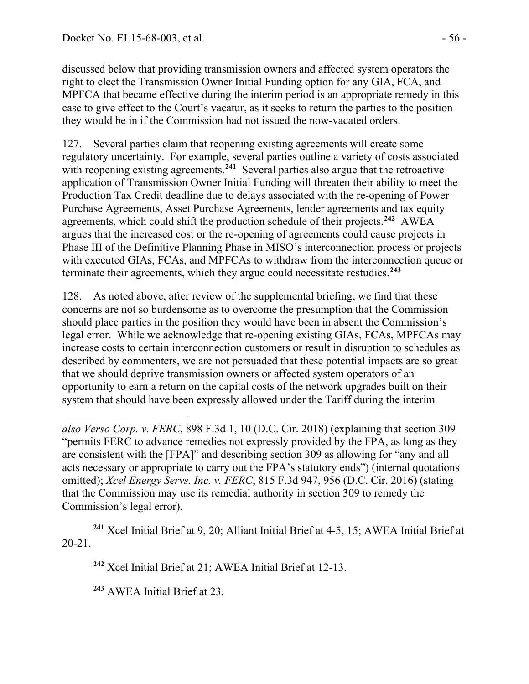discussed below that providing transmission owners and affected system operators the right to elect the Transmission Owner Initial Funding option for any GIA, FCA, and MPFCA that became effective during the interim period is an appropriate remedy in this case to give effect to the Court's vacatur, as it seeks to return the parties to the position they would be in if the Commission had not issued the now-vacated orders.

127. Several parties claim that reopening existing agreements will create some regulatory uncertainty. For example, several parties outline a variety of costs associated with reopening existing agreements.<sup>[241](#page-55-0)</sup> Several parties also argue that the retroactive application of Transmission Owner Initial Funding will threaten their ability to meet the Production Tax Credit deadline due to delays associated with the re-opening of Power Purchase Agreements, Asset Purchase Agreements, lender agreements and tax equity agreements, which could shift the production schedule of their projects. **[242](#page-55-1)** AWEA argues that the increased cost or the re-opening of agreements could cause projects in Phase III of the Definitive Planning Phase in MISO's interconnection process or projects with executed GIAs, FCAs, and MPFCAs to withdraw from the interconnection queue or terminate their agreements, which they argue could necessitate restudies. **[243](#page-55-2)**

128. As noted above, after review of the supplemental briefing, we find that these concerns are not so burdensome as to overcome the presumption that the Commission should place parties in the position they would have been in absent the Commission's legal error. While we acknowledge that re-opening existing GIAs, FCAs, MPFCAs may increase costs to certain interconnection customers or result in disruption to schedules as described by commenters, we are not persuaded that these potential impacts are so great that we should deprive transmission owners or affected system operators of an opportunity to earn a return on the capital costs of the network upgrades built on their system that should have been expressly allowed under the Tariff during the interim

<span id="page-55-2"></span><span id="page-55-1"></span><span id="page-55-0"></span>**<sup>241</sup>** Xcel Initial Brief at 9, 20; Alliant Initial Brief at 4-5, 15; AWEA Initial Brief at 20-21.

**<sup>242</sup>** Xcel Initial Brief at 21; AWEA Initial Brief at 12-13.

**<sup>243</sup>** AWEA Initial Brief at 23.

 $\overline{a}$ 

*also Verso Corp. v. FERC*, 898 F.3d 1, 10 (D.C. Cir. 2018) (explaining that section 309 "permits FERC to advance remedies not expressly provided by the FPA, as long as they are consistent with the [FPA]" and describing section 309 as allowing for "any and all acts necessary or appropriate to carry out the FPA's statutory ends") (internal quotations omitted); *Xcel Energy Servs. Inc. v. FERC*, 815 F.3d 947, 956 (D.C. Cir. 2016) (stating that the Commission may use its remedial authority in section 309 to remedy the Commission's legal error).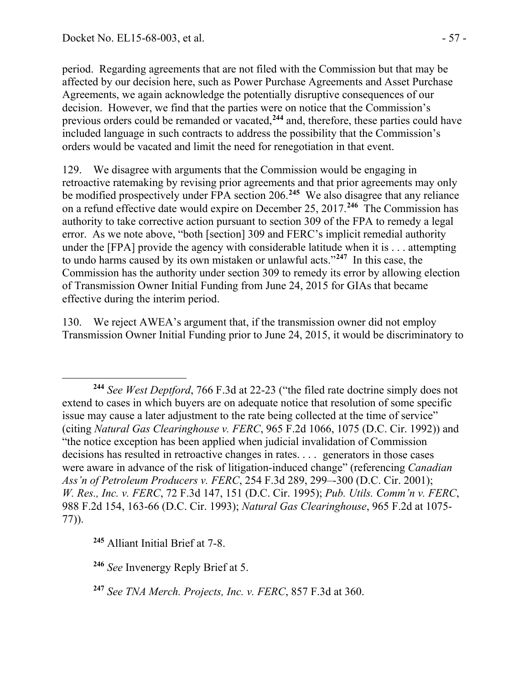period. Regarding agreements that are not filed with the Commission but that may be affected by our decision here, such as Power Purchase Agreements and Asset Purchase Agreements, we again acknowledge the potentially disruptive consequences of our decision. However, we find that the parties were on notice that the Commission's previous orders could be remanded or vacated, **[244](#page-56-0)** and, therefore, these parties could have included language in such contracts to address the possibility that the Commission's orders would be vacated and limit the need for renegotiation in that event.

129. We disagree with arguments that the Commission would be engaging in retroactive ratemaking by revising prior agreements and that prior agreements may only be modified prospectively under FPA section 206. **[245](#page-56-1)** We also disagree that any reliance on a refund effective date would expire on December 25, 2017.**[246](#page-56-2)** The Commission has authority to take corrective action pursuant to section 309 of the FPA to remedy a legal error. As we note above, "both [section] 309 and FERC's implicit remedial authority under the [FPA] provide the agency with considerable latitude when it is . . . attempting to undo harms caused by its own mistaken or unlawful acts."**[247](#page-56-3)** In this case, the Commission has the authority under section 309 to remedy its error by allowing election of Transmission Owner Initial Funding from June 24, 2015 for GIAs that became effective during the interim period.

130. We reject AWEA's argument that, if the transmission owner did not employ Transmission Owner Initial Funding prior to June 24, 2015, it would be discriminatory to

<span id="page-56-1"></span>**<sup>245</sup>** Alliant Initial Brief at 7-8.

 $\overline{a}$ 

<span id="page-56-2"></span>**<sup>246</sup>** *See* Invenergy Reply Brief at 5.

<span id="page-56-0"></span>**<sup>244</sup>** *See West Deptford*, 766 F.3d at 22-23 ("the filed rate doctrine simply does not extend to cases in which buyers are on adequate notice that resolution of some specific issue may cause a later adjustment to the rate being collected at the time of service" (citing *Natural Gas Clearinghouse v. FERC*, 965 F.2d 1066, 1075 (D.C. Cir. 1992)) and "the notice exception has been applied when judicial invalidation of Commission decisions has resulted in retroactive changes in rates. . . . generators in those cases were aware in advance of the risk of litigation-induced change" (referencing *Canadian Ass'n of Petroleum Producers v. FERC*, 254 F.3d 289, 299–-300 (D.C. Cir. 2001); *W. Res., Inc. v. FERC*, 72 F.3d 147, 151 (D.C. Cir. 1995); *Pub. Utils. Comm'n v. FERC*, 988 F.2d 154, 163-66 (D.C. Cir. 1993); *Natural Gas Clearinghouse*, 965 F.2d at 1075- 77)).

<span id="page-56-3"></span>**<sup>247</sup>** *See TNA Merch. Projects, Inc. v. FERC*, 857 F.3d at 360.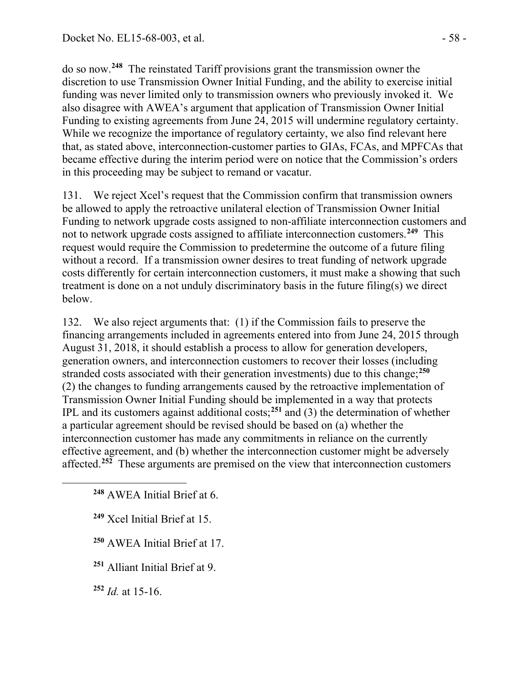do so now.**[248](#page-57-0)** The reinstated Tariff provisions grant the transmission owner the discretion to use Transmission Owner Initial Funding, and the ability to exercise initial funding was never limited only to transmission owners who previously invoked it. We also disagree with AWEA's argument that application of Transmission Owner Initial Funding to existing agreements from June 24, 2015 will undermine regulatory certainty. While we recognize the importance of regulatory certainty, we also find relevant here that, as stated above, interconnection-customer parties to GIAs, FCAs, and MPFCAs that became effective during the interim period were on notice that the Commission's orders in this proceeding may be subject to remand or vacatur.

131. We reject Xcel's request that the Commission confirm that transmission owners be allowed to apply the retroactive unilateral election of Transmission Owner Initial Funding to network upgrade costs assigned to non-affiliate interconnection customers and not to network upgrade costs assigned to affiliate interconnection customers.**[249](#page-57-1)** This request would require the Commission to predetermine the outcome of a future filing without a record. If a transmission owner desires to treat funding of network upgrade costs differently for certain interconnection customers, it must make a showing that such treatment is done on a not unduly discriminatory basis in the future filing(s) we direct below.

132. We also reject arguments that: (1) if the Commission fails to preserve the financing arrangements included in agreements entered into from June 24, 2015 through August 31, 2018, it should establish a process to allow for generation developers, generation owners, and interconnection customers to recover their losses (including stranded costs associated with their generation investments) due to this change; **[250](#page-57-2)** (2) the changes to funding arrangements caused by the retroactive implementation of Transmission Owner Initial Funding should be implemented in a way that protects IPL and its customers against additional costs; **[251](#page-57-3)** and (3) the determination of whether a particular agreement should be revised should be based on (a) whether the interconnection customer has made any commitments in reliance on the currently effective agreement, and (b) whether the interconnection customer might be adversely affected. **[252](#page-57-4)** These arguments are premised on the view that interconnection customers

**<sup>248</sup>** AWEA Initial Brief at 6.

**<sup>249</sup>** Xcel Initial Brief at 15.

**<sup>250</sup>** AWEA Initial Brief at 17.

<span id="page-57-3"></span>**<sup>251</sup>** Alliant Initial Brief at 9.

<span id="page-57-4"></span>**<sup>252</sup>** *Id.* at 15-16.

<span id="page-57-2"></span><span id="page-57-1"></span><span id="page-57-0"></span> $\overline{a}$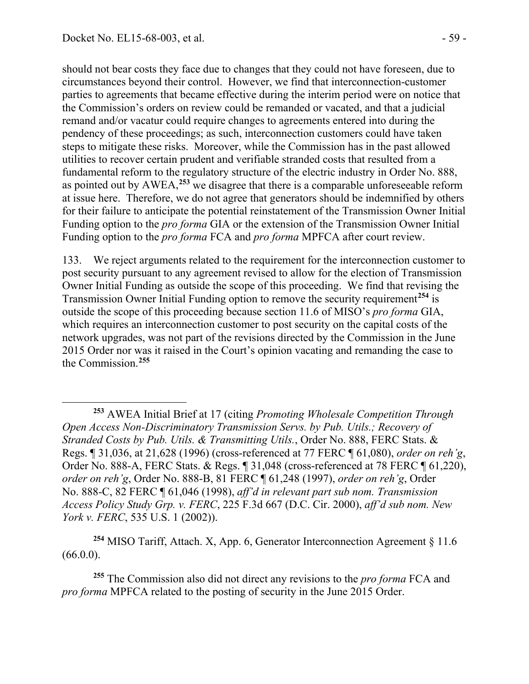$\overline{a}$ 

should not bear costs they face due to changes that they could not have foreseen, due to circumstances beyond their control. However, we find that interconnection-customer parties to agreements that became effective during the interim period were on notice that the Commission's orders on review could be remanded or vacated, and that a judicial remand and/or vacatur could require changes to agreements entered into during the pendency of these proceedings; as such, interconnection customers could have taken steps to mitigate these risks. Moreover, while the Commission has in the past allowed utilities to recover certain prudent and verifiable stranded costs that resulted from a fundamental reform to the regulatory structure of the electric industry in Order No. 888, as pointed out by AWEA,**[253](#page-58-0)** we disagree that there is a comparable unforeseeable reform at issue here. Therefore, we do not agree that generators should be indemnified by others for their failure to anticipate the potential reinstatement of the Transmission Owner Initial Funding option to the *pro forma* GIA or the extension of the Transmission Owner Initial Funding option to the *pro forma* FCA and *pro forma* MPFCA after court review.

133. We reject arguments related to the requirement for the interconnection customer to post security pursuant to any agreement revised to allow for the election of Transmission Owner Initial Funding as outside the scope of this proceeding. We find that revising the Transmission Owner Initial Funding option to remove the security requirement**[254](#page-58-1)** is outside the scope of this proceeding because section 11.6 of MISO's *pro forma* GIA, which requires an interconnection customer to post security on the capital costs of the network upgrades, was not part of the revisions directed by the Commission in the June 2015 Order nor was it raised in the Court's opinion vacating and remanding the case to the Commission. **[255](#page-58-2)**

<span id="page-58-1"></span>**<sup>254</sup>** MISO Tariff, Attach. X, App. 6, Generator Interconnection Agreement § 11.6 (66.0.0).

<span id="page-58-2"></span>**<sup>255</sup>** The Commission also did not direct any revisions to the *pro forma* FCA and *pro forma* MPFCA related to the posting of security in the June 2015 Order.

<span id="page-58-0"></span>**<sup>253</sup>** AWEA Initial Brief at 17 (citing *Promoting Wholesale Competition Through Open Access Non-Discriminatory Transmission Servs. by Pub. Utils.; Recovery of Stranded Costs by Pub. Utils. & Transmitting Utils.*, Order No. 888, FERC Stats. & Regs. ¶ 31,036, at 21,628 (1996) (cross-referenced at 77 FERC ¶ 61,080), *order on reh'g*, Order No. 888-A, FERC Stats. & Regs. ¶ 31,048 (cross-referenced at 78 FERC ¶ 61,220), *order on reh'g*, Order No. 888-B, 81 FERC ¶ 61,248 (1997), *order on reh'g*, Order No. 888-C, 82 FERC ¶ 61,046 (1998), *aff'd in relevant part sub nom. Transmission Access Policy Study Grp. v. FERC*, 225 F.3d 667 (D.C. Cir. 2000), *aff'd sub nom. New York v. FERC*, 535 U.S. 1 (2002)).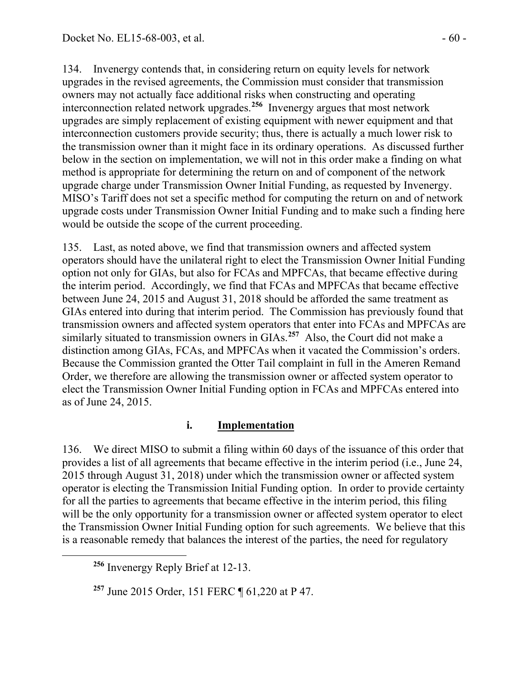134. Invenergy contends that, in considering return on equity levels for network upgrades in the revised agreements, the Commission must consider that transmission owners may not actually face additional risks when constructing and operating interconnection related network upgrades.**[256](#page-59-0)** Invenergy argues that most network upgrades are simply replacement of existing equipment with newer equipment and that interconnection customers provide security; thus, there is actually a much lower risk to the transmission owner than it might face in its ordinary operations. As discussed further below in the section on implementation, we will not in this order make a finding on what method is appropriate for determining the return on and of component of the network upgrade charge under Transmission Owner Initial Funding, as requested by Invenergy. MISO's Tariff does not set a specific method for computing the return on and of network upgrade costs under Transmission Owner Initial Funding and to make such a finding here would be outside the scope of the current proceeding.

135. Last, as noted above, we find that transmission owners and affected system operators should have the unilateral right to elect the Transmission Owner Initial Funding option not only for GIAs, but also for FCAs and MPFCAs, that became effective during the interim period. Accordingly, we find that FCAs and MPFCAs that became effective between June 24, 2015 and August 31, 2018 should be afforded the same treatment as GIAs entered into during that interim period. The Commission has previously found that transmission owners and affected system operators that enter into FCAs and MPFCAs are similarly situated to transmission owners in GIAs.**[257](#page-59-1)** Also, the Court did not make a distinction among GIAs, FCAs, and MPFCAs when it vacated the Commission's orders. Because the Commission granted the Otter Tail complaint in full in the Ameren Remand Order, we therefore are allowing the transmission owner or affected system operator to elect the Transmission Owner Initial Funding option in FCAs and MPFCAs entered into as of June 24, 2015.

#### **i. Implementation**

136. We direct MISO to submit a filing within 60 days of the issuance of this order that provides a list of all agreements that became effective in the interim period (i.e., June 24, 2015 through August 31, 2018) under which the transmission owner or affected system operator is electing the Transmission Initial Funding option. In order to provide certainty for all the parties to agreements that became effective in the interim period, this filing will be the only opportunity for a transmission owner or affected system operator to elect the Transmission Owner Initial Funding option for such agreements. We believe that this is a reasonable remedy that balances the interest of the parties, the need for regulatory

<span id="page-59-1"></span><span id="page-59-0"></span> $\overline{a}$ 

**<sup>256</sup>** Invenergy Reply Brief at 12-13.

**<sup>257</sup>** June 2015 Order, 151 FERC ¶ 61,220 at P 47.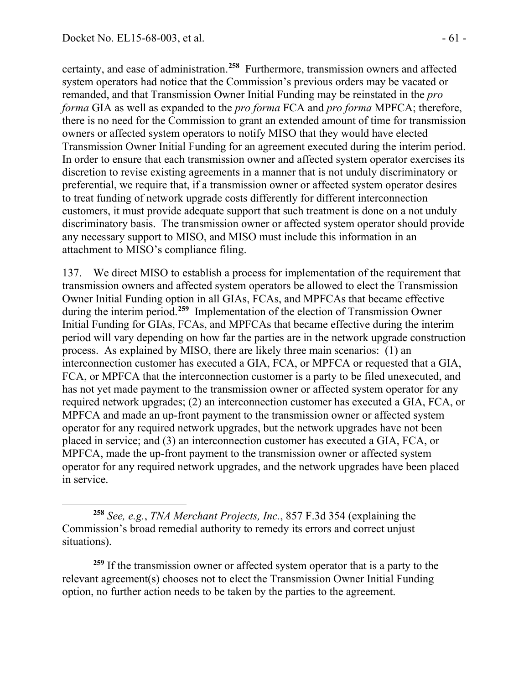$\overline{a}$ 

certainty, and ease of administration.**[258](#page-60-0)** Furthermore, transmission owners and affected system operators had notice that the Commission's previous orders may be vacated or remanded, and that Transmission Owner Initial Funding may be reinstated in the *pro forma* GIA as well as expanded to the *pro forma* FCA and *pro forma* MPFCA; therefore, there is no need for the Commission to grant an extended amount of time for transmission owners or affected system operators to notify MISO that they would have elected Transmission Owner Initial Funding for an agreement executed during the interim period. In order to ensure that each transmission owner and affected system operator exercises its discretion to revise existing agreements in a manner that is not unduly discriminatory or preferential, we require that, if a transmission owner or affected system operator desires to treat funding of network upgrade costs differently for different interconnection customers, it must provide adequate support that such treatment is done on a not unduly discriminatory basis. The transmission owner or affected system operator should provide any necessary support to MISO, and MISO must include this information in an attachment to MISO's compliance filing.

137. We direct MISO to establish a process for implementation of the requirement that transmission owners and affected system operators be allowed to elect the Transmission Owner Initial Funding option in all GIAs, FCAs, and MPFCAs that became effective during the interim period.**[259](#page-60-1)** Implementation of the election of Transmission Owner Initial Funding for GIAs, FCAs, and MPFCAs that became effective during the interim period will vary depending on how far the parties are in the network upgrade construction process. As explained by MISO, there are likely three main scenarios: (1) an interconnection customer has executed a GIA, FCA, or MPFCA or requested that a GIA, FCA, or MPFCA that the interconnection customer is a party to be filed unexecuted, and has not yet made payment to the transmission owner or affected system operator for any required network upgrades; (2) an interconnection customer has executed a GIA, FCA, or MPFCA and made an up-front payment to the transmission owner or affected system operator for any required network upgrades, but the network upgrades have not been placed in service; and (3) an interconnection customer has executed a GIA, FCA, or MPFCA, made the up-front payment to the transmission owner or affected system operator for any required network upgrades, and the network upgrades have been placed in service.

<span id="page-60-1"></span>**<sup>259</sup>** If the transmission owner or affected system operator that is a party to the relevant agreement(s) chooses not to elect the Transmission Owner Initial Funding option, no further action needs to be taken by the parties to the agreement.

<span id="page-60-0"></span>**<sup>258</sup>** *See, e.g.*, *TNA Merchant Projects, Inc.*, 857 F.3d 354 (explaining the Commission's broad remedial authority to remedy its errors and correct unjust situations).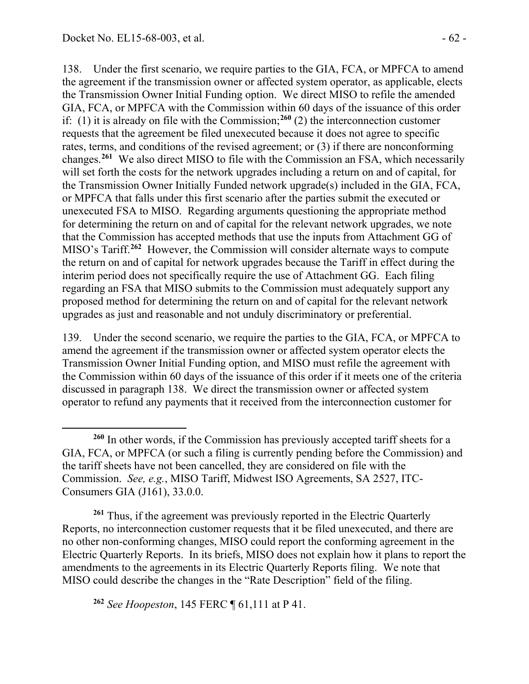138. Under the first scenario, we require parties to the GIA, FCA, or MPFCA to amend the agreement if the transmission owner or affected system operator, as applicable, elects the Transmission Owner Initial Funding option. We direct MISO to refile the amended GIA, FCA, or MPFCA with the Commission within 60 days of the issuance of this order if: (1) it is already on file with the Commission;<sup>[260](#page-61-0)</sup> (2) the interconnection customer requests that the agreement be filed unexecuted because it does not agree to specific rates, terms, and conditions of the revised agreement; or (3) if there are nonconforming changes.**[261](#page-61-1)** We also direct MISO to file with the Commission an FSA, which necessarily will set forth the costs for the network upgrades including a return on and of capital, for the Transmission Owner Initially Funded network upgrade(s) included in the GIA, FCA, or MPFCA that falls under this first scenario after the parties submit the executed or unexecuted FSA to MISO. Regarding arguments questioning the appropriate method for determining the return on and of capital for the relevant network upgrades, we note that the Commission has accepted methods that use the inputs from Attachment GG of MISO's Tariff.**[262](#page-61-2)** However, the Commission will consider alternate ways to compute the return on and of capital for network upgrades because the Tariff in effect during the interim period does not specifically require the use of Attachment GG. Each filing regarding an FSA that MISO submits to the Commission must adequately support any proposed method for determining the return on and of capital for the relevant network upgrades as just and reasonable and not unduly discriminatory or preferential.

139. Under the second scenario, we require the parties to the GIA, FCA, or MPFCA to amend the agreement if the transmission owner or affected system operator elects the Transmission Owner Initial Funding option, and MISO must refile the agreement with the Commission within 60 days of the issuance of this order if it meets one of the criteria discussed in paragraph 138. We direct the transmission owner or affected system operator to refund any payments that it received from the interconnection customer for

<span id="page-61-1"></span>**<sup>261</sup>** Thus, if the agreement was previously reported in the Electric Quarterly Reports, no interconnection customer requests that it be filed unexecuted, and there are no other non-conforming changes, MISO could report the conforming agreement in the Electric Quarterly Reports. In its briefs, MISO does not explain how it plans to report the amendments to the agreements in its Electric Quarterly Reports filing. We note that MISO could describe the changes in the "Rate Description" field of the filing.

<span id="page-61-2"></span>**<sup>262</sup>** *See Hoopeston*, 145 FERC ¶ 61,111 at P 41.

<span id="page-61-0"></span> $\overline{a}$ **<sup>260</sup>** In other words, if the Commission has previously accepted tariff sheets for a GIA, FCA, or MPFCA (or such a filing is currently pending before the Commission) and the tariff sheets have not been cancelled, they are considered on file with the Commission. *See, e.g.*, MISO Tariff, Midwest ISO Agreements, SA 2527, ITC-Consumers GIA (J161), 33.0.0.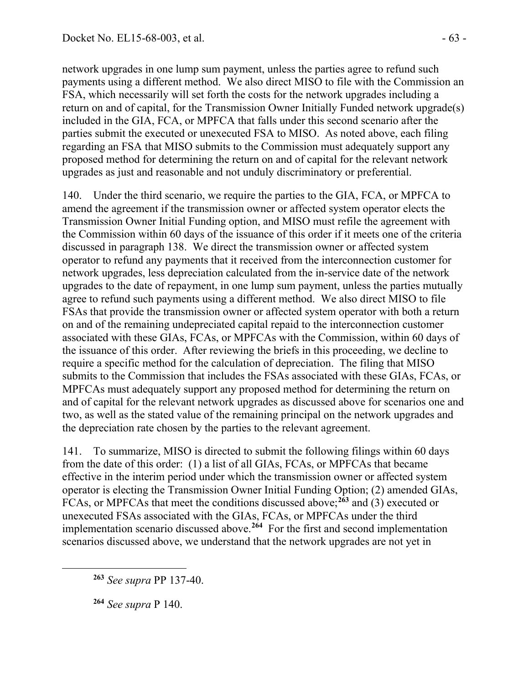network upgrades in one lump sum payment, unless the parties agree to refund such payments using a different method. We also direct MISO to file with the Commission an FSA, which necessarily will set forth the costs for the network upgrades including a return on and of capital, for the Transmission Owner Initially Funded network upgrade(s) included in the GIA, FCA, or MPFCA that falls under this second scenario after the parties submit the executed or unexecuted FSA to MISO. As noted above, each filing regarding an FSA that MISO submits to the Commission must adequately support any proposed method for determining the return on and of capital for the relevant network upgrades as just and reasonable and not unduly discriminatory or preferential.

140. Under the third scenario, we require the parties to the GIA, FCA, or MPFCA to amend the agreement if the transmission owner or affected system operator elects the Transmission Owner Initial Funding option, and MISO must refile the agreement with the Commission within 60 days of the issuance of this order if it meets one of the criteria discussed in paragraph 138. We direct the transmission owner or affected system operator to refund any payments that it received from the interconnection customer for network upgrades, less depreciation calculated from the in-service date of the network upgrades to the date of repayment, in one lump sum payment, unless the parties mutually agree to refund such payments using a different method. We also direct MISO to file FSAs that provide the transmission owner or affected system operator with both a return on and of the remaining undepreciated capital repaid to the interconnection customer associated with these GIAs, FCAs, or MPFCAs with the Commission, within 60 days of the issuance of this order. After reviewing the briefs in this proceeding, we decline to require a specific method for the calculation of depreciation. The filing that MISO submits to the Commission that includes the FSAs associated with these GIAs, FCAs, or MPFCAs must adequately support any proposed method for determining the return on and of capital for the relevant network upgrades as discussed above for scenarios one and two, as well as the stated value of the remaining principal on the network upgrades and the depreciation rate chosen by the parties to the relevant agreement.

141. To summarize, MISO is directed to submit the following filings within 60 days from the date of this order: (1) a list of all GIAs, FCAs, or MPFCAs that became effective in the interim period under which the transmission owner or affected system operator is electing the Transmission Owner Initial Funding Option; (2) amended GIAs, FCAs, or MPFCAs that meet the conditions discussed above;<sup>[263](#page-62-0)</sup> and (3) executed or unexecuted FSAs associated with the GIAs, FCAs, or MPFCAs under the third implementation scenario discussed above.**[264](#page-62-1)** For the first and second implementation scenarios discussed above, we understand that the network upgrades are not yet in

**<sup>263</sup>** *See supra* PP 137-40.

**<sup>264</sup>** *See supra* P 140.

<span id="page-62-1"></span><span id="page-62-0"></span> $\overline{a}$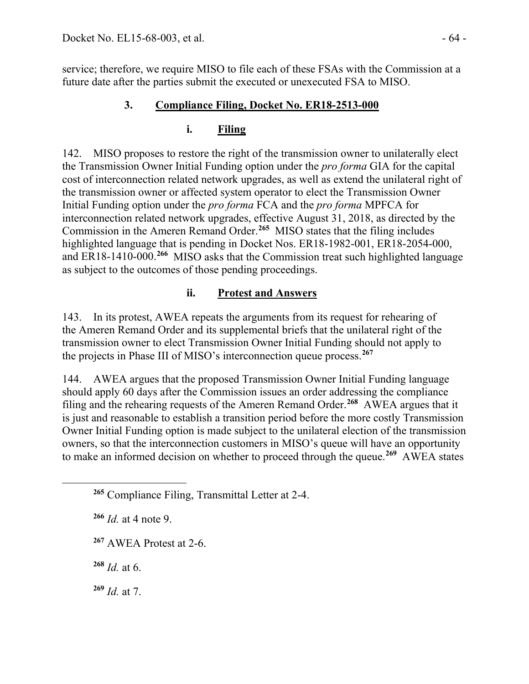service; therefore, we require MISO to file each of these FSAs with the Commission at a future date after the parties submit the executed or unexecuted FSA to MISO.

# **3. Compliance Filing, Docket No. ER18-2513-000**

# **i. Filing**

142. MISO proposes to restore the right of the transmission owner to unilaterally elect the Transmission Owner Initial Funding option under the *pro forma* GIA for the capital cost of interconnection related network upgrades, as well as extend the unilateral right of the transmission owner or affected system operator to elect the Transmission Owner Initial Funding option under the *pro forma* FCA and the *pro forma* MPFCA for interconnection related network upgrades, effective August 31, 2018, as directed by the Commission in the Ameren Remand Order. **[265](#page-63-0)** MISO states that the filing includes highlighted language that is pending in Docket Nos. ER18-1982-001, ER18-2054-000, and ER18-1410-000.**[266](#page-63-1)** MISO asks that the Commission treat such highlighted language as subject to the outcomes of those pending proceedings.

# **ii. Protest and Answers**

143. In its protest, AWEA repeats the arguments from its request for rehearing of the Ameren Remand Order and its supplemental briefs that the unilateral right of the transmission owner to elect Transmission Owner Initial Funding should not apply to the projects in Phase III of MISO's interconnection queue process.**[267](#page-63-2)**

144. AWEA argues that the proposed Transmission Owner Initial Funding language should apply 60 days after the Commission issues an order addressing the compliance filing and the rehearing requests of the Ameren Remand Order.**[268](#page-63-3)** AWEA argues that it is just and reasonable to establish a transition period before the more costly Transmission Owner Initial Funding option is made subject to the unilateral election of the transmission owners, so that the interconnection customers in MISO's queue will have an opportunity to make an informed decision on whether to proceed through the queue.**[269](#page-63-4)** AWEA states

**<sup>267</sup>** AWEA Protest at 2-6.

<span id="page-63-3"></span>**<sup>268</sup>** *Id.* at 6.

<span id="page-63-2"></span><span id="page-63-1"></span><span id="page-63-0"></span> $\overline{a}$ 

<span id="page-63-4"></span>**<sup>269</sup>** *Id.* at 7.

**<sup>265</sup>** Compliance Filing, Transmittal Letter at 2-4.

**<sup>266</sup>** *Id.* at 4 note 9.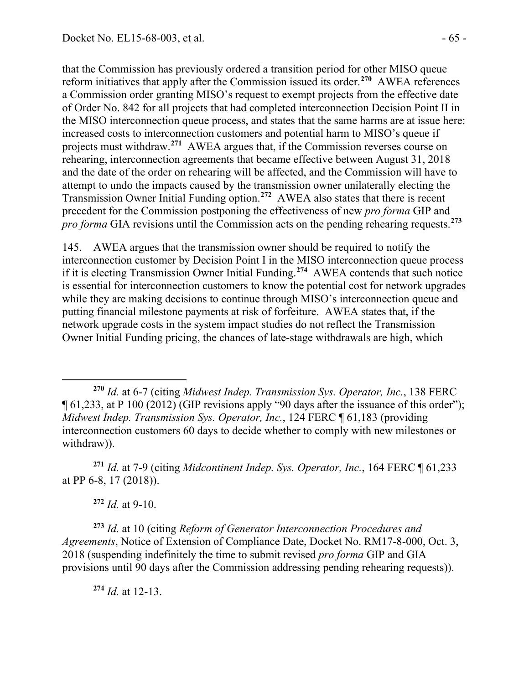that the Commission has previously ordered a transition period for other MISO queue reform initiatives that apply after the Commission issued its order.**[270](#page-64-0)** AWEA references a Commission order granting MISO's request to exempt projects from the effective date of Order No. 842 for all projects that had completed interconnection Decision Point II in the MISO interconnection queue process, and states that the same harms are at issue here: increased costs to interconnection customers and potential harm to MISO's queue if projects must withdraw.**[271](#page-64-1)** AWEA argues that, if the Commission reverses course on rehearing, interconnection agreements that became effective between August 31, 2018 and the date of the order on rehearing will be affected, and the Commission will have to attempt to undo the impacts caused by the transmission owner unilaterally electing the Transmission Owner Initial Funding option.**[272](#page-64-2)** AWEA also states that there is recent precedent for the Commission postponing the effectiveness of new *pro forma* GIP and *pro forma* GIA revisions until the Commission acts on the pending rehearing requests.**[273](#page-64-3)**

145. AWEA argues that the transmission owner should be required to notify the interconnection customer by Decision Point I in the MISO interconnection queue process if it is electing Transmission Owner Initial Funding.**[274](#page-64-4)** AWEA contends that such notice is essential for interconnection customers to know the potential cost for network upgrades while they are making decisions to continue through MISO's interconnection queue and putting financial milestone payments at risk of forfeiture. AWEA states that, if the network upgrade costs in the system impact studies do not reflect the Transmission Owner Initial Funding pricing, the chances of late-stage withdrawals are high, which

<span id="page-64-1"></span>**<sup>271</sup>** *Id.* at 7-9 (citing *Midcontinent Indep. Sys. Operator, Inc.*, 164 FERC ¶ 61,233 at PP 6-8, 17 (2018)).

**<sup>272</sup>** *Id.* at 9-10.

<span id="page-64-4"></span><span id="page-64-3"></span><span id="page-64-2"></span>**<sup>273</sup>** *Id.* at 10 (citing *Reform of Generator Interconnection Procedures and Agreements*, Notice of Extension of Compliance Date, Docket No. RM17-8-000, Oct. 3, 2018 (suspending indefinitely the time to submit revised *pro forma* GIP and GIA provisions until 90 days after the Commission addressing pending rehearing requests)).

**<sup>274</sup>** *Id.* at 12-13.

<span id="page-64-0"></span> $\overline{a}$ **<sup>270</sup>** *Id.* at 6-7 (citing *Midwest Indep. Transmission Sys. Operator, Inc.*, 138 FERC ¶ 61,233, at P 100 (2012) (GIP revisions apply "90 days after the issuance of this order"); *Midwest Indep. Transmission Sys. Operator, Inc.*, 124 FERC ¶ 61,183 (providing interconnection customers 60 days to decide whether to comply with new milestones or withdraw)).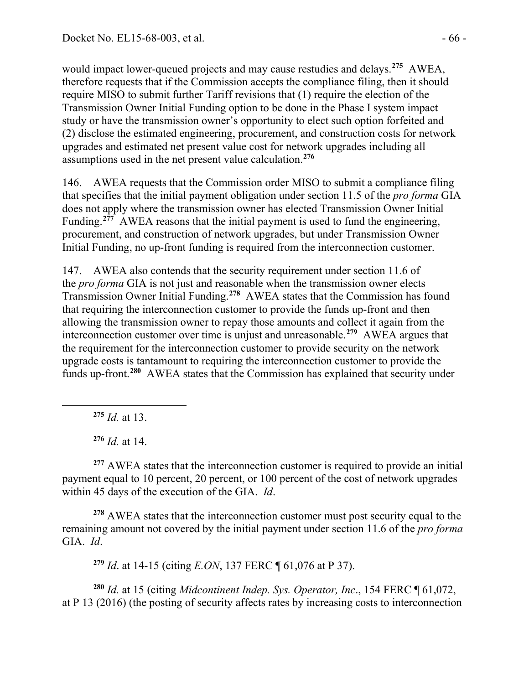would impact lower-queued projects and may cause restudies and delays.**[275](#page-65-0)** AWEA, therefore requests that if the Commission accepts the compliance filing, then it should require MISO to submit further Tariff revisions that (1) require the election of the Transmission Owner Initial Funding option to be done in the Phase I system impact study or have the transmission owner's opportunity to elect such option forfeited and (2) disclose the estimated engineering, procurement, and construction costs for network upgrades and estimated net present value cost for network upgrades including all assumptions used in the net present value calculation.**[276](#page-65-1)**

146. AWEA requests that the Commission order MISO to submit a compliance filing that specifies that the initial payment obligation under section 11.5 of the *pro forma* GIA does not apply where the transmission owner has elected Transmission Owner Initial Funding.<sup>[277](#page-65-2)</sup> AWEA reasons that the initial payment is used to fund the engineering, procurement, and construction of network upgrades, but under Transmission Owner Initial Funding, no up-front funding is required from the interconnection customer.

147. AWEA also contends that the security requirement under section 11.6 of the *pro forma* GIA is not just and reasonable when the transmission owner elects Transmission Owner Initial Funding.**[278](#page-65-3)** AWEA states that the Commission has found that requiring the interconnection customer to provide the funds up-front and then allowing the transmission owner to repay those amounts and collect it again from the interconnection customer over time is unjust and unreasonable.**[279](#page-65-4)** AWEA argues that the requirement for the interconnection customer to provide security on the network upgrade costs is tantamount to requiring the interconnection customer to provide the funds up-front.**[280](#page-65-5)** AWEA states that the Commission has explained that security under

**<sup>275</sup>** *Id.* at 13.

<span id="page-65-0"></span>

**<sup>276</sup>** *Id.* at 14.

<span id="page-65-2"></span><span id="page-65-1"></span><sup>277</sup> AWEA states that the interconnection customer is required to provide an initial payment equal to 10 percent, 20 percent, or 100 percent of the cost of network upgrades within 45 days of the execution of the GIA. *Id*.

<span id="page-65-3"></span>**<sup>278</sup>** AWEA states that the interconnection customer must post security equal to the remaining amount not covered by the initial payment under section 11.6 of the *pro forma*  GIA. *Id*.

**<sup>279</sup>** *Id*. at 14-15 (citing *E.ON*, 137 FERC ¶ 61,076 at P 37).

<span id="page-65-5"></span><span id="page-65-4"></span>**<sup>280</sup>** *Id.* at 15 (citing *Midcontinent Indep. Sys. Operator, Inc*., 154 FERC ¶ 61,072, at P 13 (2016) (the posting of security affects rates by increasing costs to interconnection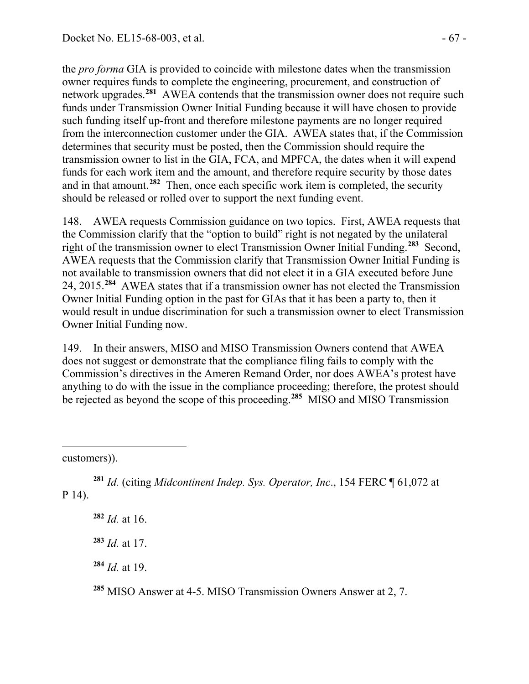the *pro forma* GIA is provided to coincide with milestone dates when the transmission owner requires funds to complete the engineering, procurement, and construction of network upgrades.<sup>[281](#page-66-0)</sup> AWEA contends that the transmission owner does not require such funds under Transmission Owner Initial Funding because it will have chosen to provide such funding itself up-front and therefore milestone payments are no longer required from the interconnection customer under the GIA. AWEA states that, if the Commission determines that security must be posted, then the Commission should require the transmission owner to list in the GIA, FCA, and MPFCA, the dates when it will expend funds for each work item and the amount, and therefore require security by those dates and in that amount.**[282](#page-66-1)** Then, once each specific work item is completed, the security should be released or rolled over to support the next funding event.

148. AWEA requests Commission guidance on two topics. First, AWEA requests that the Commission clarify that the "option to build" right is not negated by the unilateral right of the transmission owner to elect Transmission Owner Initial Funding.**[283](#page-66-2)** Second, AWEA requests that the Commission clarify that Transmission Owner Initial Funding is not available to transmission owners that did not elect it in a GIA executed before June 24, 2015.**[284](#page-66-3)** AWEA states that if a transmission owner has not elected the Transmission Owner Initial Funding option in the past for GIAs that it has been a party to, then it would result in undue discrimination for such a transmission owner to elect Transmission Owner Initial Funding now.

149. In their answers, MISO and MISO Transmission Owners contend that AWEA does not suggest or demonstrate that the compliance filing fails to comply with the Commission's directives in the Ameren Remand Order, nor does AWEA's protest have anything to do with the issue in the compliance proceeding; therefore, the protest should be rejected as beyond the scope of this proceeding.<sup>[285](#page-66-4)</sup> MISO and MISO Transmission

customers)).

<span id="page-66-2"></span><span id="page-66-1"></span><span id="page-66-0"></span>**<sup>281</sup>** *Id.* (citing *Midcontinent Indep. Sys. Operator, Inc*., 154 FERC ¶ 61,072 at P 14).

**<sup>282</sup>** *Id.* at 16.

**<sup>283</sup>** *Id.* at 17.

<span id="page-66-3"></span>**<sup>284</sup>** *Id.* at 19.

<span id="page-66-4"></span>**<sup>285</sup>** MISO Answer at 4-5. MISO Transmission Owners Answer at 2, 7.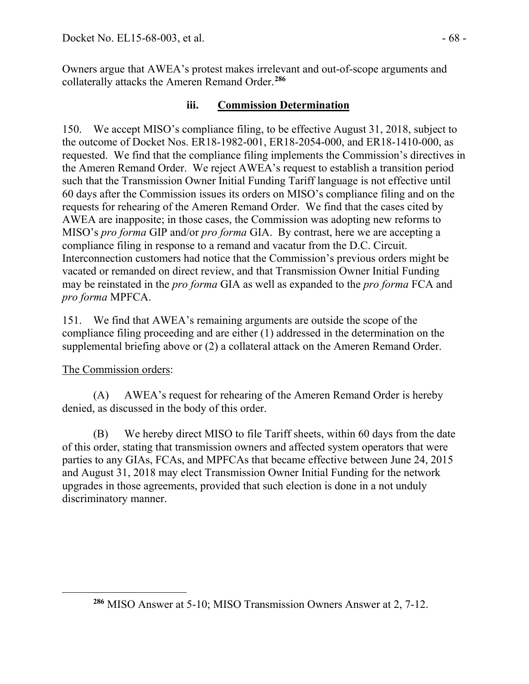Owners argue that AWEA's protest makes irrelevant and out-of-scope arguments and collaterally attacks the Ameren Remand Order.**[286](#page-67-0)**

## **iii. Commission Determination**

150. We accept MISO's compliance filing, to be effective August 31, 2018, subject to the outcome of Docket Nos. ER18-1982-001, ER18-2054-000, and ER18-1410-000, as requested. We find that the compliance filing implements the Commission's directives in the Ameren Remand Order. We reject AWEA's request to establish a transition period such that the Transmission Owner Initial Funding Tariff language is not effective until 60 days after the Commission issues its orders on MISO's compliance filing and on the requests for rehearing of the Ameren Remand Order. We find that the cases cited by AWEA are inapposite; in those cases, the Commission was adopting new reforms to MISO's *pro forma* GIP and/or *pro forma* GIA. By contrast, here we are accepting a compliance filing in response to a remand and vacatur from the D.C. Circuit. Interconnection customers had notice that the Commission's previous orders might be vacated or remanded on direct review, and that Transmission Owner Initial Funding may be reinstated in the *pro forma* GIA as well as expanded to the *pro forma* FCA and *pro forma* MPFCA.

151. We find that AWEA's remaining arguments are outside the scope of the compliance filing proceeding and are either (1) addressed in the determination on the supplemental briefing above or (2) a collateral attack on the Ameren Remand Order.

# The Commission orders:

<span id="page-67-0"></span> $\overline{a}$ 

(A) AWEA's request for rehearing of the Ameren Remand Order is hereby denied, as discussed in the body of this order.

(B) We hereby direct MISO to file Tariff sheets, within 60 days from the date of this order, stating that transmission owners and affected system operators that were parties to any GIAs, FCAs, and MPFCAs that became effective between June 24, 2015 and August 31, 2018 may elect Transmission Owner Initial Funding for the network upgrades in those agreements, provided that such election is done in a not unduly discriminatory manner.

**<sup>286</sup>** MISO Answer at 5-10; MISO Transmission Owners Answer at 2, 7-12.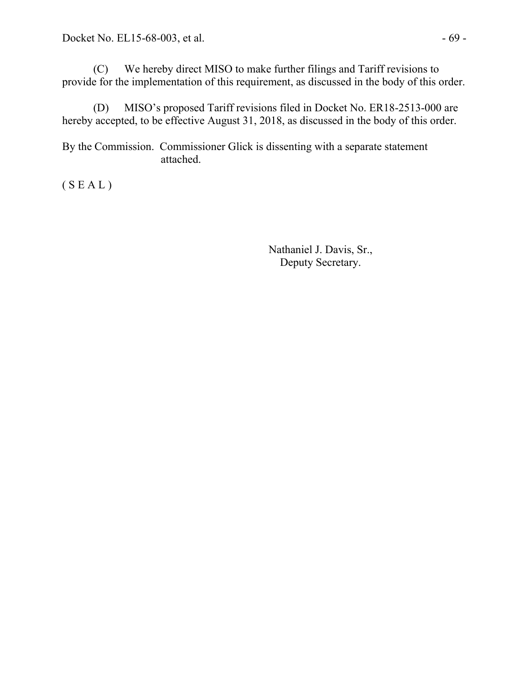(C) We hereby direct MISO to make further filings and Tariff revisions to provide for the implementation of this requirement, as discussed in the body of this order.

(D) MISO's proposed Tariff revisions filed in Docket No. ER18-2513-000 are hereby accepted, to be effective August 31, 2018, as discussed in the body of this order.

By the Commission. Commissioner Glick is dissenting with a separate statement attached.

 $(S E A L)$ 

Nathaniel J. Davis, Sr., Deputy Secretary.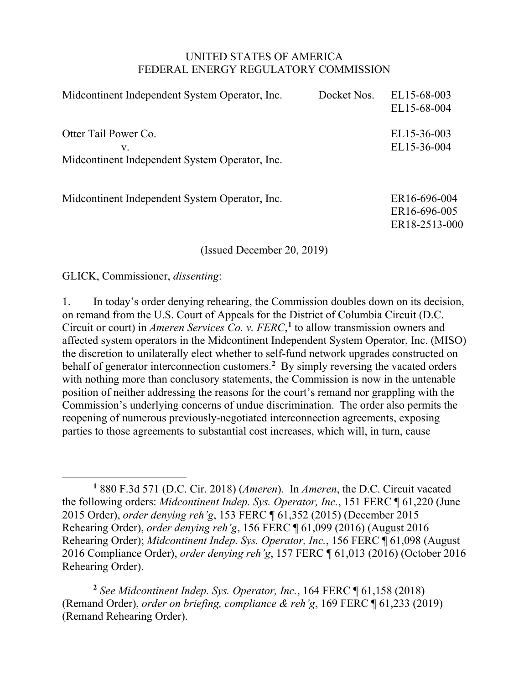#### UNITED STATES OF AMERICA FEDERAL ENERGY REGULATORY COMMISSION

| Midcontinent Independent System Operator, Inc.                               | Docket Nos. | EL15-68-003<br>EL15-68-004                    |
|------------------------------------------------------------------------------|-------------|-----------------------------------------------|
| Otter Tail Power Co.<br>V.<br>Midcontinent Independent System Operator, Inc. |             | EL15-36-003<br>EL15-36-004                    |
| Midcontinent Independent System Operator, Inc.                               |             | ER16-696-004<br>ER16-696-005<br>ER18-2513-000 |

(Issued December 20, 2019)

GLICK, Commissioner, *dissenting*:

 $\overline{a}$ 

1. In today's order denying rehearing, the Commission doubles down on its decision, on remand from the U.S. Court of Appeals for the District of Columbia Circuit (D.C. Circuit or court) in *Ameren Services Co. v. FERC*, **[1](#page-69-0)** to allow transmission owners and affected system operators in the Midcontinent Independent System Operator, Inc. (MISO) the discretion to unilaterally elect whether to self-fund network upgrades constructed on behalf of generator interconnection customers.**[2](#page-69-1)** By simply reversing the vacated orders with nothing more than conclusory statements, the Commission is now in the untenable position of neither addressing the reasons for the court's remand nor grappling with the Commission's underlying concerns of undue discrimination. The order also permits the reopening of numerous previously-negotiated interconnection agreements, exposing parties to those agreements to substantial cost increases, which will, in turn, cause

<span id="page-69-1"></span>**<sup>2</sup>** *See Midcontinent Indep. Sys. Operator, Inc.*, 164 FERC ¶ 61,158 (2018) (Remand Order), *order on briefing, compliance & reh'g*, 169 FERC ¶ 61,233 (2019) (Remand Rehearing Order).

<span id="page-69-0"></span>**<sup>1</sup>** 880 F.3d 571 (D.C. Cir. 2018) (*Ameren*). In *Ameren*, the D.C. Circuit vacated the following orders: *Midcontinent Indep. Sys. Operator, Inc.*, 151 FERC ¶ 61,220 (June 2015 Order), *order denying reh'g*, 153 FERC ¶ 61,352 (2015) (December 2015 Rehearing Order), *order denying reh'g*, 156 FERC ¶ 61,099 (2016) (August 2016 Rehearing Order); *Midcontinent Indep. Sys. Operator, Inc.*, 156 FERC ¶ 61,098 (August 2016 Compliance Order), *order denying reh'g*, 157 FERC ¶ 61,013 (2016) (October 2016 Rehearing Order).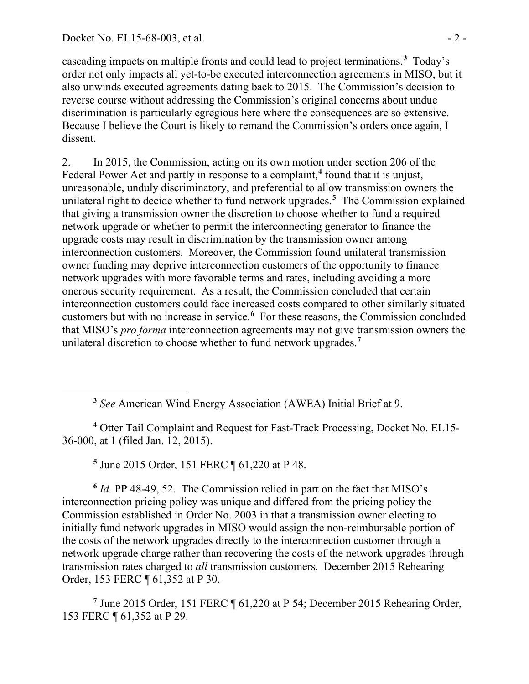<span id="page-70-0"></span> $\overline{a}$ 

cascading impacts on multiple fronts and could lead to project terminations.**[3](#page-70-0)** Today's order not only impacts all yet-to-be executed interconnection agreements in MISO, but it also unwinds executed agreements dating back to 2015. The Commission's decision to reverse course without addressing the Commission's original concerns about undue discrimination is particularly egregious here where the consequences are so extensive. Because I believe the Court is likely to remand the Commission's orders once again, I dissent.

2. In 2015, the Commission, acting on its own motion under section 206 of the Federal Power Act and partly in response to a complaint,**[4](#page-70-1)** found that it is unjust, unreasonable, unduly discriminatory, and preferential to allow transmission owners the unilateral right to decide whether to fund network upgrades.**[5](#page-70-2)** The Commission explained that giving a transmission owner the discretion to choose whether to fund a required network upgrade or whether to permit the interconnecting generator to finance the upgrade costs may result in discrimination by the transmission owner among interconnection customers. Moreover, the Commission found unilateral transmission owner funding may deprive interconnection customers of the opportunity to finance network upgrades with more favorable terms and rates, including avoiding a more onerous security requirement. As a result, the Commission concluded that certain interconnection customers could face increased costs compared to other similarly situated customers but with no increase in service.**[6](#page-70-3)** For these reasons, the Commission concluded that MISO's *pro forma* interconnection agreements may not give transmission owners the unilateral discretion to choose whether to fund network upgrades.**[7](#page-70-4)**

**<sup>5</sup>** June 2015 Order, 151 FERC ¶ 61,220 at P 48.

<span id="page-70-3"></span><span id="page-70-2"></span>**<sup>6</sup>** *Id.* PP 48-49, 52. The Commission relied in part on the fact that MISO's interconnection pricing policy was unique and differed from the pricing policy the Commission established in Order No. 2003 in that a transmission owner electing to initially fund network upgrades in MISO would assign the non-reimbursable portion of the costs of the network upgrades directly to the interconnection customer through a network upgrade charge rather than recovering the costs of the network upgrades through transmission rates charged to *all* transmission customers. December 2015 Rehearing Order, 153 FERC ¶ 61,352 at P 30.

<span id="page-70-4"></span>**<sup>7</sup>** June 2015 Order, 151 FERC ¶ 61,220 at P 54; December 2015 Rehearing Order, 153 FERC ¶ 61,352 at P 29.

**<sup>3</sup>** *See* American Wind Energy Association (AWEA) Initial Brief at 9.

<span id="page-70-1"></span>**<sup>4</sup>** Otter Tail Complaint and Request for Fast-Track Processing, Docket No. EL15- 36-000, at 1 (filed Jan. 12, 2015).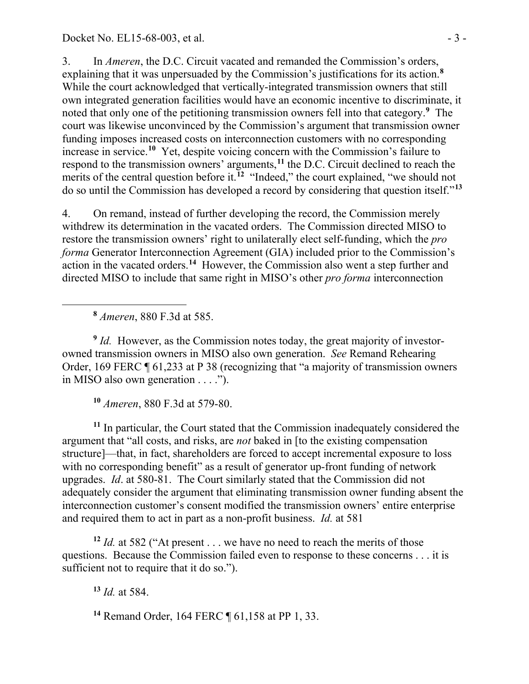3. In *Ameren*, the D.C. Circuit vacated and remanded the Commission's orders, explaining that it was unpersuaded by the Commission's justifications for its action.**[8](#page-71-0)** While the court acknowledged that vertically-integrated transmission owners that still own integrated generation facilities would have an economic incentive to discriminate, it noted that only one of the petitioning transmission owners fell into that category.**[9](#page-71-1)** The court was likewise unconvinced by the Commission's argument that transmission owner funding imposes increased costs on interconnection customers with no corresponding increase in service.**[10](#page-71-2)** Yet, despite voicing concern with the Commission's failure to respond to the transmission owners' arguments,**[11](#page-71-3)** the D.C. Circuit declined to reach the merits of the central question before it.<sup>[12](#page-71-4)</sup> "Indeed," the court explained, "we should not do so until the Commission has developed a record by considering that question itself."**[13](#page-71-5)**

4. On remand, instead of further developing the record, the Commission merely withdrew its determination in the vacated orders. The Commission directed MISO to restore the transmission owners' right to unilaterally elect self-funding, which the *pro forma* Generator Interconnection Agreement (GIA) included prior to the Commission's action in the vacated orders.**[14](#page-71-6)** However, the Commission also went a step further and directed MISO to include that same right in MISO's other *pro forma* interconnection

**<sup>8</sup>** *Ameren*, 880 F.3d at 585.

<span id="page-71-0"></span> $\overline{a}$ 

<span id="page-71-1"></span><sup>9</sup> *Id.* However, as the Commission notes today, the great majority of investorowned transmission owners in MISO also own generation. *See* Remand Rehearing Order, 169 FERC ¶ 61,233 at P 38 (recognizing that "a majority of transmission owners in MISO also own generation . . . .").

**<sup>10</sup>** *Ameren*, 880 F.3d at 579-80.

<span id="page-71-3"></span><span id="page-71-2"></span>**<sup>11</sup>** In particular, the Court stated that the Commission inadequately considered the argument that "all costs, and risks, are *not* baked in [to the existing compensation structure]—that, in fact, shareholders are forced to accept incremental exposure to loss with no corresponding benefit" as a result of generator up-front funding of network upgrades. *Id*. at 580-81. The Court similarly stated that the Commission did not adequately consider the argument that eliminating transmission owner funding absent the interconnection customer's consent modified the transmission owners' entire enterprise and required them to act in part as a non-profit business. *Id.* at 581

<span id="page-71-5"></span><span id="page-71-4"></span>**<sup>12</sup>** *Id.* at 582 ("At present . . . we have no need to reach the merits of those questions. Because the Commission failed even to response to these concerns . . . it is sufficient not to require that it do so.").

**<sup>13</sup>** *Id.* at 584.

<span id="page-71-6"></span>**<sup>14</sup>** Remand Order, 164 FERC ¶ 61,158 at PP 1, 33.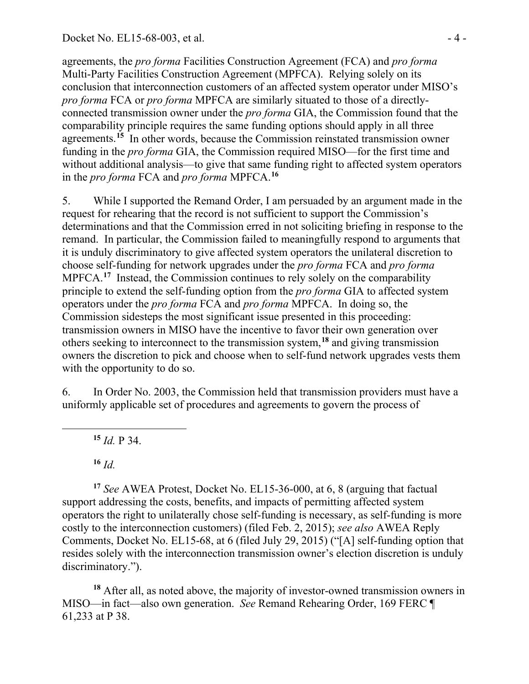agreements, the *pro forma* Facilities Construction Agreement (FCA) and *pro forma*  Multi-Party Facilities Construction Agreement (MPFCA). Relying solely on its conclusion that interconnection customers of an affected system operator under MISO's *pro forma* FCA or *pro forma* MPFCA are similarly situated to those of a directlyconnected transmission owner under the *pro forma* GIA, the Commission found that the comparability principle requires the same funding options should apply in all three agreements. **[15](#page-72-0)** In other words, because the Commission reinstated transmission owner funding in the *pro forma* GIA, the Commission required MISO—for the first time and without additional analysis—to give that same funding right to affected system operators in the *pro forma* FCA and *pro forma* MPFCA.**[16](#page-72-1)**

5. While I supported the Remand Order, I am persuaded by an argument made in the request for rehearing that the record is not sufficient to support the Commission's determinations and that the Commission erred in not soliciting briefing in response to the remand. In particular, the Commission failed to meaningfully respond to arguments that it is unduly discriminatory to give affected system operators the unilateral discretion to choose self-funding for network upgrades under the *pro forma* FCA and *pro forma*  MPFCA.<sup>[17](#page-72-2)</sup> Instead, the Commission continues to rely solely on the comparability principle to extend the self-funding option from the *pro forma* GIA to affected system operators under the *pro forma* FCA and *pro forma* MPFCA. In doing so, the Commission sidesteps the most significant issue presented in this proceeding: transmission owners in MISO have the incentive to favor their own generation over others seeking to interconnect to the transmission system,**[18](#page-72-3)** and giving transmission owners the discretion to pick and choose when to self-fund network upgrades vests them with the opportunity to do so.

6. In Order No. 2003, the Commission held that transmission providers must have a uniformly applicable set of procedures and agreements to govern the process of

**<sup>15</sup>** *Id.* P 34.

**<sup>16</sup>** *Id.*

<span id="page-72-0"></span> $\overline{a}$ 

<span id="page-72-2"></span><span id="page-72-1"></span>**<sup>17</sup>** *See* AWEA Protest, Docket No. EL15-36-000, at 6, 8 (arguing that factual support addressing the costs, benefits, and impacts of permitting affected system operators the right to unilaterally chose self-funding is necessary, as self-funding is more costly to the interconnection customers) (filed Feb. 2, 2015); *see also* AWEA Reply Comments, Docket No. EL15-68, at 6 (filed July 29, 2015) ("[A] self-funding option that resides solely with the interconnection transmission owner's election discretion is unduly discriminatory.").

<span id="page-72-3"></span>**<sup>18</sup>** After all, as noted above, the majority of investor-owned transmission owners in MISO—in fact—also own generation. *See* Remand Rehearing Order, 169 FERC ¶ 61,233 at P 38.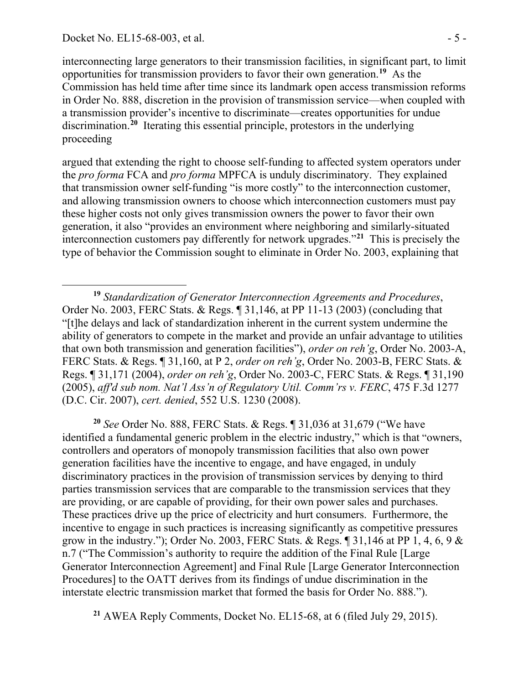interconnecting large generators to their transmission facilities, in significant part, to limit opportunities for transmission providers to favor their own generation. **[19](#page-73-0)** As the Commission has held time after time since its landmark open access transmission reforms in Order No. 888, discretion in the provision of transmission service—when coupled with a transmission provider's incentive to discriminate—creates opportunities for undue discrimination.**[20](#page-73-1)** Iterating this essential principle, protestors in the underlying proceeding

argued that extending the right to choose self-funding to affected system operators under the *pro forma* FCA and *pro forma* MPFCA is unduly discriminatory. They explained that transmission owner self-funding "is more costly" to the interconnection customer, and allowing transmission owners to choose which interconnection customers must pay these higher costs not only gives transmission owners the power to favor their own generation, it also "provides an environment where neighboring and similarly-situated interconnection customers pay differently for network upgrades."**[21](#page-73-2)** This is precisely the type of behavior the Commission sought to eliminate in Order No. 2003, explaining that

<span id="page-73-1"></span>**<sup>20</sup>** *See* Order No. 888, FERC Stats. & Regs. ¶ 31,036 at 31,679 ("We have identified a fundamental generic problem in the electric industry," which is that "owners, controllers and operators of monopoly transmission facilities that also own power generation facilities have the incentive to engage, and have engaged, in unduly discriminatory practices in the provision of transmission services by denying to third parties transmission services that are comparable to the transmission services that they are providing, or are capable of providing, for their own power sales and purchases. These practices drive up the price of electricity and hurt consumers. Furthermore, the incentive to engage in such practices is increasing significantly as competitive pressures grow in the industry."); Order No. 2003, FERC Stats. & Regs. ¶ 31,146 at PP 1, 4, 6, 9 & n.7 ("The Commission's authority to require the addition of the Final Rule [Large Generator Interconnection Agreement] and Final Rule [Large Generator Interconnection Procedures] to the OATT derives from its findings of undue discrimination in the interstate electric transmission market that formed the basis for Order No. 888.").

<span id="page-73-2"></span>**<sup>21</sup>** AWEA Reply Comments, Docket No. EL15-68, at 6 (filed July 29, 2015).

<span id="page-73-0"></span>**<sup>19</sup>** *Standardization of Generator Interconnection Agreements and Procedures*, Order No. 2003, FERC Stats. & Regs. ¶ 31,146, at PP 11-13 (2003) (concluding that "[t]he delays and lack of standardization inherent in the current system undermine the ability of generators to compete in the market and provide an unfair advantage to utilities that own both transmission and generation facilities"), *order on reh'g*, Order No. 2003-A, FERC Stats. & Regs. ¶ 31,160, at P 2, *order on reh'g*, Order No. 2003-B, FERC Stats. & Regs. ¶ 31,171 (2004), *order on reh'g*, Order No. 2003-C, FERC Stats. & Regs. ¶ 31,190 (2005), *aff'd sub nom. Nat'l Ass'n of Regulatory Util. Comm'rs v. FERC*, 475 F.3d 1277 (D.C. Cir. 2007), *cert. denied*, 552 U.S. 1230 (2008).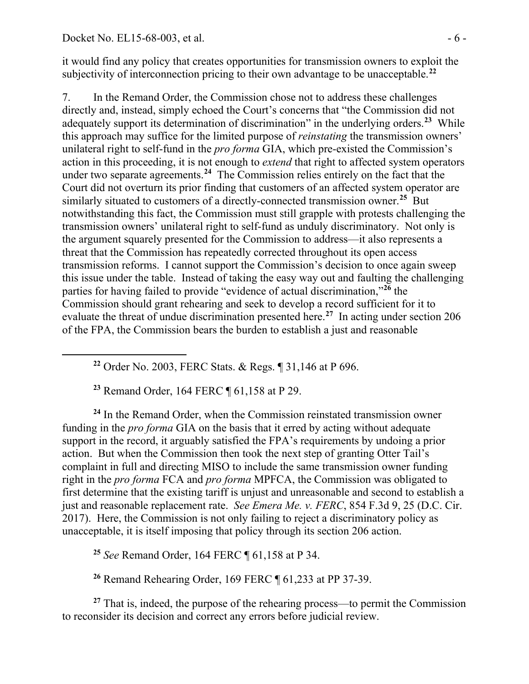<span id="page-74-0"></span> $\overline{a}$ 

it would find any policy that creates opportunities for transmission owners to exploit the subjectivity of interconnection pricing to their own advantage to be unacceptable.**[22](#page-74-0)**

7. In the Remand Order, the Commission chose not to address these challenges directly and, instead, simply echoed the Court's concerns that "the Commission did not adequately support its determination of discrimination" in the underlying orders.**[23](#page-74-1)** While this approach may suffice for the limited purpose of *reinstating* the transmission owners' unilateral right to self-fund in the *pro forma* GIA, which pre-existed the Commission's action in this proceeding, it is not enough to *extend* that right to affected system operators under two separate agreements.<sup>[24](#page-74-2)</sup> The Commission relies entirely on the fact that the Court did not overturn its prior finding that customers of an affected system operator are similarly situated to customers of a directly-connected transmission owner.**[25](#page-74-3)** But notwithstanding this fact, the Commission must still grapple with protests challenging the transmission owners' unilateral right to self-fund as unduly discriminatory. Not only is the argument squarely presented for the Commission to address—it also represents a threat that the Commission has repeatedly corrected throughout its open access transmission reforms. I cannot support the Commission's decision to once again sweep this issue under the table. Instead of taking the easy way out and faulting the challenging parties for having failed to provide "evidence of actual discrimination,"**[26](#page-74-4)** the Commission should grant rehearing and seek to develop a record sufficient for it to evaluate the threat of undue discrimination presented here.<sup>[27](#page-74-5)</sup> In acting under section 206 of the FPA, the Commission bears the burden to establish a just and reasonable

**<sup>22</sup>** Order No. 2003, FERC Stats. & Regs. ¶ 31,146 at P 696.

**<sup>23</sup>** Remand Order, 164 FERC ¶ 61,158 at P 29.

<span id="page-74-2"></span><span id="page-74-1"></span>**<sup>24</sup>** In the Remand Order, when the Commission reinstated transmission owner funding in the *pro forma* GIA on the basis that it erred by acting without adequate support in the record, it arguably satisfied the FPA's requirements by undoing a prior action. But when the Commission then took the next step of granting Otter Tail's complaint in full and directing MISO to include the same transmission owner funding right in the *pro forma* FCA and *pro forma* MPFCA, the Commission was obligated to first determine that the existing tariff is unjust and unreasonable and second to establish a just and reasonable replacement rate. *See Emera Me. v. FERC*, 854 F.3d 9, 25 (D.C. Cir. 2017). Here, the Commission is not only failing to reject a discriminatory policy as unacceptable, it is itself imposing that policy through its section 206 action.

**<sup>25</sup>** *See* Remand Order, 164 FERC ¶ 61,158 at P 34.

**<sup>26</sup>** Remand Rehearing Order, 169 FERC ¶ 61,233 at PP 37-39.

<span id="page-74-5"></span><span id="page-74-4"></span><span id="page-74-3"></span>**<sup>27</sup>** That is, indeed, the purpose of the rehearing process—to permit the Commission to reconsider its decision and correct any errors before judicial review.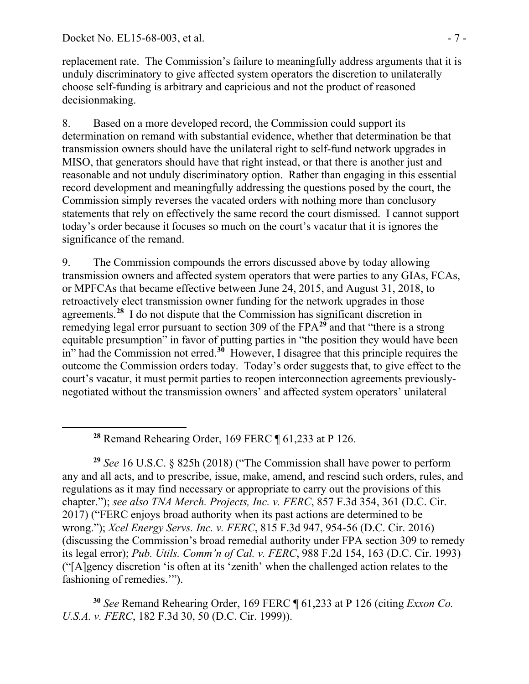<span id="page-75-0"></span> $\overline{a}$ 

replacement rate. The Commission's failure to meaningfully address arguments that it is unduly discriminatory to give affected system operators the discretion to unilaterally choose self-funding is arbitrary and capricious and not the product of reasoned decisionmaking.

8. Based on a more developed record, the Commission could support its determination on remand with substantial evidence, whether that determination be that transmission owners should have the unilateral right to self-fund network upgrades in MISO, that generators should have that right instead, or that there is another just and reasonable and not unduly discriminatory option. Rather than engaging in this essential record development and meaningfully addressing the questions posed by the court, the Commission simply reverses the vacated orders with nothing more than conclusory statements that rely on effectively the same record the court dismissed. I cannot support today's order because it focuses so much on the court's vacatur that it is ignores the significance of the remand.

9. The Commission compounds the errors discussed above by today allowing transmission owners and affected system operators that were parties to any GIAs, FCAs, or MPFCAs that became effective between June 24, 2015, and August 31, 2018, to retroactively elect transmission owner funding for the network upgrades in those agreements.**[28](#page-75-0)** I do not dispute that the Commission has significant discretion in remedying legal error pursuant to section 309 of the FPA**[29](#page-75-1)** and that "there is a strong equitable presumption" in favor of putting parties in "the position they would have been in" had the Commission not erred.**[30](#page-75-2)** However, I disagree that this principle requires the outcome the Commission orders today. Today's order suggests that, to give effect to the court's vacatur, it must permit parties to reopen interconnection agreements previouslynegotiated without the transmission owners' and affected system operators' unilateral

**<sup>28</sup>** Remand Rehearing Order, 169 FERC ¶ 61,233 at P 126.

<span id="page-75-1"></span>**<sup>29</sup>** *See* 16 U.S.C. § 825h (2018) ("The Commission shall have power to perform any and all acts, and to prescribe, issue, make, amend, and rescind such orders, rules, and regulations as it may find necessary or appropriate to carry out the provisions of this chapter."); *see also TNA Merch. Projects, Inc. v. FERC*, 857 F.3d 354, 361 (D.C. Cir. 2017) ("FERC enjoys broad authority when its past actions are determined to be wrong."); *Xcel Energy Servs. Inc. v. FERC*, 815 F.3d 947, 954-56 (D.C. Cir. 2016) (discussing the Commission's broad remedial authority under FPA section 309 to remedy its legal error); *Pub. Utils. Comm'n of Cal. v. FERC*, 988 F.2d 154, 163 (D.C. Cir. 1993) ("[A]gency discretion 'is often at its 'zenith' when the challenged action relates to the fashioning of remedies.'").

<span id="page-75-2"></span>**<sup>30</sup>** *See* Remand Rehearing Order, 169 FERC ¶ 61,233 at P 126 (citing *Exxon Co. U.S.A. v. FERC*, 182 F.3d 30, 50 (D.C. Cir. 1999)).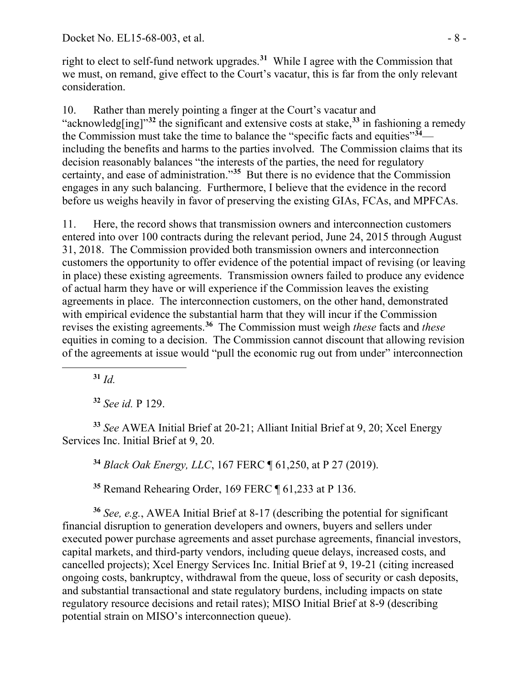right to elect to self-fund network upgrades.**[31](#page-76-0)** While I agree with the Commission that we must, on remand, give effect to the Court's vacatur, this is far from the only relevant consideration.

10. Rather than merely pointing a finger at the Court's vacatur and "acknowledg[ing]"**[32](#page-76-1)** the significant and extensive costs at stake,**[33](#page-76-2)** in fashioning a remedy the Commission must take the time to balance the "specific facts and equities"**[34](#page-76-3)** including the benefits and harms to the parties involved. The Commission claims that its decision reasonably balances "the interests of the parties, the need for regulatory certainty, and ease of administration."**[35](#page-76-4)** But there is no evidence that the Commission engages in any such balancing. Furthermore, I believe that the evidence in the record before us weighs heavily in favor of preserving the existing GIAs, FCAs, and MPFCAs.

11. Here, the record shows that transmission owners and interconnection customers entered into over 100 contracts during the relevant period, June 24, 2015 through August 31, 2018. The Commission provided both transmission owners and interconnection customers the opportunity to offer evidence of the potential impact of revising (or leaving in place) these existing agreements. Transmission owners failed to produce any evidence of actual harm they have or will experience if the Commission leaves the existing agreements in place. The interconnection customers, on the other hand, demonstrated with empirical evidence the substantial harm that they will incur if the Commission revises the existing agreements.**[36](#page-76-5)** The Commission must weigh *these* facts and *these* equities in coming to a decision. The Commission cannot discount that allowing revision of the agreements at issue would "pull the economic rug out from under" interconnection

**<sup>31</sup>** *Id.*

<span id="page-76-0"></span> $\overline{a}$ 

**<sup>32</sup>** *See id.* P 129.

<span id="page-76-3"></span><span id="page-76-2"></span><span id="page-76-1"></span>**<sup>33</sup>** *See* AWEA Initial Brief at 20-21; Alliant Initial Brief at 9, 20; Xcel Energy Services Inc. Initial Brief at 9, 20.

**<sup>34</sup>** *Black Oak Energy, LLC*, 167 FERC ¶ 61,250, at P 27 (2019).

**<sup>35</sup>** Remand Rehearing Order, 169 FERC ¶ 61,233 at P 136.

<span id="page-76-5"></span><span id="page-76-4"></span>**<sup>36</sup>** *See, e.g.*, AWEA Initial Brief at 8-17 (describing the potential for significant financial disruption to generation developers and owners, buyers and sellers under executed power purchase agreements and asset purchase agreements, financial investors, capital markets, and third-party vendors, including queue delays, increased costs, and cancelled projects); Xcel Energy Services Inc. Initial Brief at 9, 19-21 (citing increased ongoing costs, bankruptcy, withdrawal from the queue, loss of security or cash deposits, and substantial transactional and state regulatory burdens, including impacts on state regulatory resource decisions and retail rates); MISO Initial Brief at 8-9 (describing potential strain on MISO's interconnection queue).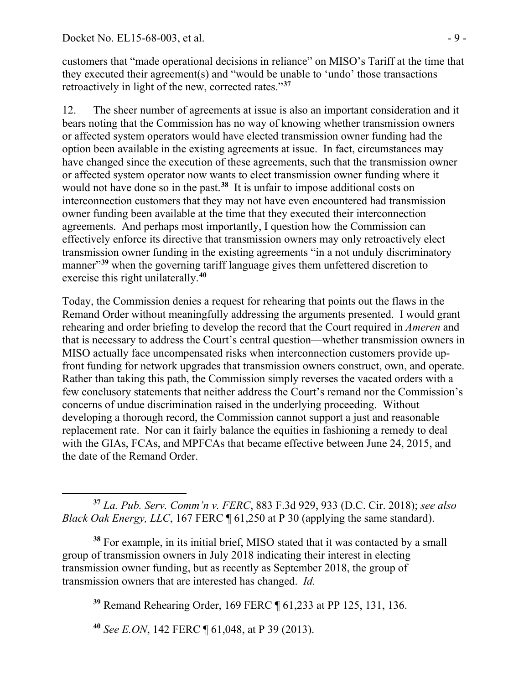customers that "made operational decisions in reliance" on MISO's Tariff at the time that they executed their agreement(s) and "would be unable to 'undo' those transactions retroactively in light of the new, corrected rates."**[37](#page-77-0)**

12. The sheer number of agreements at issue is also an important consideration and it bears noting that the Commission has no way of knowing whether transmission owners or affected system operators would have elected transmission owner funding had the option been available in the existing agreements at issue. In fact, circumstances may have changed since the execution of these agreements, such that the transmission owner or affected system operator now wants to elect transmission owner funding where it would not have done so in the past.<sup>[38](#page-77-1)</sup> It is unfair to impose additional costs on interconnection customers that they may not have even encountered had transmission owner funding been available at the time that they executed their interconnection agreements. And perhaps most importantly, I question how the Commission can effectively enforce its directive that transmission owners may only retroactively elect transmission owner funding in the existing agreements "in a not unduly discriminatory manner<sup>[39](#page-77-2)</sup> when the governing tariff language gives them unfettered discretion to exercise this right unilaterally.**[40](#page-77-3)**

Today, the Commission denies a request for rehearing that points out the flaws in the Remand Order without meaningfully addressing the arguments presented. I would grant rehearing and order briefing to develop the record that the Court required in *Ameren* and that is necessary to address the Court's central question—whether transmission owners in MISO actually face uncompensated risks when interconnection customers provide upfront funding for network upgrades that transmission owners construct, own, and operate. Rather than taking this path, the Commission simply reverses the vacated orders with a few conclusory statements that neither address the Court's remand nor the Commission's concerns of undue discrimination raised in the underlying proceeding. Without developing a thorough record, the Commission cannot support a just and reasonable replacement rate. Nor can it fairly balance the equities in fashioning a remedy to deal with the GIAs, FCAs, and MPFCAs that became effective between June 24, 2015, and the date of the Remand Order.

<span id="page-77-0"></span>**<sup>37</sup>** *La. Pub. Serv. Comm'n v. FERC*, 883 F.3d 929, 933 (D.C. Cir. 2018); *see also Black Oak Energy, LLC*, 167 FERC ¶ 61,250 at P 30 (applying the same standard).

<span id="page-77-2"></span><span id="page-77-1"></span>**<sup>38</sup>** For example, in its initial brief, MISO stated that it was contacted by a small group of transmission owners in July 2018 indicating their interest in electing transmission owner funding, but as recently as September 2018, the group of transmission owners that are interested has changed. *Id.*

**<sup>39</sup>** Remand Rehearing Order, 169 FERC ¶ 61,233 at PP 125, 131, 136.

<span id="page-77-3"></span>**<sup>40</sup>** *See E.ON*, 142 FERC ¶ 61,048, at P 39 (2013).